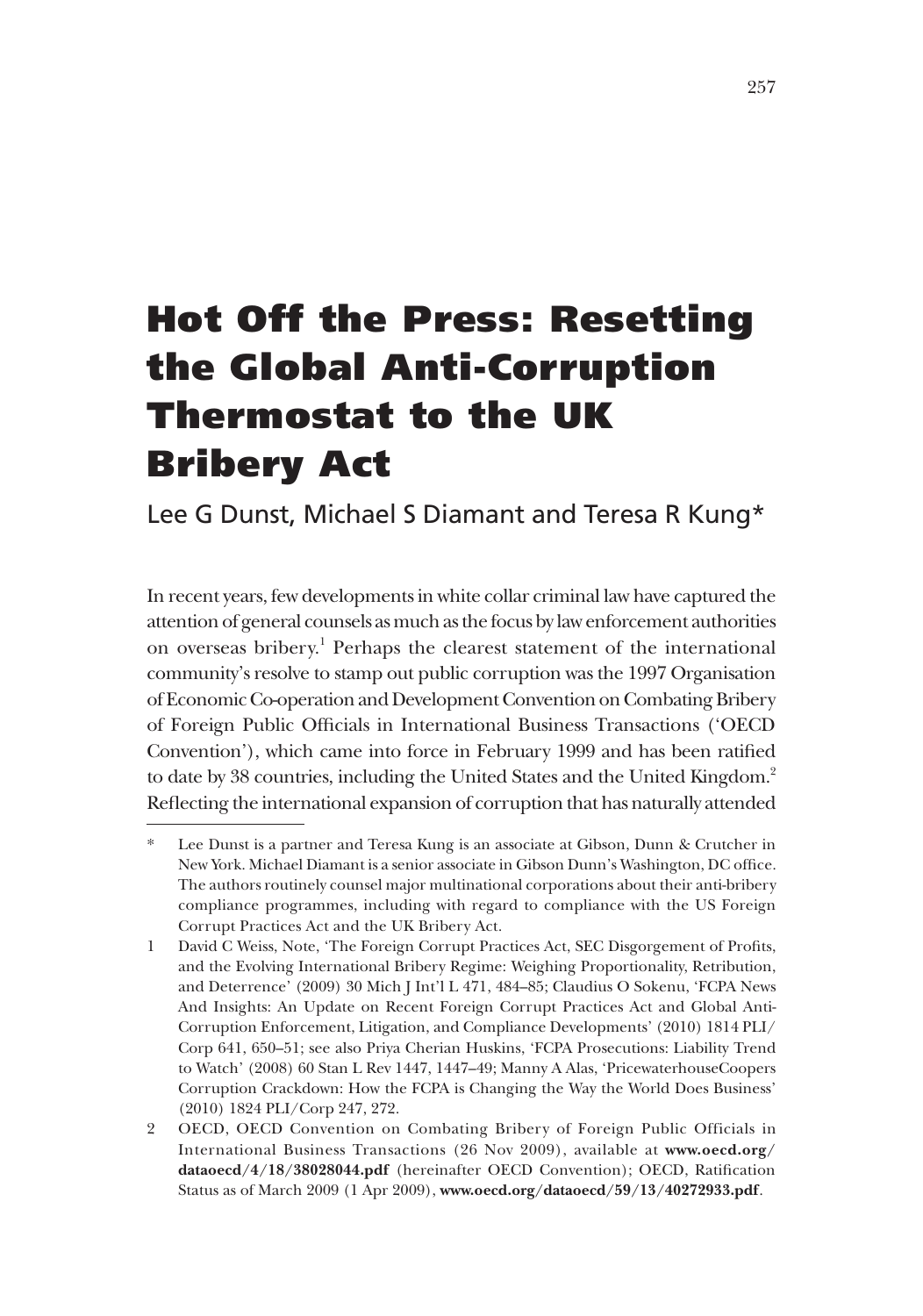# Hot Off the Press: Resetting the Global Anti‑Corruption Thermostat to the UK Bribery Act

Lee G Dunst, Michael S Diamant and Teresa R Kung\*

In recent years, few developments in white collar criminal law have captured the attention of general counsels as much as the focus by law enforcement authorities on overseas bribery.<sup>1</sup> Perhaps the clearest statement of the international community's resolve to stamp out public corruption was the 1997 Organisation of Economic Co-operation and Development Convention on Combating Bribery of Foreign Public Officials in International Business Transactions ('OECD Convention'), which came into force in February 1999 and has been ratified to date by 38 countries, including the United States and the United Kingdom.<sup>2</sup> Reflecting the international expansion of corruption that has naturally attended

Lee Dunst is a partner and Teresa Kung is an associate at Gibson, Dunn & Crutcher in New York. Michael Diamant is a senior associate in Gibson Dunn's Washington, DC office. The authors routinely counsel major multinational corporations about their anti-bribery compliance programmes, including with regard to compliance with the US Foreign Corrupt Practices Act and the UK Bribery Act.

<sup>1</sup> David C Weiss, Note, 'The Foreign Corrupt Practices Act, SEC Disgorgement of Profits, and the Evolving International Bribery Regime: Weighing Proportionality, Retribution, and Deterrence' (2009) 30 Mich J Int'l L 471, 484–85; Claudius O Sokenu, 'FCPA News And Insights: An Update on Recent Foreign Corrupt Practices Act and Global Anti-Corruption Enforcement, Litigation, and Compliance Developments' (2010) 1814 PLI/ Corp 641, 650–51; see also Priya Cherian Huskins, 'FCPA Prosecutions: Liability Trend to Watch' (2008) 60 Stan L Rev 1447, 1447–49; Manny A Alas, 'PricewaterhouseCoopers Corruption Crackdown: How the FCPA is Changing the Way the World Does Business' (2010) 1824 PLI/Corp 247, 272.

<sup>2</sup> OECD, OECD Convention on Combating Bribery of Foreign Public Officials in International Business Transactions (26 Nov 2009), available at **www.oecd.org/ dataoecd/4/18/38028044.pdf** (hereinafter OECD Convention); OECD, Ratification Status as of March 2009 (1 Apr 2009), **www.oecd.org/dataoecd/59/13/40272933.pdf**.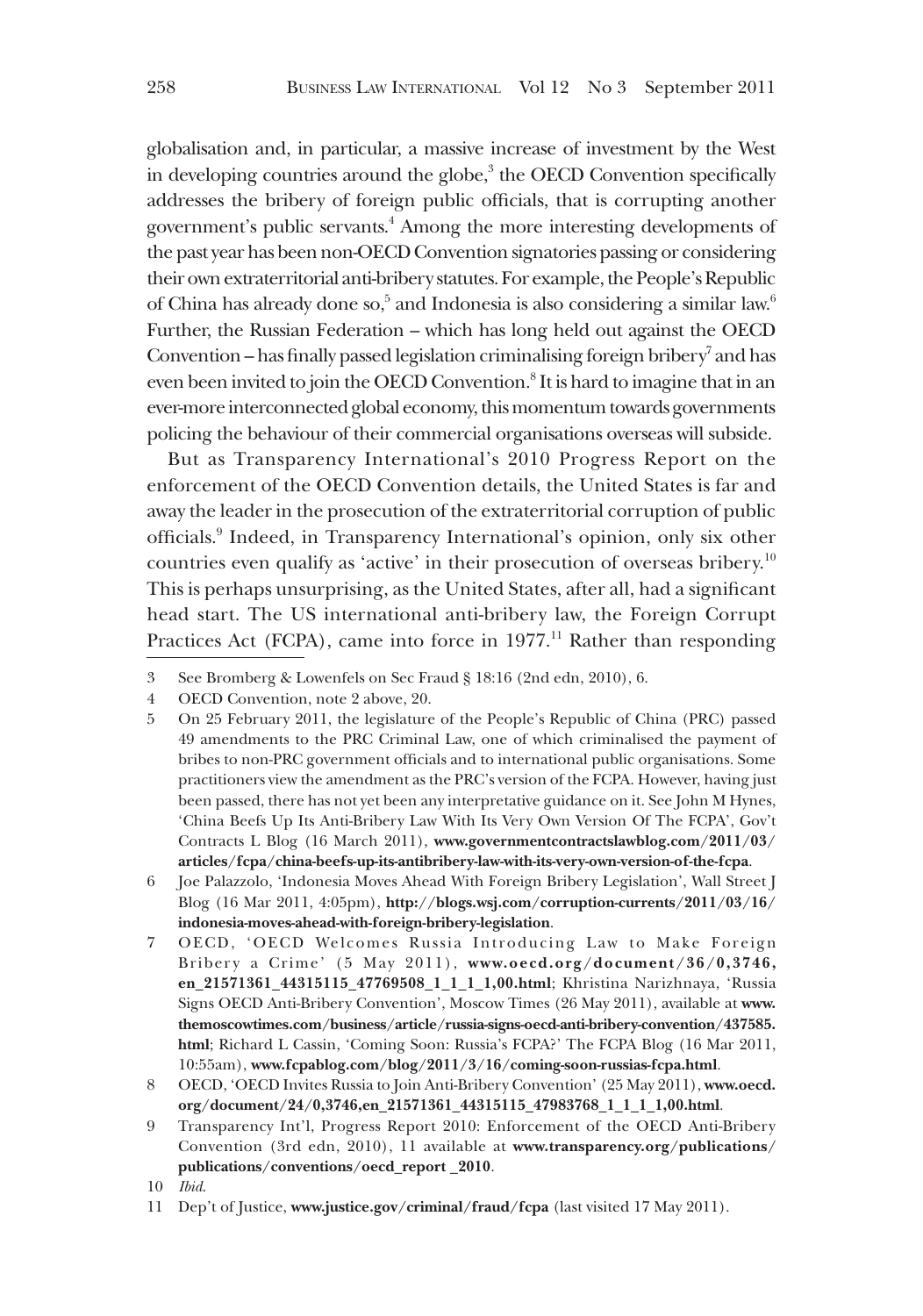globalisation and, in particular, a massive increase of investment by the West in developing countries around the globe,<sup>3</sup> the OECD Convention specifically addresses the bribery of foreign public officials, that is corrupting another government's public servants.<sup>4</sup> Among the more interesting developments of the past year has been non-OECD Convention signatories passing or considering their own extraterritorial anti-bribery statutes. For example, the People's Republic of China has already done so,<sup>5</sup> and Indonesia is also considering a similar law.<sup>6</sup> Further, the Russian Federation – which has long held out against the OECD Convention - has finally passed legislation criminalising foreign bribery<sup>7</sup> and has even been invited to join the OECD Convention.<sup>8</sup> It is hard to imagine that in an ever-more interconnected global economy, this momentum towards governments policing the behaviour of their commercial organisations overseas will subside.

But as Transparency International's 2010 Progress Report on the enforcement of the OECD Convention details, the United States is far and away the leader in the prosecution of the extraterritorial corruption of public officials.9 Indeed, in Transparency International's opinion, only six other countries even qualify as 'active' in their prosecution of overseas bribery.<sup>10</sup> This is perhaps unsurprising, as the United States, after all, had a significant head start. The US international anti-bribery law, the Foreign Corrupt Practices Act (FCPA), came into force in  $1977$ .<sup>11</sup> Rather than responding

11 Dep't of Justice, **www.justice.gov/criminal/fraud/fcpa** (last visited 17 May 2011).

<sup>3</sup> See Bromberg & Lowenfels on Sec Fraud § 18:16 (2nd edn, 2010), 6.

<sup>4</sup> OECD Convention, note 2 above, 20.

<sup>5</sup> On 25 February 2011, the legislature of the People's Republic of China (PRC) passed 49 amendments to the PRC Criminal Law, one of which criminalised the payment of bribes to non-PRC government officials and to international public organisations. Some practitioners view the amendment as the PRC's version of the FCPA. However, having just been passed, there has not yet been any interpretative guidance on it. See John M Hynes, 'China Beefs Up Its Anti-Bribery Law With Its Very Own Version Of The FCPA', Gov't Contracts L Blog (16 March 2011), **www.governmentcontractslawblog.com/2011/03/ articles/fcpa/china-beefs-up-its-antibribery-law-with-its-very-own-version-of-the-fcpa**.

<sup>6</sup> Joe Palazzolo, 'Indonesia Moves Ahead With Foreign Bribery Legislation', Wall Street J Blog (16 Mar 2011, 4:05pm), **http://blogs.wsj.com/corruption-currents/2011/03/16/ indonesia-moves-ahead-with-foreign-bribery-legislation**.

OECD, 'OECD Welcomes Russia Introducing Law to Make Foreign Bribery a Crime' (5 May 2011), **www.oecd.org/document/36/0,3746, en\_21571361\_44315115\_47769508\_1\_1\_1\_1,00.html**; Khristina Narizhnaya, 'Russia Signs OECD Anti-Bribery Convention', Moscow Times (26 May 2011), available at **www. themoscowtimes.com/business/article/russia-signs-oecd-anti-bribery-convention/437585. html**; Richard L Cassin, 'Coming Soon: Russia's FCPA?' The FCPA Blog (16 Mar 2011, 10:55am), **www.fcpablog.com/blog/2011/3/16/coming-soon-russias-fcpa.html**.

<sup>8</sup> OECD, 'OECD Invites Russia to Join Anti-Bribery Convention' (25 May 2011), **www.oecd. org/document/24/0,3746,en\_21571361\_44315115\_47983768\_1\_1\_1\_1,00.html**.

<sup>9</sup> Transparency Int'l, Progress Report 2010: Enforcement of the OECD Anti-Bribery Convention (3rd edn, 2010), 11 available at **www.transparency.org/publications/ publications/conventions/oecd\_report \_2010**.

<sup>10</sup> *Ibid*.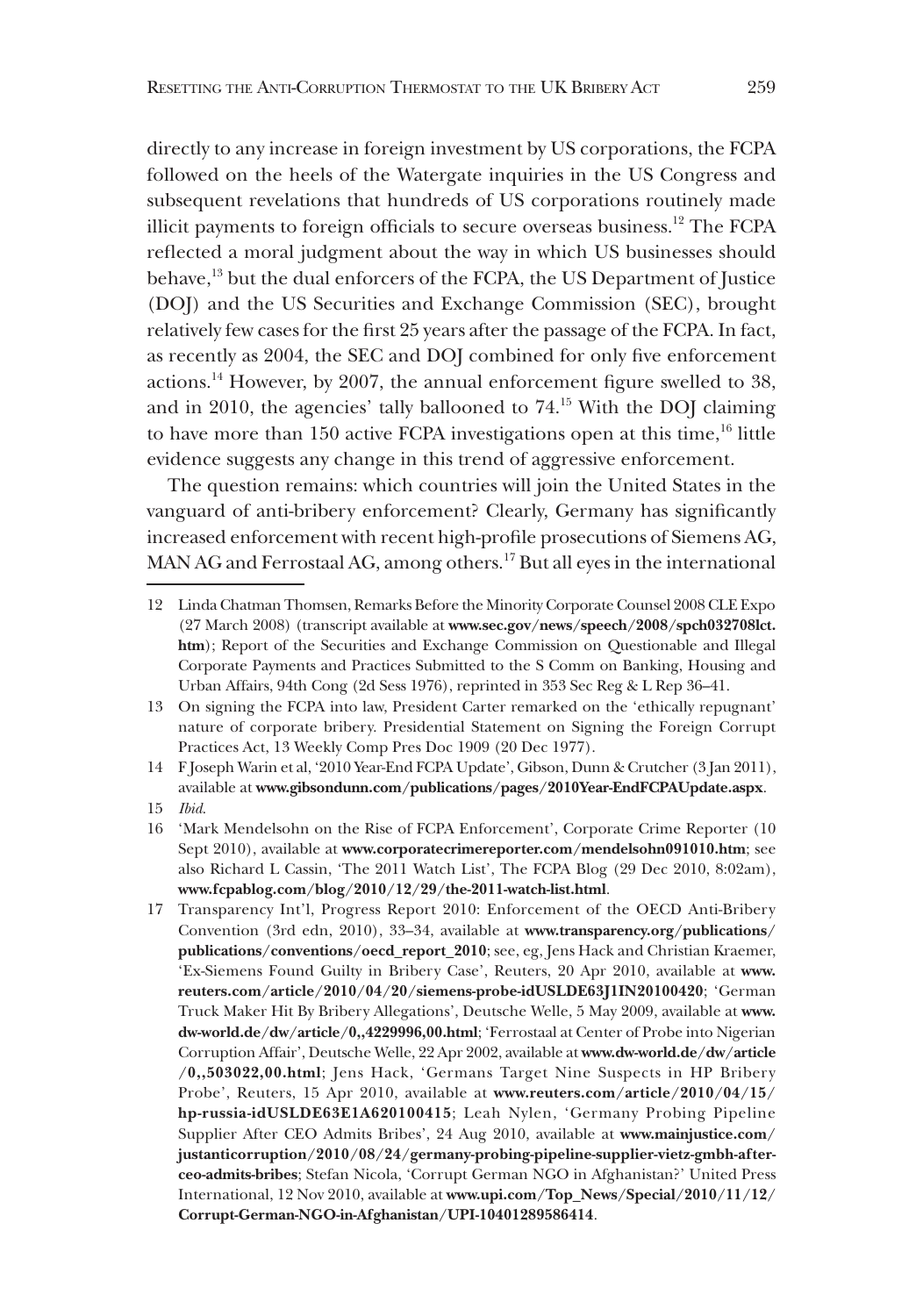directly to any increase in foreign investment by US corporations, the FCPA followed on the heels of the Watergate inquiries in the US Congress and subsequent revelations that hundreds of US corporations routinely made illicit payments to foreign officials to secure overseas business.<sup>12</sup> The FCPA reflected a moral judgment about the way in which US businesses should behave,13 but the dual enforcers of the FCPA, the US Department of Justice (DOJ) and the US Securities and Exchange Commission (SEC), brought relatively few cases for the first 25 years after the passage of the FCPA. In fact, as recently as 2004, the SEC and DOJ combined for only five enforcement actions.14 However, by 2007, the annual enforcement figure swelled to 38, and in 2010, the agencies' tally ballooned to  $74<sup>15</sup>$  With the DOJ claiming to have more than 150 active FCPA investigations open at this time,<sup>16</sup> little evidence suggests any change in this trend of aggressive enforcement.

The question remains: which countries will join the United States in the vanguard of anti-bribery enforcement? Clearly, Germany has significantly increased enforcement with recent high-profile prosecutions of Siemens AG, MAN AG and Ferrostaal AG, among others.<sup>17</sup> But all eyes in the international

14 F Joseph Warin et al, '2010 Year-End FCPA Update', Gibson, Dunn & Crutcher (3 Jan 2011), available at **www.gibsondunn.com/publications/pages/2010Year-EndFCPAUpdate.aspx**.

15 *Ibid*.

16 'Mark Mendelsohn on the Rise of FCPA Enforcement', Corporate Crime Reporter (10 Sept 2010), available at **www.corporatecrimereporter.com/mendelsohn091010.htm**; see also Richard L Cassin, 'The 2011 Watch List', The FCPA Blog (29 Dec 2010, 8:02am), **www.fcpablog.com/blog/2010/12/29/the-2011-watch-list.html**.

17 Transparency Int'l, Progress Report 2010: Enforcement of the OECD Anti-Bribery Convention (3rd edn, 2010), 33–34, available at **www.transparency.org/publications/ publications/conventions/oecd\_report\_2010**; see, eg, Jens Hack and Christian Kraemer, 'Ex-Siemens Found Guilty in Bribery Case', Reuters, 20 Apr 2010, available at **www. reuters.com/article/2010/04/20/siemens-probe-idUSLDE63J1IN20100420**; 'German Truck Maker Hit By Bribery Allegations', Deutsche Welle, 5 May 2009, available at **www. dw-world.de/dw/article/0,,4229996,00.html**; 'Ferrostaal at Center of Probe into Nigerian Corruption Affair', Deutsche Welle, 22 Apr 2002, available at **www.dw-world.de/dw/article /0,,503022,00.html**; Jens Hack, 'Germans Target Nine Suspects in HP Bribery Probe', Reuters, 15 Apr 2010, available at **www.reuters.com/article/2010/04/15/ hp-russia-idUSLDE63E1A620100415**; Leah Nylen, 'Germany Probing Pipeline Supplier After CEO Admits Bribes', 24 Aug 2010, available at **www.mainjustice.com/ justanticorruption/2010/08/24/germany-probing-pipeline-supplier-vietz-gmbh-afterceo-admits-bribes**; Stefan Nicola, 'Corrupt German NGO in Afghanistan?' United Press International, 12 Nov 2010, available at **www.upi.com/Top\_News/Special/2010/11/12/ Corrupt-German-NGO-in-Afghanistan/UPI-10401289586414**.

<sup>12</sup> Linda Chatman Thomsen, Remarks Before the Minority Corporate Counsel 2008 CLE Expo (27 March 2008) (transcript available at **www.sec.gov/news/speech/2008/spch032708lct. htm**); Report of the Securities and Exchange Commission on Questionable and Illegal Corporate Payments and Practices Submitted to the S Comm on Banking, Housing and Urban Affairs, 94th Cong (2d Sess 1976), reprinted in 353 Sec Reg & L Rep 36–41.

<sup>13</sup> On signing the FCPA into law, President Carter remarked on the 'ethically repugnant' nature of corporate bribery. Presidential Statement on Signing the Foreign Corrupt Practices Act, 13 Weekly Comp Pres Doc 1909 (20 Dec 1977).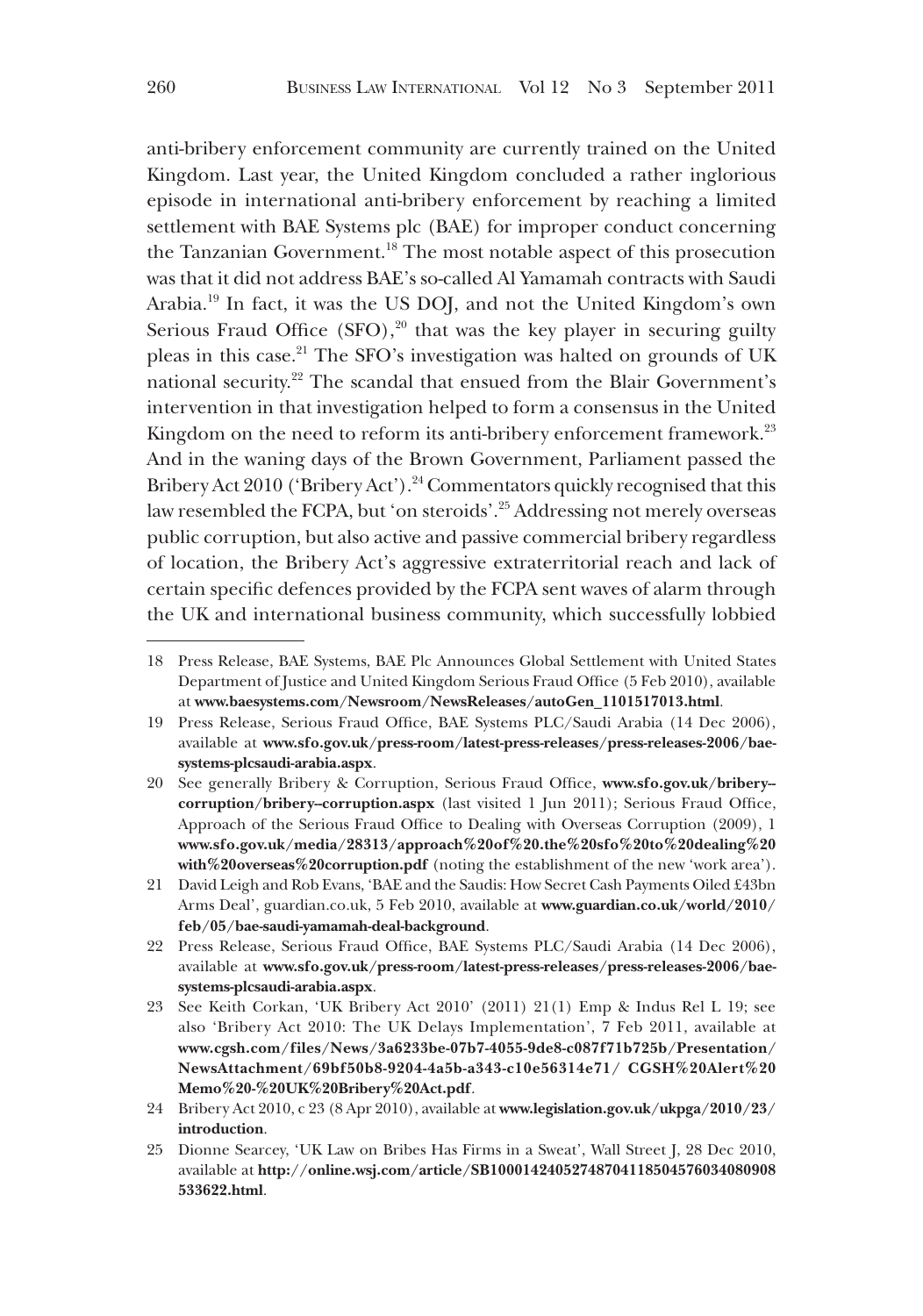anti-bribery enforcement community are currently trained on the United Kingdom. Last year, the United Kingdom concluded a rather inglorious episode in international anti-bribery enforcement by reaching a limited settlement with BAE Systems plc (BAE) for improper conduct concerning the Tanzanian Government.<sup>18</sup> The most notable aspect of this prosecution was that it did not address BAE's so-called Al Yamamah contracts with Saudi Arabia.19 In fact, it was the US DOJ, and not the United Kingdom's own Serious Fraud Office  $(SFO)$ ,<sup>20</sup> that was the key player in securing guilty pleas in this case.21 The SFO's investigation was halted on grounds of UK national security.<sup>22</sup> The scandal that ensued from the Blair Government's intervention in that investigation helped to form a consensus in the United Kingdom on the need to reform its anti-bribery enforcement framework.<sup>23</sup> And in the waning days of the Brown Government, Parliament passed the Bribery Act 2010 ('Bribery Act').<sup>24</sup> Commentators quickly recognised that this law resembled the FCPA, but 'on steroids'.25 Addressing not merely overseas public corruption, but also active and passive commercial bribery regardless of location, the Bribery Act's aggressive extraterritorial reach and lack of certain specific defences provided by the FCPA sent waves of alarm through the UK and international business community, which successfully lobbied

<sup>18</sup> Press Release, BAE Systems, BAE Plc Announces Global Settlement with United States Department of Justice and United Kingdom Serious Fraud Office (5 Feb 2010), available at **www.baesystems.com/Newsroom/NewsReleases/autoGen\_1101517013.html**.

<sup>19</sup> Press Release, Serious Fraud Office, BAE Systems PLC/Saudi Arabia (14 Dec 2006), available at **www.sfo.gov.uk/press-room/latest-press-releases/press-releases-2006/baesystems-plcsaudi-arabia.aspx**.

<sup>20</sup> See generally Bribery & Corruption, Serious Fraud Office, **www.sfo.gov.uk/bribery- corruption/bribery--corruption.aspx** (last visited 1 Jun 2011); Serious Fraud Office, Approach of the Serious Fraud Office to Dealing with Overseas Corruption (2009), 1 **www.sfo.gov.uk/media/28313/approach%20of%20.the%20sfo%20to%20dealing%20 with%20overseas%20corruption.pdf** (noting the establishment of the new 'work area').

<sup>21</sup> David Leigh and Rob Evans, 'BAE and the Saudis: How Secret Cash Payments Oiled £43bn Arms Deal', guardian.co.uk, 5 Feb 2010, available at **www.guardian.co.uk/world/2010/ feb/05/bae-saudi-yamamah-deal-background**.

<sup>22</sup> Press Release, Serious Fraud Office, BAE Systems PLC/Saudi Arabia (14 Dec 2006), available at **www.sfo.gov.uk/press-room/latest-press-releases/press-releases-2006/baesystems-plcsaudi-arabia.aspx**.

<sup>23</sup> See Keith Corkan, 'UK Bribery Act 2010' (2011) 21(1) Emp & Indus Rel L 19; see also 'Bribery Act 2010: The UK Delays Implementation', 7 Feb 2011, available at **www.cgsh.com/files/News/3a6233be-07b7-4055-9de8-c087f71b725b/Presentation/ NewsAttachment/69bf50b8-9204-4a5b-a343-c10e56314e71/ CGSH%20Alert%20 Memo%20-%20UK%20Bribery%20Act.pdf**.

<sup>24</sup> Bribery Act 2010, c 23 (8 Apr 2010), available at **www.legislation.gov.uk/ukpga/2010/23/ introduction**.

<sup>25</sup> Dionne Searcey, 'UK Law on Bribes Has Firms in a Sweat', Wall Street J, 28 Dec 2010, available at **http://online.wsj.com/article/SB10001424052748704118504576034080908 533622.html**.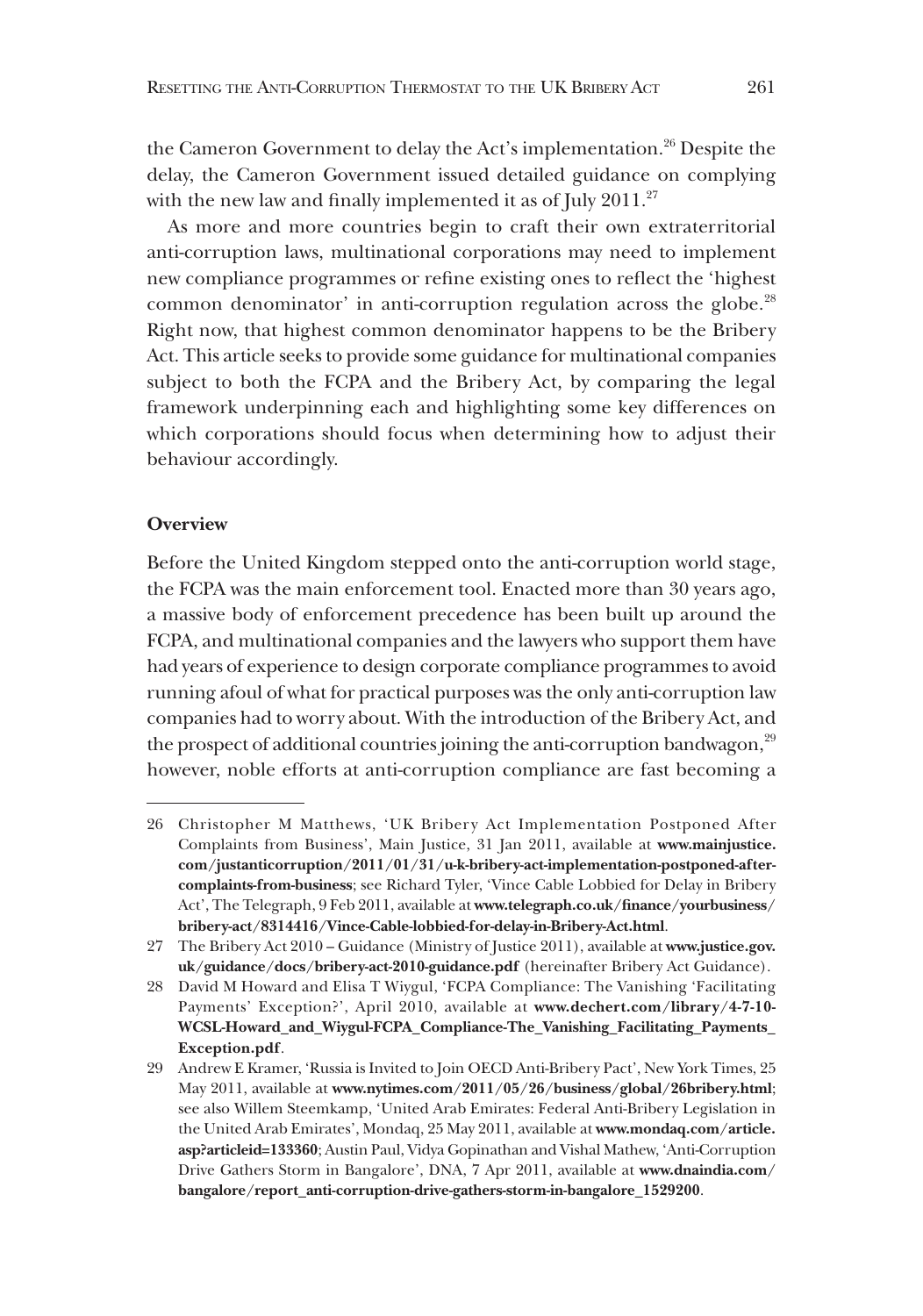the Cameron Government to delay the Act's implementation.<sup>26</sup> Despite the delay, the Cameron Government issued detailed guidance on complying with the new law and finally implemented it as of July 2011.<sup>27</sup>

As more and more countries begin to craft their own extraterritorial anti-corruption laws, multinational corporations may need to implement new compliance programmes or refine existing ones to reflect the 'highest common denominator' in anti-corruption regulation across the globe.<sup>28</sup> Right now, that highest common denominator happens to be the Bribery Act. This article seeks to provide some guidance for multinational companies subject to both the FCPA and the Bribery Act, by comparing the legal framework underpinning each and highlighting some key differences on which corporations should focus when determining how to adjust their behaviour accordingly.

## **Overview**

Before the United Kingdom stepped onto the anti-corruption world stage, the FCPA was the main enforcement tool. Enacted more than 30 years ago, a massive body of enforcement precedence has been built up around the FCPA, and multinational companies and the lawyers who support them have had years of experience to design corporate compliance programmes to avoid running afoul of what for practical purposes was the only anti-corruption law companies had to worry about. With the introduction of the Bribery Act, and the prospect of additional countries joining the anti-corruption bandwagon,<sup>29</sup> however, noble efforts at anti-corruption compliance are fast becoming a

<sup>26</sup> Christopher M Matthews, 'UK Bribery Act Implementation Postponed After Complaints from Business', Main Justice, 31 Jan 2011, available at **www.mainjustice. com/justanticorruption/2011/01/31/u-k-bribery-act-implementation-postponed-aftercomplaints-from-business**; see Richard Tyler, 'Vince Cable Lobbied for Delay in Bribery Act', The Telegraph, 9 Feb 2011, available at **www.telegraph.co.uk/finance/yourbusiness/ bribery-act/8314416/Vince-Cable-lobbied-for-delay-in-Bribery-Act.html**.

<sup>27</sup> The Bribery Act 2010 – Guidance (Ministry of Justice 2011), available at **www.justice.gov. uk/guidance/docs/bribery-act-2010-guidance.pdf** (hereinafter Bribery Act Guidance).

<sup>28</sup> David M Howard and Elisa T Wiygul, 'FCPA Compliance: The Vanishing 'Facilitating Payments' Exception?', April 2010, available at **www.dechert.com/library/4-7-10- WCSL-Howard\_and\_Wiygul-FCPA\_Compliance-The\_Vanishing\_Facilitating\_Payments\_ Exception.pdf**.

<sup>29</sup> Andrew E Kramer, 'Russia is Invited to Join OECD Anti-Bribery Pact', New York Times, 25 May 2011, available at **www.nytimes.com/2011/05/26/business/global/26bribery.html**; see also Willem Steemkamp, 'United Arab Emirates: Federal Anti-Bribery Legislation in the United Arab Emirates', Mondaq, 25 May 2011, available at **www.mondaq.com/article. asp?articleid=133360**; Austin Paul, Vidya Gopinathan and Vishal Mathew, 'Anti-Corruption Drive Gathers Storm in Bangalore', DNA, 7 Apr 2011, available at **www.dnaindia.com/ bangalore/report\_anti-corruption-drive-gathers-storm-in-bangalore\_1529200**.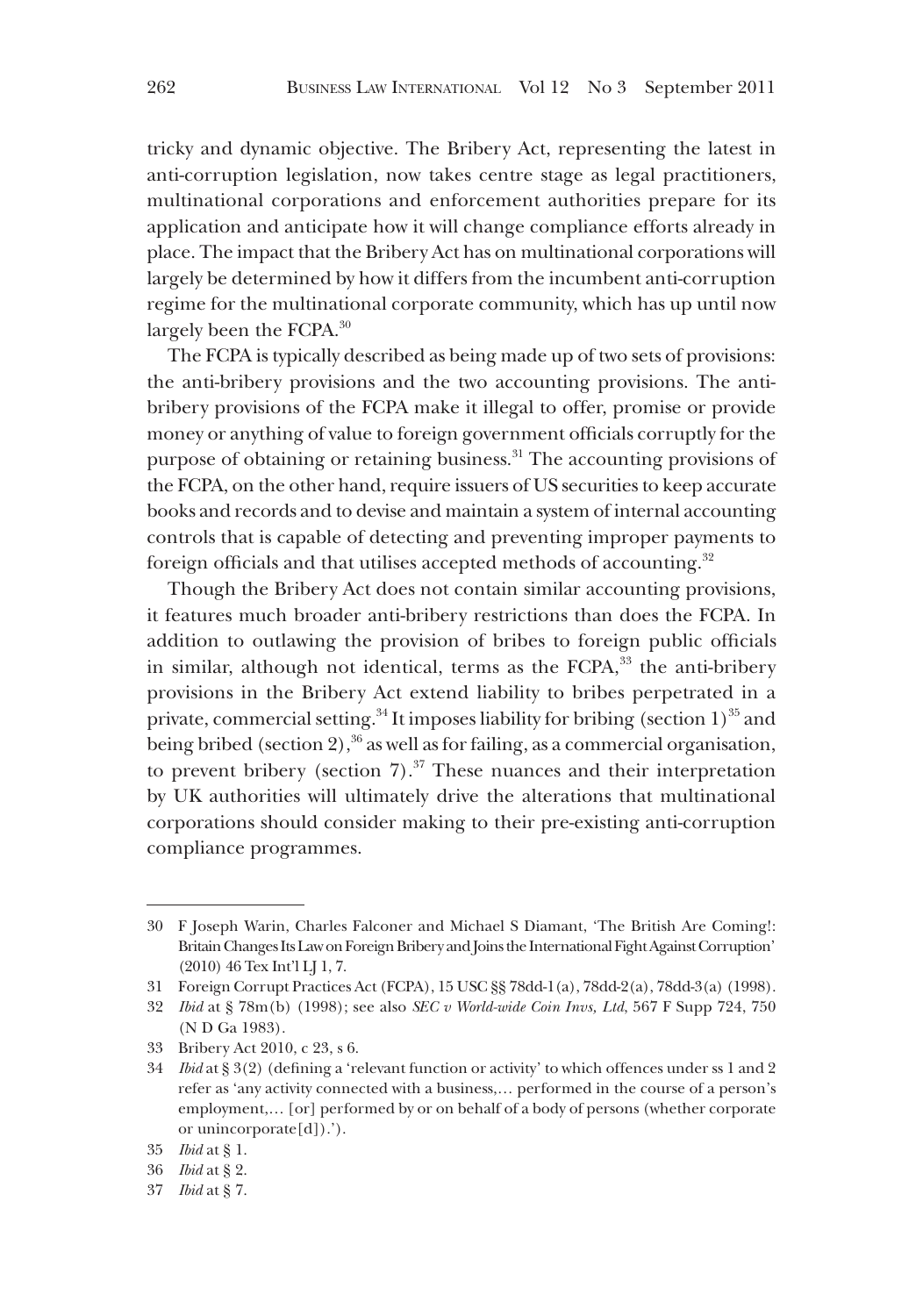tricky and dynamic objective. The Bribery Act, representing the latest in anti-corruption legislation, now takes centre stage as legal practitioners, multinational corporations and enforcement authorities prepare for its application and anticipate how it will change compliance efforts already in place. The impact that the Bribery Act has on multinational corporations will largely be determined by how it differs from the incumbent anti-corruption regime for the multinational corporate community, which has up until now largely been the FCPA.<sup>30</sup>

The FCPA is typically described as being made up of two sets of provisions: the anti-bribery provisions and the two accounting provisions. The antibribery provisions of the FCPA make it illegal to offer, promise or provide money or anything of value to foreign government officials corruptly for the purpose of obtaining or retaining business.<sup>31</sup> The accounting provisions of the FCPA, on the other hand, require issuers of US securities to keep accurate books and records and to devise and maintain a system of internal accounting controls that is capable of detecting and preventing improper payments to foreign officials and that utilises accepted methods of accounting.<sup>32</sup>

Though the Bribery Act does not contain similar accounting provisions, it features much broader anti-bribery restrictions than does the FCPA. In addition to outlawing the provision of bribes to foreign public officials in similar, although not identical, terms as the FCPA,<sup>33</sup> the anti-bribery provisions in the Bribery Act extend liability to bribes perpetrated in a private, commercial setting.<sup>34</sup> It imposes liability for bribing (section 1)<sup>35</sup> and being bribed (section 2),  $36$  as well as for failing, as a commercial organisation, to prevent bribery (section  $7$ ).<sup>37</sup> These nuances and their interpretation by UK authorities will ultimately drive the alterations that multinational corporations should consider making to their pre-existing anti-corruption compliance programmes.

<sup>30</sup> F Joseph Warin, Charles Falconer and Michael S Diamant, 'The British Are Coming!: Britain Changes Its Law on Foreign Bribery and Joins the International Fight Against Corruption' (2010) 46 Tex Int'l LJ 1, 7.

<sup>31</sup> Foreign Corrupt Practices Act (FCPA), 15 USC §§ 78dd-1(a), 78dd-2(a), 78dd-3(a) (1998).

<sup>32</sup> *Ibid* at § 78m(b) (1998); see also *SEC v World-wide Coin Invs, Ltd*, 567 F Supp 724, 750 (N D Ga 1983).

<sup>33</sup> Bribery Act 2010, c 23, s 6.

<sup>34</sup> *Ibid* at § 3(2) (defining a 'relevant function or activity' to which offences under ss 1 and 2 refer as 'any activity connected with a business,… performed in the course of a person's employment,… [or] performed by or on behalf of a body of persons (whether corporate or unincorporate[d]).').

<sup>35</sup> *Ibid* at § 1.

<sup>36</sup> *Ibid* at § 2.

<sup>37</sup> *Ibid* at § 7.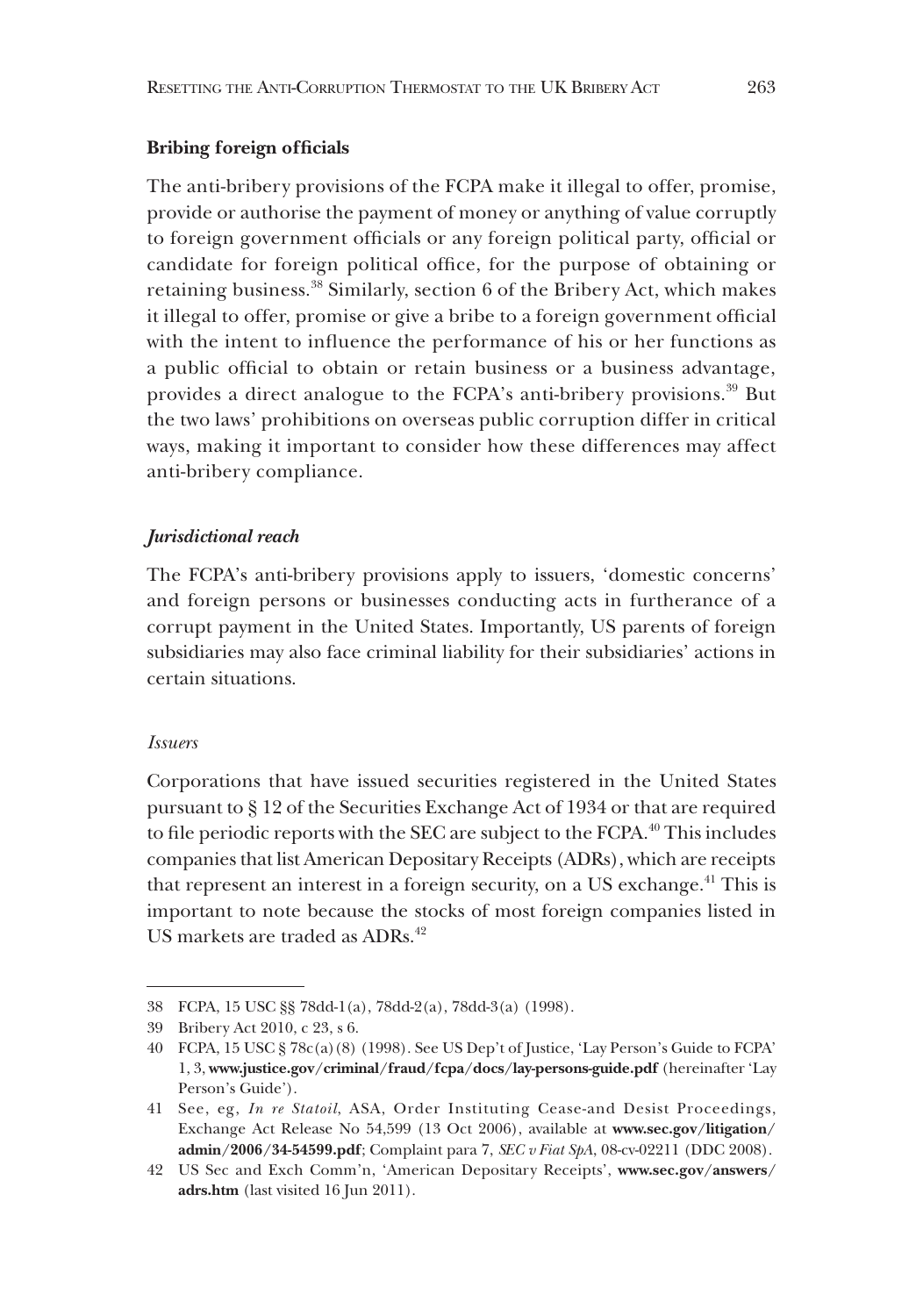# **Bribing foreign officials**

The anti-bribery provisions of the FCPA make it illegal to offer, promise, provide or authorise the payment of money or anything of value corruptly to foreign government officials or any foreign political party, official or candidate for foreign political office, for the purpose of obtaining or retaining business.38 Similarly, section 6 of the Bribery Act, which makes it illegal to offer, promise or give a bribe to a foreign government official with the intent to influence the performance of his or her functions as a public official to obtain or retain business or a business advantage, provides a direct analogue to the FCPA's anti-bribery provisions.<sup>39</sup> But the two laws' prohibitions on overseas public corruption differ in critical ways, making it important to consider how these differences may affect anti-bribery compliance.

# *Jurisdictional reach*

The FCPA's anti-bribery provisions apply to issuers, 'domestic concerns' and foreign persons or businesses conducting acts in furtherance of a corrupt payment in the United States. Importantly, US parents of foreign subsidiaries may also face criminal liability for their subsidiaries' actions in certain situations.

# *Issuers*

Corporations that have issued securities registered in the United States pursuant to § 12 of the Securities Exchange Act of 1934 or that are required to file periodic reports with the SEC are subject to the FCPA.<sup>40</sup> This includes companies that list American Depositary Receipts (ADRs), which are receipts that represent an interest in a foreign security, on a US exchange.<sup>41</sup> This is important to note because the stocks of most foreign companies listed in US markets are traded as ADRs.<sup>42</sup>

<sup>38</sup> FCPA, 15 USC §§ 78dd-1(a), 78dd-2(a), 78dd-3(a) (1998).

<sup>39</sup> Bribery Act 2010, c 23, s 6.

<sup>40</sup> FCPA, 15 USC § 78c(a)(8) (1998). See US Dep't of Justice, 'Lay Person's Guide to FCPA' 1, 3, **www.justice.gov/criminal/fraud/fcpa/docs/lay-persons-guide.pdf** (hereinafter 'Lay Person's Guide').

<sup>41</sup> See, eg, *In re Statoil*, ASA, Order Instituting Cease-and Desist Proceedings, Exchange Act Release No 54,599 (13 Oct 2006), available at **www.sec.gov/litigation/ admin/2006/34-54599.pdf**; Complaint para 7, *SEC v Fiat SpA*, 08-cv-02211 (DDC 2008).

<sup>42</sup> US Sec and Exch Comm'n, 'American Depositary Receipts', **www.sec.gov/answers/ adrs.htm** (last visited 16 Jun 2011).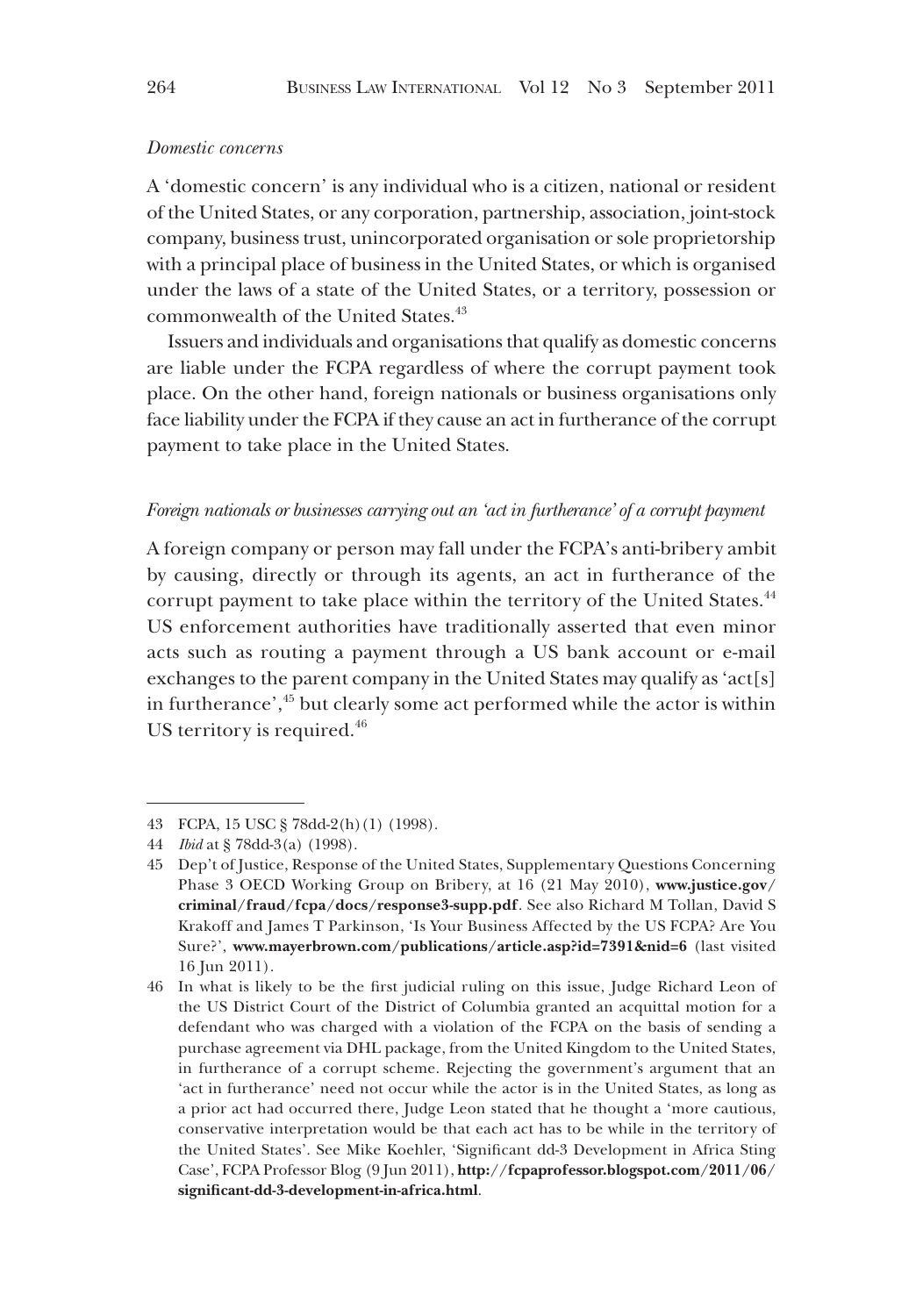#### *Domestic concerns*

A 'domestic concern' is any individual who is a citizen, national or resident of the United States, or any corporation, partnership, association, joint-stock company, business trust, unincorporated organisation or sole proprietorship with a principal place of business in the United States, or which is organised under the laws of a state of the United States, or a territory, possession or commonwealth of the United States.<sup>43</sup>

Issuers and individuals and organisations that qualify as domestic concerns are liable under the FCPA regardless of where the corrupt payment took place. On the other hand, foreign nationals or business organisations only face liability under the FCPA if they cause an act in furtherance of the corrupt payment to take place in the United States.

#### *Foreign nationals or businesses carrying out an 'act in furtherance' of a corrupt payment*

A foreign company or person may fall under the FCPA's anti-bribery ambit by causing, directly or through its agents, an act in furtherance of the corrupt payment to take place within the territory of the United States.<sup>44</sup> US enforcement authorities have traditionally asserted that even minor acts such as routing a payment through a US bank account or e-mail exchanges to the parent company in the United States may qualify as 'act[s] in furtherance',<sup>45</sup> but clearly some act performed while the actor is within US territory is required.<sup>46</sup>

<sup>43</sup> FCPA, 15 USC § 78dd-2(h)(1) (1998).

<sup>44</sup> *Ibid* at § 78dd-3(a) (1998).

<sup>45</sup> Dep't of Justice, Response of the United States, Supplementary Questions Concerning Phase 3 OECD Working Group on Bribery, at 16 (21 May 2010), **www.justice.gov/ criminal/fraud/fcpa/docs/response3-supp.pdf**. See also Richard M Tollan, David S Krakoff and James T Parkinson, 'Is Your Business Affected by the US FCPA? Are You Sure?', **www.mayerbrown.com/publications/article.asp?id=7391&nid=6** (last visited 16 Jun 2011).

<sup>46</sup> In what is likely to be the first judicial ruling on this issue, Judge Richard Leon of the US District Court of the District of Columbia granted an acquittal motion for a defendant who was charged with a violation of the FCPA on the basis of sending a purchase agreement via DHL package, from the United Kingdom to the United States, in furtherance of a corrupt scheme. Rejecting the government's argument that an 'act in furtherance' need not occur while the actor is in the United States, as long as a prior act had occurred there, Judge Leon stated that he thought a 'more cautious, conservative interpretation would be that each act has to be while in the territory of the United States'. See Mike Koehler, 'Significant dd-3 Development in Africa Sting Case', FCPA Professor Blog (9 Jun 2011), **http://fcpaprofessor.blogspot.com/2011/06/ significant-dd-3-development-in-africa.html**.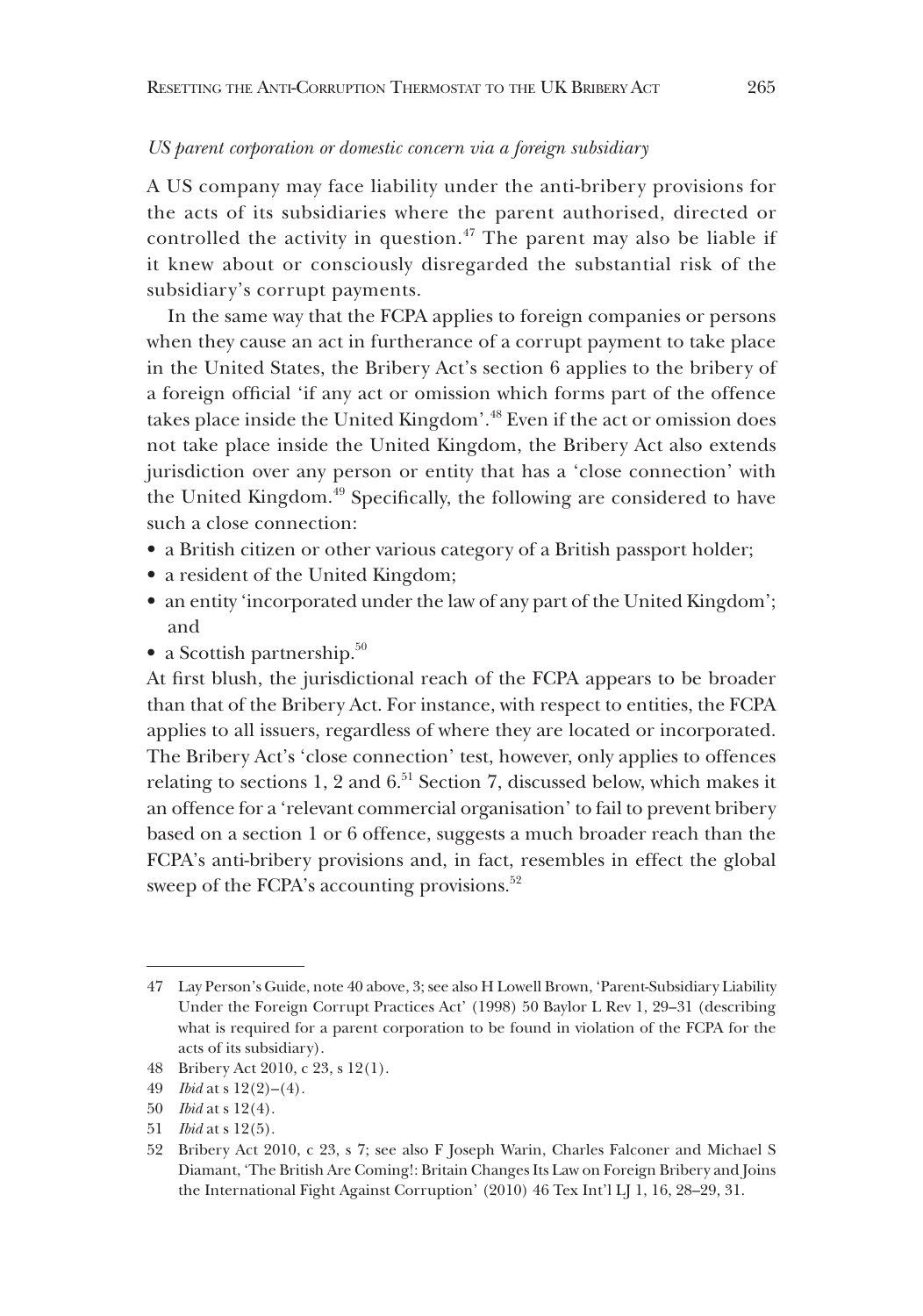#### *US parent corporation or domestic concern via a foreign subsidiary*

A US company may face liability under the anti-bribery provisions for the acts of its subsidiaries where the parent authorised, directed or controlled the activity in question.<sup> $47$ </sup> The parent may also be liable if it knew about or consciously disregarded the substantial risk of the subsidiary's corrupt payments.

In the same way that the FCPA applies to foreign companies or persons when they cause an act in furtherance of a corrupt payment to take place in the United States, the Bribery Act's section 6 applies to the bribery of a foreign official 'if any act or omission which forms part of the offence takes place inside the United Kingdom'.48 Even if the act or omission does not take place inside the United Kingdom, the Bribery Act also extends jurisdiction over any person or entity that has a 'close connection' with the United Kingdom.<sup>49</sup> Specifically, the following are considered to have such a close connection:

- a British citizen or other various category of a British passport holder;
- a resident of the United Kingdom;
- an entity 'incorporated under the law of any part of the United Kingdom'; and
- a Scottish partnership. $50$

At first blush, the jurisdictional reach of the FCPA appears to be broader than that of the Bribery Act. For instance, with respect to entities, the FCPA applies to all issuers, regardless of where they are located or incorporated. The Bribery Act's 'close connection' test, however, only applies to offences relating to sections 1, 2 and  $6<sup>51</sup>$  Section 7, discussed below, which makes it an offence for a 'relevant commercial organisation' to fail to prevent bribery based on a section 1 or 6 offence, suggests a much broader reach than the FCPA's anti-bribery provisions and, in fact, resembles in effect the global sweep of the FCPA's accounting provisions.<sup>52</sup>

<sup>47</sup> Lay Person's Guide, note 40 above, 3; see also H Lowell Brown, 'Parent-Subsidiary Liability Under the Foreign Corrupt Practices Act' (1998) 50 Baylor L Rev 1, 29–31 (describing what is required for a parent corporation to be found in violation of the FCPA for the acts of its subsidiary).

<sup>48</sup> Bribery Act 2010, c 23, s 12(1).

<sup>49</sup> *Ibid* at s 12(2)–(4).

<sup>50</sup> *Ibid* at s 12(4).

<sup>51</sup> *Ibid* at s 12(5).

<sup>52</sup> Bribery Act 2010, c 23, s 7; see also F Joseph Warin, Charles Falconer and Michael S Diamant, 'The British Are Coming!: Britain Changes Its Law on Foreign Bribery and Joins the International Fight Against Corruption' (2010) 46 Tex Int'l LJ 1, 16, 28–29, 31.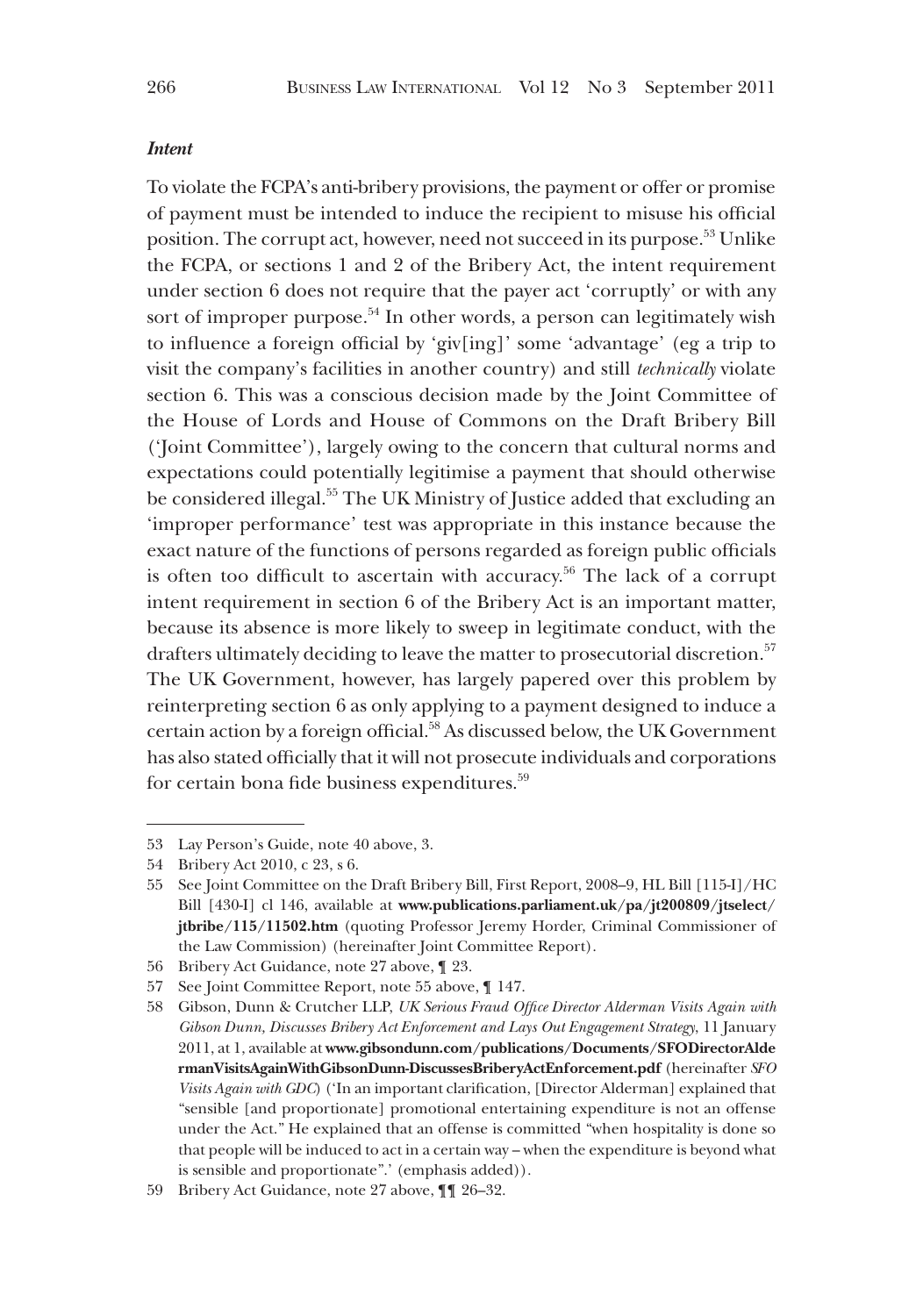#### *Intent*

To violate the FCPA's anti-bribery provisions, the payment or offer or promise of payment must be intended to induce the recipient to misuse his official position. The corrupt act, however, need not succeed in its purpose.53 Unlike the FCPA, or sections 1 and 2 of the Bribery Act, the intent requirement under section 6 does not require that the payer act 'corruptly' or with any sort of improper purpose.<sup>54</sup> In other words, a person can legitimately wish to influence a foreign official by 'giv[ing]' some 'advantage' (eg a trip to visit the company's facilities in another country) and still *technically* violate section 6. This was a conscious decision made by the Joint Committee of the House of Lords and House of Commons on the Draft Bribery Bill ('Joint Committee'), largely owing to the concern that cultural norms and expectations could potentially legitimise a payment that should otherwise be considered illegal.<sup>55</sup> The UK Ministry of Justice added that excluding an 'improper performance' test was appropriate in this instance because the exact nature of the functions of persons regarded as foreign public officials is often too difficult to ascertain with accuracy.<sup>56</sup> The lack of a corrupt intent requirement in section 6 of the Bribery Act is an important matter, because its absence is more likely to sweep in legitimate conduct, with the drafters ultimately deciding to leave the matter to prosecutorial discretion.<sup>57</sup> The UK Government, however, has largely papered over this problem by reinterpreting section 6 as only applying to a payment designed to induce a certain action by a foreign official.58 As discussed below, the UK Government has also stated officially that it will not prosecute individuals and corporations for certain bona fide business expenditures.<sup>59</sup>

<sup>53</sup> Lay Person's Guide, note 40 above, 3.

<sup>54</sup> Bribery Act 2010, c 23, s 6.

<sup>55</sup> See Joint Committee on the Draft Bribery Bill, First Report, 2008–9, HL Bill [115-I]/HC Bill [430-I] cl 146, available at **www.publications.parliament.uk/pa/jt200809/jtselect/ jtbribe/115/11502.htm** (quoting Professor Jeremy Horder, Criminal Commissioner of the Law Commission) (hereinafter Joint Committee Report).

<sup>56</sup> Bribery Act Guidance, note 27 above, ¶ 23.

<sup>57</sup> See Joint Committee Report, note 55 above, ¶ 147.

<sup>58</sup> Gibson, Dunn & Crutcher LLP, *UK Serious Fraud Office Director Alderman Visits Again with Gibson Dunn, Discusses Bribery Act Enforcement and Lays Out Engagement Strategy*, 11 January 2011, at 1, available at **www.gibsondunn.com/publications/Documents/SFODirectorAlde rmanVisitsAgainWithGibsonDunn-DiscussesBriberyActEnforcement.pdf** (hereinafter *SFO Visits Again with GDC*) ('In an important clarification, [Director Alderman] explained that "sensible [and proportionate] promotional entertaining expenditure is not an offense under the Act." He explained that an offense is committed "when hospitality is done so that people will be induced to act in a certain way – when the expenditure is beyond what is sensible and proportionate".' (emphasis added)).

<sup>59</sup> Bribery Act Guidance, note 27 above, ¶¶ 26–32.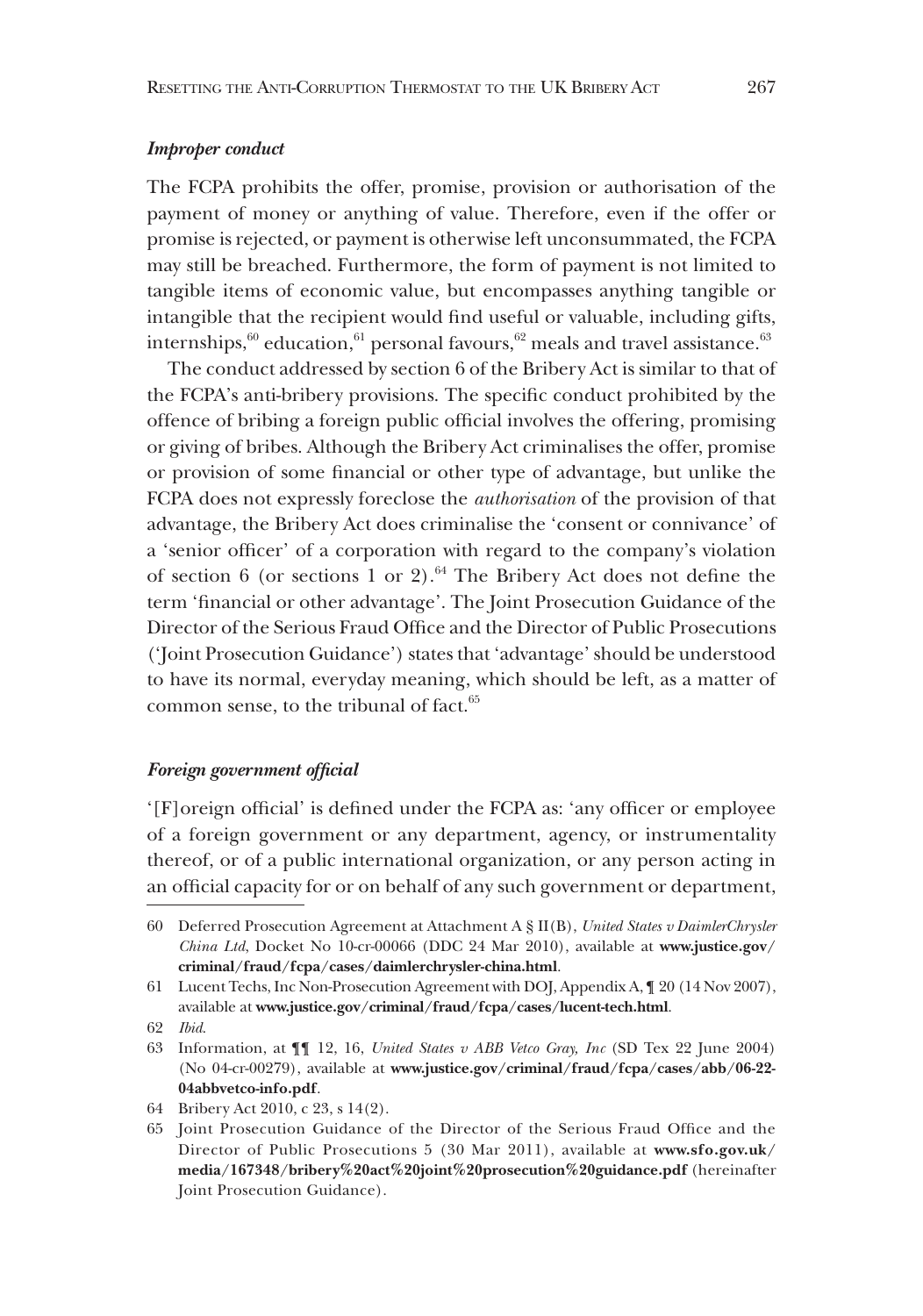## *Improper conduct*

The FCPA prohibits the offer, promise, provision or authorisation of the payment of money or anything of value. Therefore, even if the offer or promise is rejected, or payment is otherwise left unconsummated, the FCPA may still be breached. Furthermore, the form of payment is not limited to tangible items of economic value, but encompasses anything tangible or intangible that the recipient would find useful or valuable, including gifts, internships, $60$  education, $61$  personal favours, $62$  meals and travel assistance.<sup>63</sup>

The conduct addressed by section 6 of the Bribery Act is similar to that of the FCPA's anti-bribery provisions. The specific conduct prohibited by the offence of bribing a foreign public official involves the offering, promising or giving of bribes. Although the Bribery Act criminalises the offer, promise or provision of some financial or other type of advantage, but unlike the FCPA does not expressly foreclose the *authorisation* of the provision of that advantage, the Bribery Act does criminalise the 'consent or connivance' of a 'senior officer' of a corporation with regard to the company's violation of section 6 (or sections 1 or 2).<sup>64</sup> The Bribery Act does not define the term 'financial or other advantage'. The Joint Prosecution Guidance of the Director of the Serious Fraud Office and the Director of Public Prosecutions ('Joint Prosecution Guidance') states that 'advantage' should be understood to have its normal, everyday meaning, which should be left, as a matter of common sense, to the tribunal of fact.<sup>65</sup>

# *Foreign government official*

'[F]oreign official' is defined under the FCPA as: 'any officer or employee of a foreign government or any department, agency, or instrumentality thereof, or of a public international organization, or any person acting in an official capacity for or on behalf of any such government or department,

64 Bribery Act 2010, c 23, s 14(2).

<sup>60</sup> Deferred Prosecution Agreement at Attachment A § II(B), *United States v DaimlerChrysler China Ltd*, Docket No 10-cr-00066 (DDC 24 Mar 2010), available at **www.justice.gov/ criminal/fraud/fcpa/cases/daimlerchrysler-china.html**.

<sup>61</sup> Lucent Techs, Inc Non-Prosecution Agreement with DOJ, Appendix A, ¶ 20 (14 Nov 2007), available at **www.justice.gov/criminal/fraud/fcpa/cases/lucent-tech.html**.

<sup>62</sup> *Ibid*.

<sup>63</sup> Information, at ¶¶ 12, 16, *United States v ABB Vetco Gray, Inc* (SD Tex 22 June 2004) (No 04-cr-00279), available at **www.justice.gov/criminal/fraud/fcpa/cases/abb/06-22- 04abbvetco-info.pdf**.

<sup>65</sup> Joint Prosecution Guidance of the Director of the Serious Fraud Office and the Director of Public Prosecutions 5 (30 Mar 2011), available at **www.sfo.gov.uk/ media/167348/bribery%20act%20joint%20prosecution%20guidance.pdf** (hereinafter Joint Prosecution Guidance).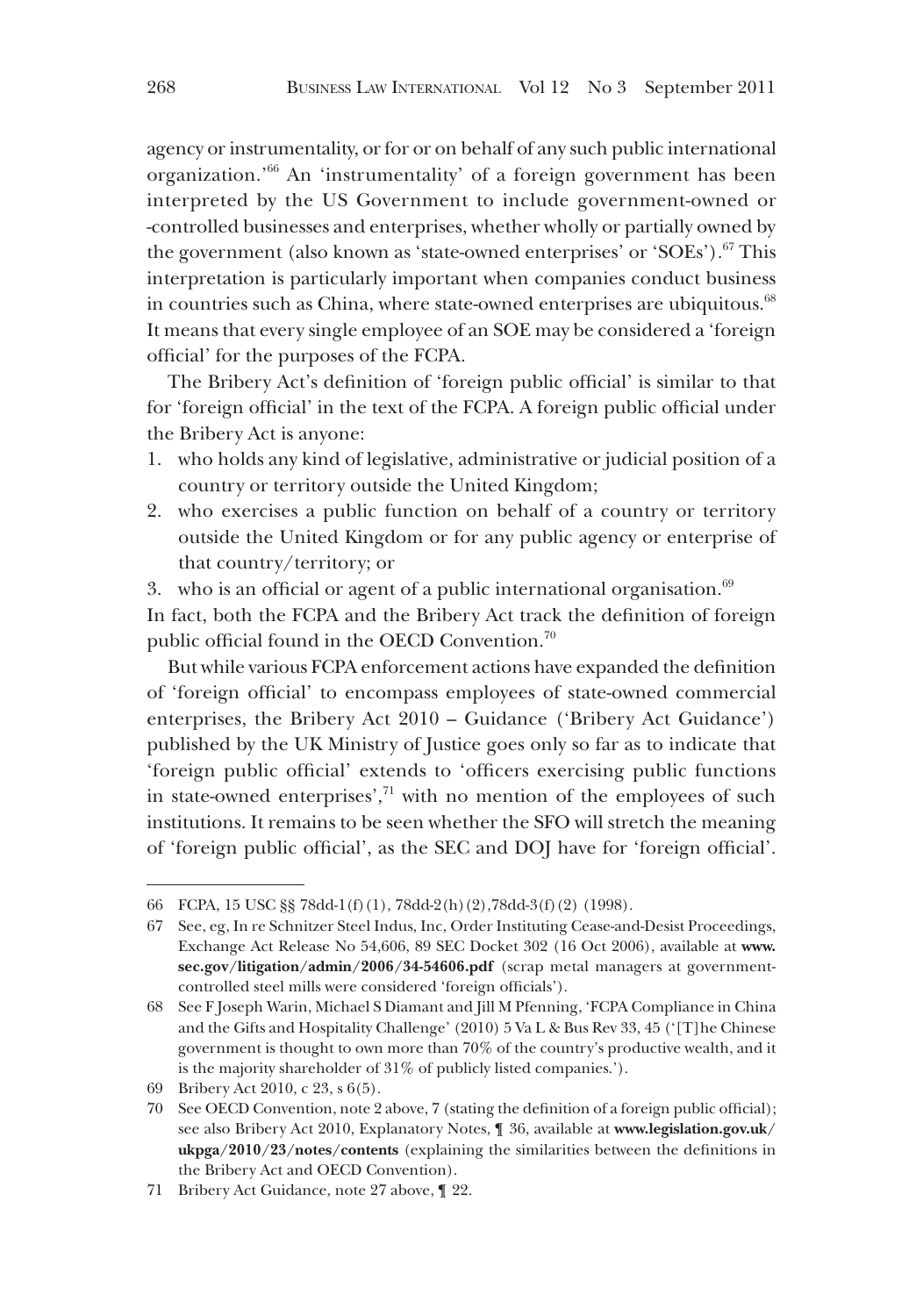agency or instrumentality, or for or on behalf of any such public international organization.'66 An 'instrumentality' of a foreign government has been interpreted by the US Government to include government-owned or -controlled businesses and enterprises, whether wholly or partially owned by the government (also known as 'state-owned enterprises' or 'SOEs').<sup>67</sup> This interpretation is particularly important when companies conduct business in countries such as China, where state-owned enterprises are ubiquitous.<sup>68</sup> It means that every single employee of an SOE may be considered a 'foreign official' for the purposes of the FCPA.

The Bribery Act's definition of 'foreign public official' is similar to that for 'foreign official' in the text of the FCPA. A foreign public official under the Bribery Act is anyone:

- 1. who holds any kind of legislative, administrative or judicial position of a country or territory outside the United Kingdom;
- 2. who exercises a public function on behalf of a country or territory outside the United Kingdom or for any public agency or enterprise of that country/territory; or
- 3. who is an official or agent of a public international organisation. $69$

In fact, both the FCPA and the Bribery Act track the definition of foreign public official found in the OECD Convention.70

But while various FCPA enforcement actions have expanded the definition of 'foreign official' to encompass employees of state-owned commercial enterprises, the Bribery Act 2010 – Guidance ('Bribery Act Guidance') published by the UK Ministry of Justice goes only so far as to indicate that 'foreign public official' extends to 'officers exercising public functions in state-owned enterprises',<sup>71</sup> with no mention of the employees of such institutions. It remains to be seen whether the SFO will stretch the meaning of 'foreign public official', as the SEC and DOJ have for 'foreign official'.

<sup>66</sup> FCPA, 15 USC §§ 78dd-1(f)(1), 78dd-2(h)(2),78dd-3(f)(2) (1998).

<sup>67</sup> See, eg, In re Schnitzer Steel Indus, Inc, Order Instituting Cease-and-Desist Proceedings, Exchange Act Release No 54,606, 89 SEC Docket 302 (16 Oct 2006), available at **www. sec.gov/litigation/admin/2006/34-54606.pdf** (scrap metal managers at governmentcontrolled steel mills were considered 'foreign officials').

<sup>68</sup> See F Joseph Warin, Michael S Diamant and Jill M Pfenning, 'FCPA Compliance in China and the Gifts and Hospitality Challenge' (2010) 5 Va L & Bus Rev 33, 45 ('[T]he Chinese government is thought to own more than 70% of the country's productive wealth, and it is the majority shareholder of 31% of publicly listed companies.').

<sup>69</sup> Bribery Act 2010, c 23, s 6(5).

<sup>70</sup> See OECD Convention, note 2 above, 7 (stating the definition of a foreign public official); see also Bribery Act 2010, Explanatory Notes, ¶ 36, available at **www.legislation.gov.uk/ ukpga/2010/23/notes/contents** (explaining the similarities between the definitions in the Bribery Act and OECD Convention).

<sup>71</sup> Bribery Act Guidance, note 27 above, ¶ 22.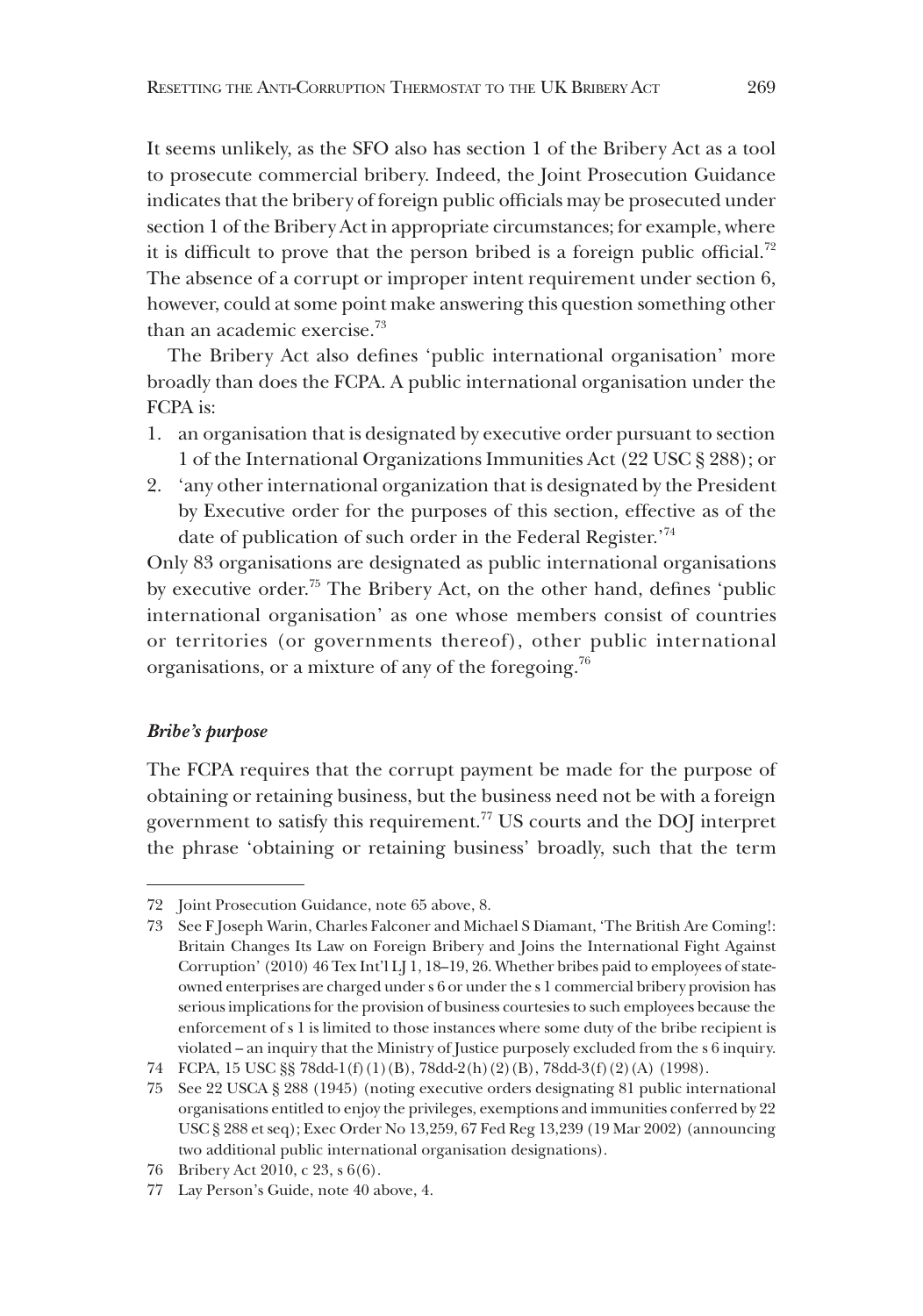It seems unlikely, as the SFO also has section 1 of the Bribery Act as a tool to prosecute commercial bribery. Indeed, the Joint Prosecution Guidance indicates that the bribery of foreign public officials may be prosecuted under section 1 of the Bribery Act in appropriate circumstances; for example, where it is difficult to prove that the person bribed is a foreign public official.<sup>72</sup> The absence of a corrupt or improper intent requirement under section 6, however, could at some point make answering this question something other than an academic exercise.<sup>73</sup>

The Bribery Act also defines 'public international organisation' more broadly than does the FCPA. A public international organisation under the FCPA is:

- 1. an organisation that is designated by executive order pursuant to section 1 of the International Organizations Immunities Act (22 USC § 288); or
- 2. 'any other international organization that is designated by the President by Executive order for the purposes of this section, effective as of the date of publication of such order in the Federal Register.'74

Only 83 organisations are designated as public international organisations by executive order.75 The Bribery Act, on the other hand, defines 'public international organisation' as one whose members consist of countries or territories (or governments thereof), other public international organisations, or a mixture of any of the foregoing.76

# *Bribe's purpose*

The FCPA requires that the corrupt payment be made for the purpose of obtaining or retaining business, but the business need not be with a foreign government to satisfy this requirement.<sup>77</sup> US courts and the DOJ interpret the phrase 'obtaining or retaining business' broadly, such that the term

<sup>72</sup> Joint Prosecution Guidance, note 65 above, 8.

<sup>73</sup> See F Joseph Warin, Charles Falconer and Michael S Diamant, 'The British Are Coming!: Britain Changes Its Law on Foreign Bribery and Joins the International Fight Against Corruption' (2010) 46 Tex Int'l LJ 1, 18–19, 26. Whether bribes paid to employees of stateowned enterprises are charged under s 6 or under the s 1 commercial bribery provision has serious implications for the provision of business courtesies to such employees because the enforcement of s 1 is limited to those instances where some duty of the bribe recipient is violated – an inquiry that the Ministry of Justice purposely excluded from the s 6 inquiry.

<sup>74</sup> FCPA, 15 USC §§ 78dd-1(f)(1)(B), 78dd-2(h)(2)(B), 78dd-3(f)(2)(A) (1998).

<sup>75</sup> See 22 USCA § 288 (1945) (noting executive orders designating 81 public international organisations entitled to enjoy the privileges, exemptions and immunities conferred by 22 USC § 288 et seq); Exec Order No 13,259, 67 Fed Reg 13,239 (19 Mar 2002) (announcing two additional public international organisation designations).

<sup>76</sup> Bribery Act 2010, c 23, s 6(6).

<sup>77</sup> Lay Person's Guide, note 40 above, 4.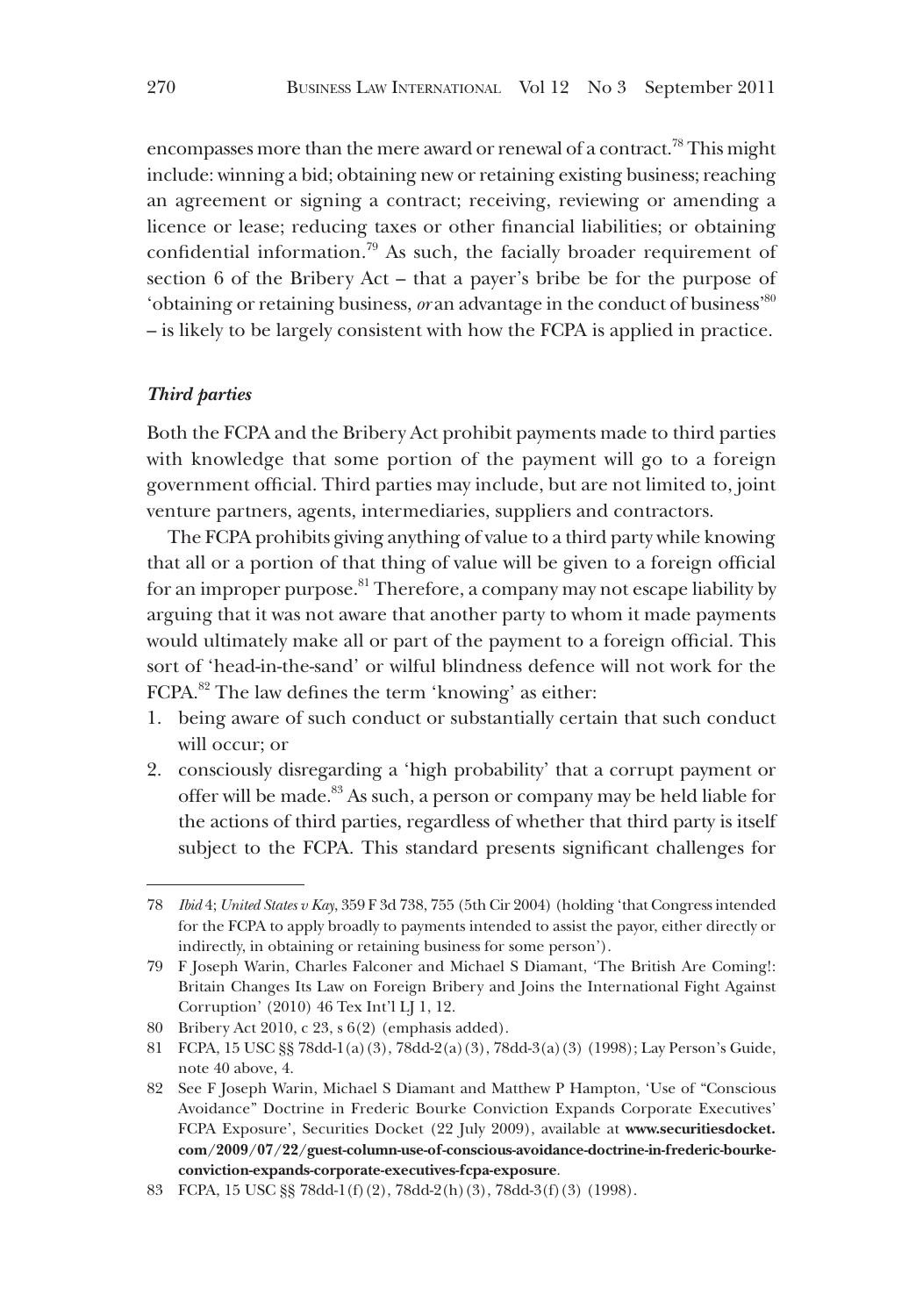encompasses more than the mere award or renewal of a contract.<sup>78</sup> This might include: winning a bid; obtaining new or retaining existing business; reaching an agreement or signing a contract; receiving, reviewing or amending a licence or lease; reducing taxes or other financial liabilities; or obtaining confidential information.79 As such, the facially broader requirement of section 6 of the Bribery Act – that a payer's bribe be for the purpose of 'obtaining or retaining business, *or* an advantage in the conduct of business'80 – is likely to be largely consistent with how the FCPA is applied in practice.

## *Third parties*

Both the FCPA and the Bribery Act prohibit payments made to third parties with knowledge that some portion of the payment will go to a foreign government official. Third parties may include, but are not limited to, joint venture partners, agents, intermediaries, suppliers and contractors.

The FCPA prohibits giving anything of value to a third party while knowing that all or a portion of that thing of value will be given to a foreign official for an improper purpose.<sup>81</sup> Therefore, a company may not escape liability by arguing that it was not aware that another party to whom it made payments would ultimately make all or part of the payment to a foreign official. This sort of 'head-in-the-sand' or wilful blindness defence will not work for the FCPA.82 The law defines the term 'knowing' as either:

- 1. being aware of such conduct or substantially certain that such conduct will occur; or
- 2. consciously disregarding a 'high probability' that a corrupt payment or offer will be made.<sup>83</sup> As such, a person or company may be held liable for the actions of third parties, regardless of whether that third party is itself subject to the FCPA. This standard presents significant challenges for

<sup>78</sup> *Ibid* 4; *United States v Kay*, 359 F 3d 738, 755 (5th Cir 2004) (holding 'that Congress intended for the FCPA to apply broadly to payments intended to assist the payor, either directly or indirectly, in obtaining or retaining business for some person').

<sup>79</sup> F Joseph Warin, Charles Falconer and Michael S Diamant, 'The British Are Coming!: Britain Changes Its Law on Foreign Bribery and Joins the International Fight Against Corruption' (2010) 46 Tex Int'l LJ 1, 12.

<sup>80</sup> Bribery Act 2010, c 23, s 6(2) (emphasis added).

<sup>81</sup> FCPA, 15 USC §§ 78dd-1(a)(3), 78dd-2(a)(3), 78dd-3(a)(3) (1998); Lay Person's Guide, note 40 above, 4.

<sup>82</sup> See F Joseph Warin, Michael S Diamant and Matthew P Hampton, 'Use of "Conscious Avoidance" Doctrine in Frederic Bourke Conviction Expands Corporate Executives' FCPA Exposure', Securities Docket (22 July 2009), available at **www.securitiesdocket. com/2009/07/22/guest-column-use-of-conscious-avoidance-doctrine-in-frederic-bourkeconviction-expands-corporate-executives-fcpa-exposure**.

<sup>83</sup> FCPA, 15 USC §§ 78dd-1(f)(2), 78dd-2(h)(3), 78dd-3(f)(3) (1998).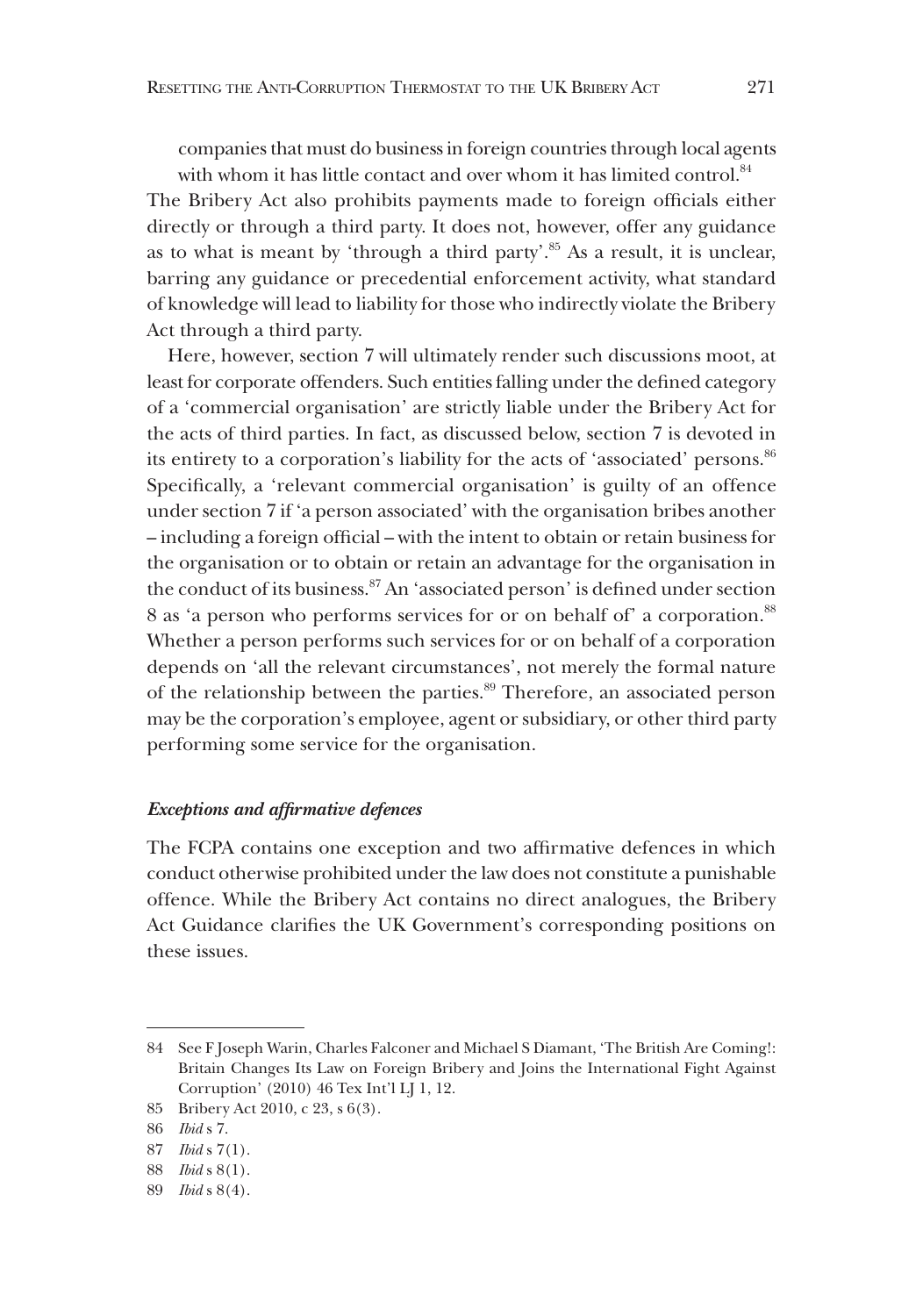companies that must do business in foreign countries through local agents with whom it has little contact and over whom it has limited control.<sup>84</sup>

The Bribery Act also prohibits payments made to foreign officials either directly or through a third party. It does not, however, offer any guidance as to what is meant by 'through a third party'.<sup>85</sup> As a result, it is unclear, barring any guidance or precedential enforcement activity, what standard of knowledge will lead to liability for those who indirectly violate the Bribery Act through a third party.

Here, however, section 7 will ultimately render such discussions moot, at least for corporate offenders. Such entities falling under the defined category of a 'commercial organisation' are strictly liable under the Bribery Act for the acts of third parties. In fact, as discussed below, section 7 is devoted in its entirety to a corporation's liability for the acts of 'associated' persons.<sup>86</sup> Specifically, a 'relevant commercial organisation' is guilty of an offence under section 7 if 'a person associated' with the organisation bribes another – including a foreign official – with the intent to obtain or retain business for the organisation or to obtain or retain an advantage for the organisation in the conduct of its business.87 An 'associated person' is defined under section 8 as 'a person who performs services for or on behalf of' a corporation.<sup>88</sup> Whether a person performs such services for or on behalf of a corporation depends on 'all the relevant circumstances', not merely the formal nature of the relationship between the parties.<sup>89</sup> Therefore, an associated person may be the corporation's employee, agent or subsidiary, or other third party performing some service for the organisation.

## *Exceptions and affirmative defences*

The FCPA contains one exception and two affirmative defences in which conduct otherwise prohibited under the law does not constitute a punishable offence. While the Bribery Act contains no direct analogues, the Bribery Act Guidance clarifies the UK Government's corresponding positions on these issues.

<sup>84</sup> See F Joseph Warin, Charles Falconer and Michael S Diamant, 'The British Are Coming!: Britain Changes Its Law on Foreign Bribery and Joins the International Fight Against Corruption' (2010) 46 Tex Int'l LJ 1, 12.

<sup>85</sup> Bribery Act 2010, c 23, s 6(3).

<sup>86</sup> *Ibid* s 7.

<sup>87</sup> *Ibid* s 7(1).

<sup>88</sup> *Ibid* s 8(1).

<sup>89</sup> *Ibid* s 8(4).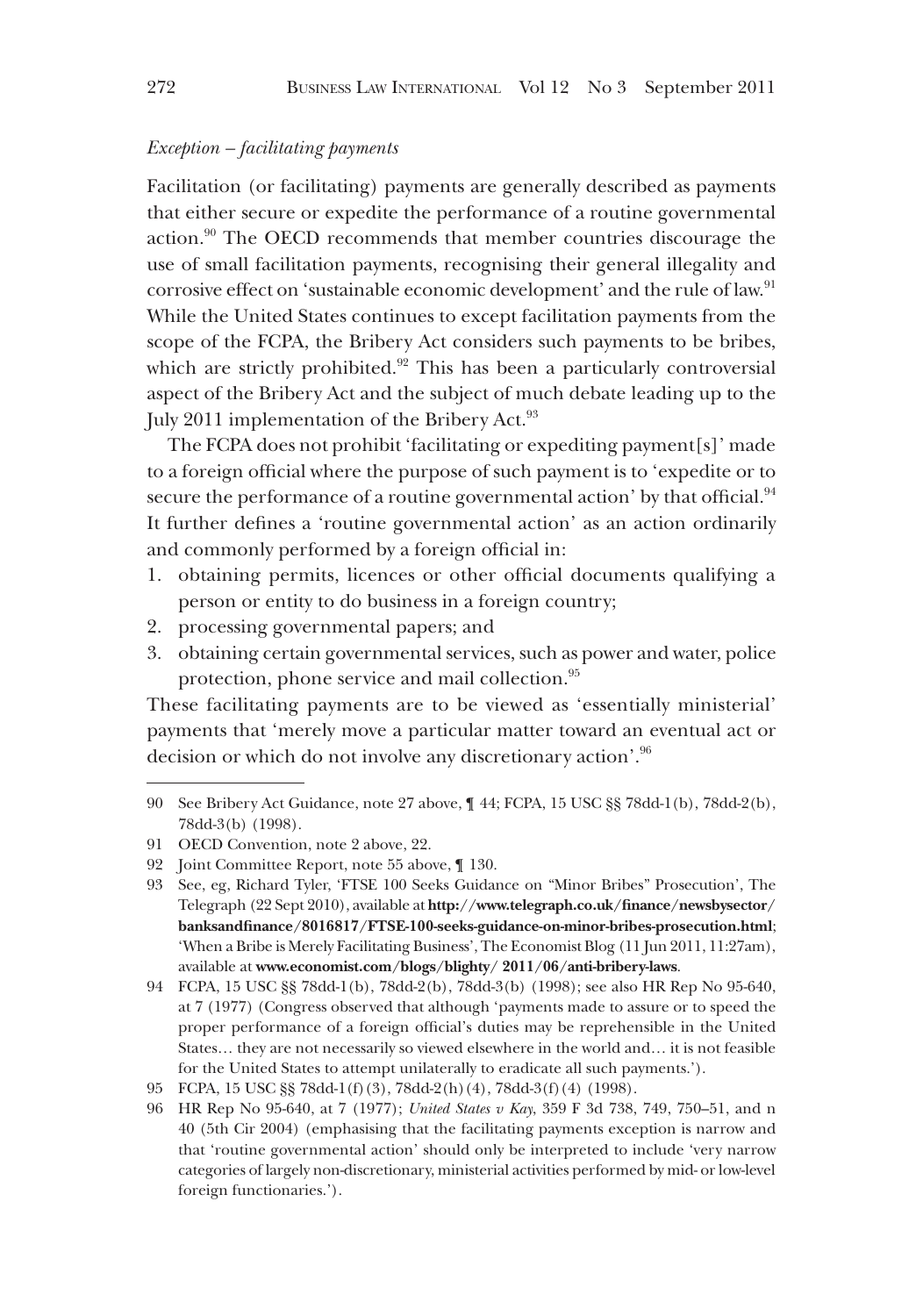## *Exception – facilitating payments*

Facilitation (or facilitating) payments are generally described as payments that either secure or expedite the performance of a routine governmental action.90 The OECD recommends that member countries discourage the use of small facilitation payments, recognising their general illegality and corrosive effect on 'sustainable economic development' and the rule of law.<sup>91</sup> While the United States continues to except facilitation payments from the scope of the FCPA, the Bribery Act considers such payments to be bribes, which are strictly prohibited.<sup>92</sup> This has been a particularly controversial aspect of the Bribery Act and the subject of much debate leading up to the July 2011 implementation of the Bribery Act.<sup>93</sup>

The FCPA does not prohibit 'facilitating or expediting payment[s]' made to a foreign official where the purpose of such payment is to 'expedite or to secure the performance of a routine governmental action' by that official.<sup>94</sup> It further defines a 'routine governmental action' as an action ordinarily and commonly performed by a foreign official in:

- 1. obtaining permits, licences or other official documents qualifying a person or entity to do business in a foreign country;
- 2. processing governmental papers; and
- 3. obtaining certain governmental services, such as power and water, police protection, phone service and mail collection.<sup>95</sup>

These facilitating payments are to be viewed as 'essentially ministerial' payments that 'merely move a particular matter toward an eventual act or decision or which do not involve any discretionary action'.96

<sup>90</sup> See Bribery Act Guidance, note 27 above, ¶ 44; FCPA, 15 USC §§ 78dd-1(b), 78dd-2(b), 78dd-3(b) (1998).

<sup>91</sup> OECD Convention, note 2 above, 22.

<sup>92</sup> Joint Committee Report, note 55 above, ¶ 130.

<sup>93</sup> See, eg, Richard Tyler, 'FTSE 100 Seeks Guidance on "Minor Bribes" Prosecution', The Telegraph (22 Sept 2010), available at **http://www.telegraph.co.uk/finance/newsbysector/ banksandfinance/8016817/FTSE-100-seeks-guidance-on-minor-bribes-prosecution.html**; 'When a Bribe is Merely Facilitating Business', The Economist Blog (11 Jun 2011, 11:27am), available at **www.economist.com/blogs/blighty/ 2011/06/anti-bribery-laws**.

<sup>94</sup> FCPA, 15 USC §§ 78dd-1(b), 78dd-2(b), 78dd-3(b) (1998); see also HR Rep No 95-640, at 7 (1977) (Congress observed that although 'payments made to assure or to speed the proper performance of a foreign official's duties may be reprehensible in the United States… they are not necessarily so viewed elsewhere in the world and… it is not feasible for the United States to attempt unilaterally to eradicate all such payments.').

<sup>95</sup> FCPA, 15 USC §§ 78dd-1(f)(3), 78dd-2(h)(4), 78dd-3(f)(4) (1998).

<sup>96</sup> HR Rep No 95-640, at 7 (1977); *United States v Kay*, 359 F 3d 738, 749, 750–51, and n 40 (5th Cir 2004) (emphasising that the facilitating payments exception is narrow and that 'routine governmental action' should only be interpreted to include 'very narrow categories of largely non-discretionary, ministerial activities performed by mid- or low-level foreign functionaries.').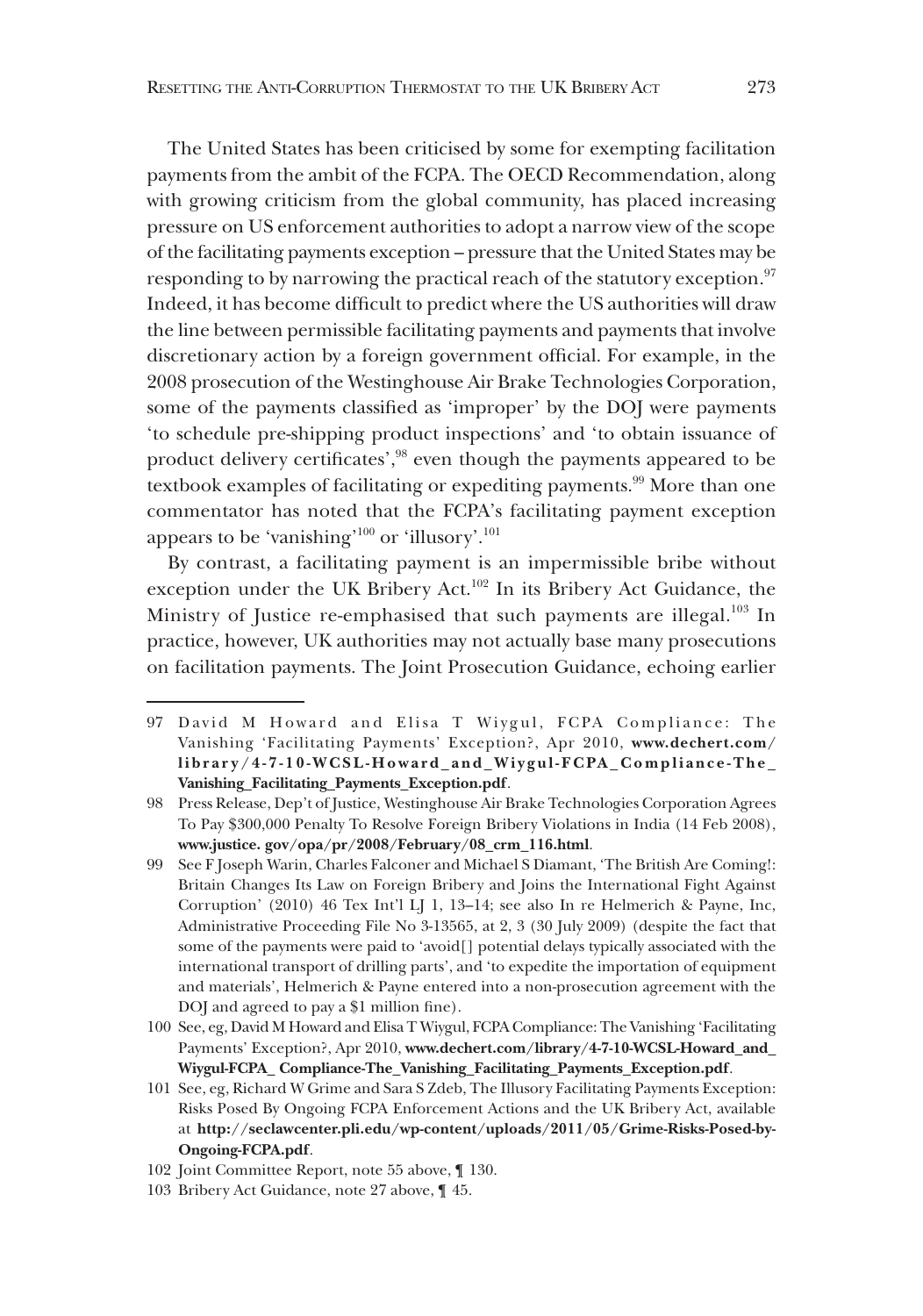The United States has been criticised by some for exempting facilitation payments from the ambit of the FCPA. The OECD Recommendation, along with growing criticism from the global community, has placed increasing pressure on US enforcement authorities to adopt a narrow view of the scope of the facilitating payments exception – pressure that the United States may be responding to by narrowing the practical reach of the statutory exception.<sup>97</sup> Indeed, it has become difficult to predict where the US authorities will draw the line between permissible facilitating payments and payments that involve discretionary action by a foreign government official. For example, in the 2008 prosecution of the Westinghouse Air Brake Technologies Corporation, some of the payments classified as 'improper' by the DOJ were payments 'to schedule pre-shipping product inspections' and 'to obtain issuance of product delivery certificates',<sup>98</sup> even though the payments appeared to be textbook examples of facilitating or expediting payments.<sup>99</sup> More than one commentator has noted that the FCPA's facilitating payment exception appears to be 'vanishing'<sup>100</sup> or 'illusory'.<sup>101</sup>

By contrast, a facilitating payment is an impermissible bribe without exception under the UK Bribery Act.102 In its Bribery Act Guidance, the Ministry of Justice re-emphasised that such payments are illegal.<sup>103</sup> In practice, however, UK authorities may not actually base many prosecutions on facilitation payments. The Joint Prosecution Guidance, echoing earlier

<sup>97</sup> David M Howard and Elisa T Wiygul, FCPA Compliance: The Vanishing 'Facilitating Payments' Exception?, Apr 2010, **www.dechert.com/ library/4-7-10-WCSL-Howard\_and\_Wiygul-FCPA\_Compliance-The\_ Vanishing\_Facilitating\_Payments\_Exception.pdf**.

<sup>98</sup> Press Release, Dep't of Justice, Westinghouse Air Brake Technologies Corporation Agrees To Pay \$300,000 Penalty To Resolve Foreign Bribery Violations in India (14 Feb 2008), **www.justice. gov/opa/pr/2008/February/08\_crm\_116.html**.

<sup>99</sup> See F Joseph Warin, Charles Falconer and Michael S Diamant, 'The British Are Coming!: Britain Changes Its Law on Foreign Bribery and Joins the International Fight Against Corruption' (2010) 46 Tex Int'l LJ 1, 13–14; see also In re Helmerich & Payne, Inc, Administrative Proceeding File No 3-13565, at 2, 3 (30 July 2009) (despite the fact that some of the payments were paid to 'avoid[] potential delays typically associated with the international transport of drilling parts', and 'to expedite the importation of equipment and materials', Helmerich & Payne entered into a non-prosecution agreement with the DOJ and agreed to pay a \$1 million fine).

<sup>100</sup> See, eg, David M Howard and Elisa T Wiygul, FCPA Compliance: The Vanishing 'Facilitating Payments' Exception?, Apr 2010, **www.dechert.com/library/4-7-10-WCSL-Howard\_and\_ Wiygul-FCPA\_ Compliance-The\_Vanishing\_Facilitating\_Payments\_Exception.pdf**.

<sup>101</sup> See, eg, Richard W Grime and Sara S Zdeb, The Illusory Facilitating Payments Exception: Risks Posed By Ongoing FCPA Enforcement Actions and the UK Bribery Act, available at **http://seclawcenter.pli.edu/wp-content/uploads/2011/05/Grime-Risks-Posed-by-Ongoing-FCPA.pdf**.

<sup>102</sup> Joint Committee Report, note 55 above, ¶ 130.

<sup>103</sup> Bribery Act Guidance, note 27 above, ¶ 45.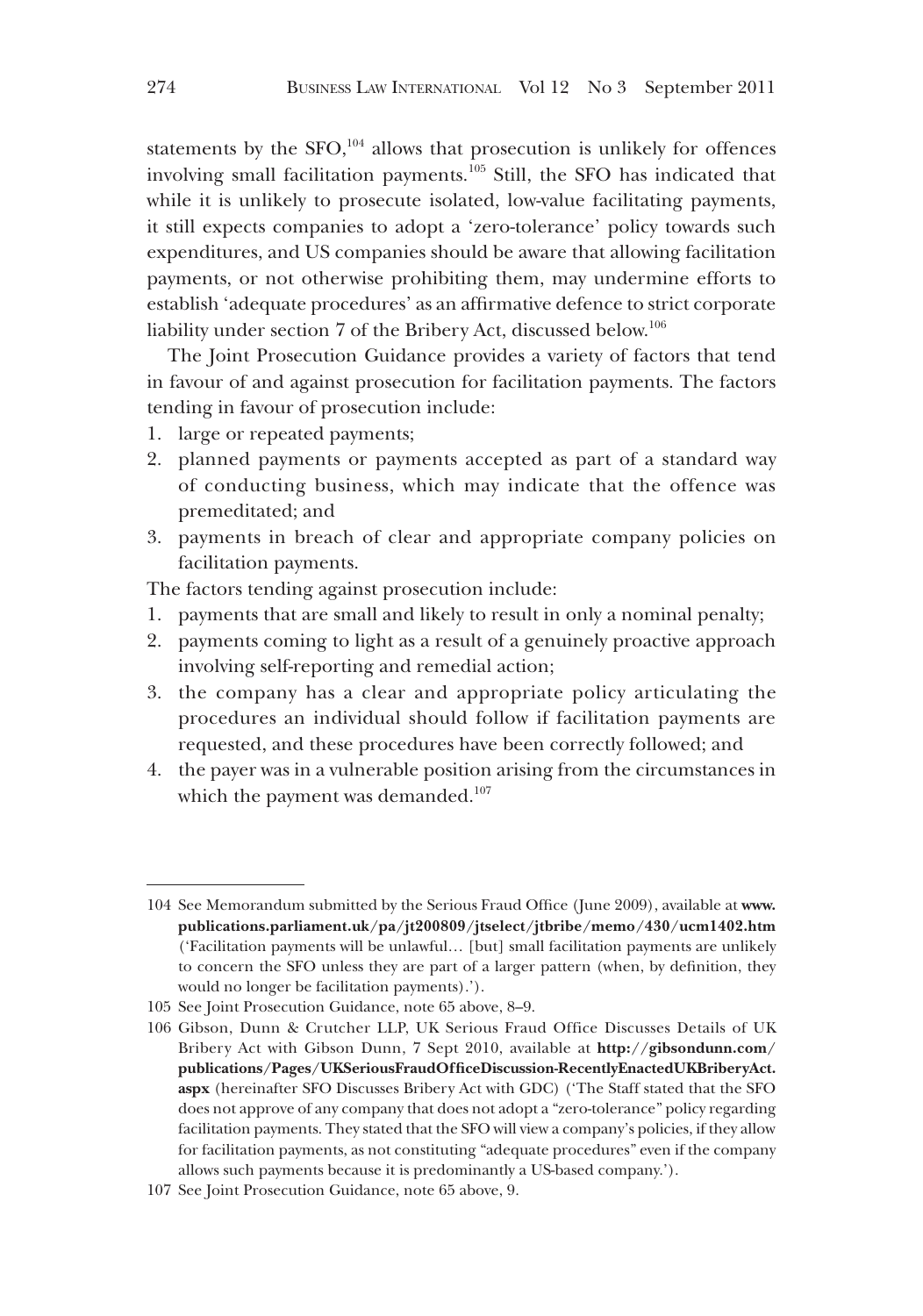statements by the  $SFO$ ,<sup>104</sup> allows that prosecution is unlikely for offences involving small facilitation payments.105 Still, the SFO has indicated that while it is unlikely to prosecute isolated, low-value facilitating payments, it still expects companies to adopt a 'zero-tolerance' policy towards such expenditures, and US companies should be aware that allowing facilitation payments, or not otherwise prohibiting them, may undermine efforts to establish 'adequate procedures' as an affirmative defence to strict corporate liability under section 7 of the Bribery Act, discussed below.106

The Joint Prosecution Guidance provides a variety of factors that tend in favour of and against prosecution for facilitation payments. The factors tending in favour of prosecution include:

- 1. large or repeated payments;
- 2. planned payments or payments accepted as part of a standard way of conducting business, which may indicate that the offence was premeditated; and
- 3. payments in breach of clear and appropriate company policies on facilitation payments.

The factors tending against prosecution include:

- 1. payments that are small and likely to result in only a nominal penalty;
- 2. payments coming to light as a result of a genuinely proactive approach involving self-reporting and remedial action;
- 3. the company has a clear and appropriate policy articulating the procedures an individual should follow if facilitation payments are requested, and these procedures have been correctly followed; and
- 4. the payer was in a vulnerable position arising from the circumstances in which the payment was demanded.<sup>107</sup>

<sup>104</sup> See Memorandum submitted by the Serious Fraud Office (June 2009), available at **www. publications.parliament.uk/pa/jt200809/jtselect/jtbribe/memo/430/ucm1402.htm** ('Facilitation payments will be unlawful… [but] small facilitation payments are unlikely to concern the SFO unless they are part of a larger pattern (when, by definition, they would no longer be facilitation payments).').

<sup>105</sup> See Joint Prosecution Guidance, note 65 above, 8–9.

<sup>106</sup> Gibson, Dunn & Crutcher LLP, UK Serious Fraud Office Discusses Details of UK Bribery Act with Gibson Dunn, 7 Sept 2010, available at **http://gibsondunn.com/ publications/Pages/UKSeriousFraudOfficeDiscussion-RecentlyEnactedUKBriberyAct. aspx** (hereinafter SFO Discusses Bribery Act with GDC) ('The Staff stated that the SFO does not approve of any company that does not adopt a "zero-tolerance" policy regarding facilitation payments. They stated that the SFO will view a company's policies, if they allow for facilitation payments, as not constituting "adequate procedures" even if the company allows such payments because it is predominantly a US-based company.').

<sup>107</sup> See Joint Prosecution Guidance, note 65 above, 9.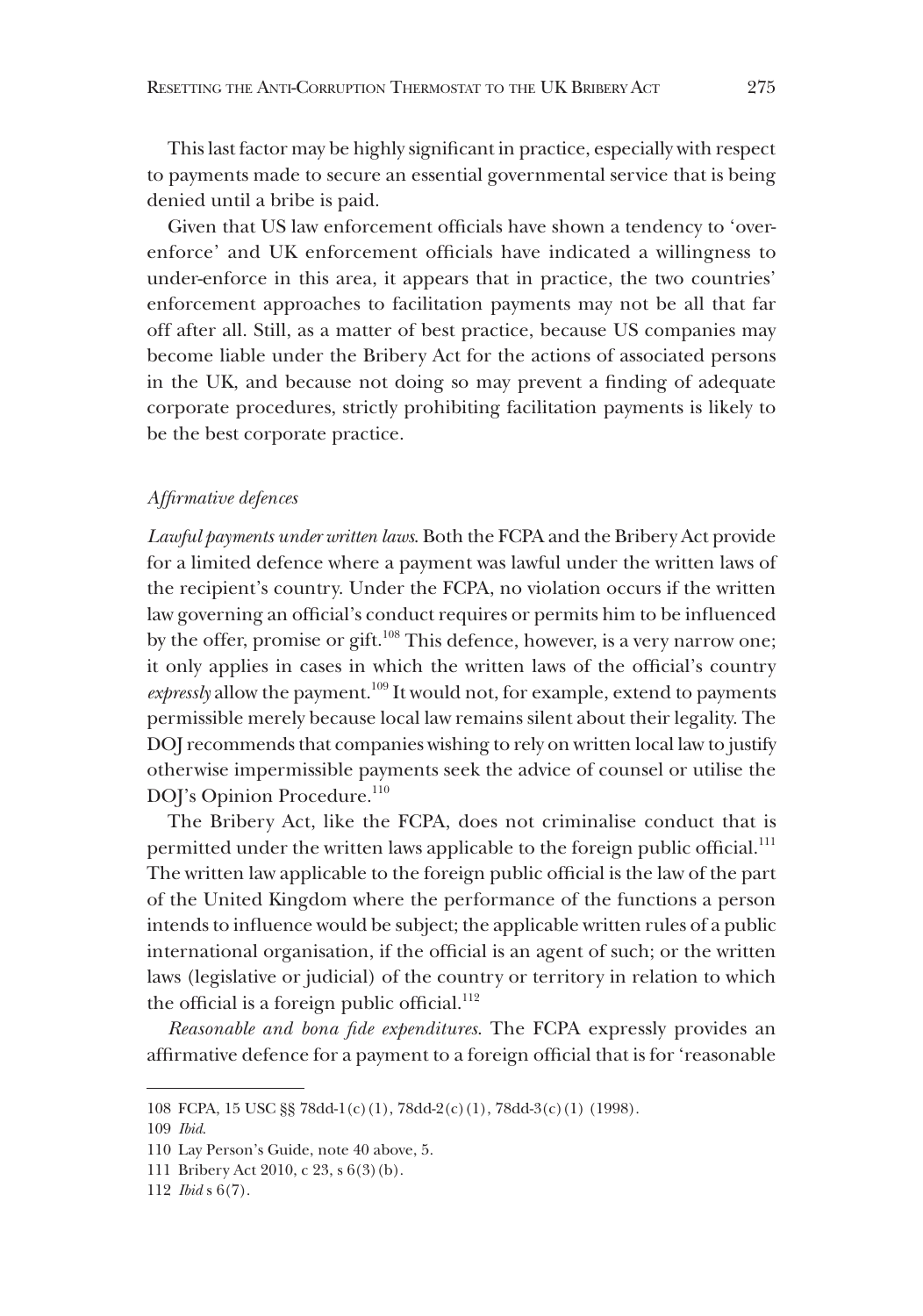This last factor may be highly significant in practice, especially with respect to payments made to secure an essential governmental service that is being denied until a bribe is paid.

Given that US law enforcement officials have shown a tendency to 'overenforce' and UK enforcement officials have indicated a willingness to under-enforce in this area, it appears that in practice, the two countries' enforcement approaches to facilitation payments may not be all that far off after all. Still, as a matter of best practice, because US companies may become liable under the Bribery Act for the actions of associated persons in the UK, and because not doing so may prevent a finding of adequate corporate procedures, strictly prohibiting facilitation payments is likely to be the best corporate practice.

#### *Affirmative defences*

*Lawful payments under written laws*. Both the FCPA and the Bribery Act provide for a limited defence where a payment was lawful under the written laws of the recipient's country. Under the FCPA, no violation occurs if the written law governing an official's conduct requires or permits him to be influenced by the offer, promise or gift.<sup>108</sup> This defence, however, is a very narrow one; it only applies in cases in which the written laws of the official's country expressly allow the payment.<sup>109</sup> It would not, for example, extend to payments permissible merely because local law remains silent about their legality. The DOJ recommends that companies wishing to rely on written local law to justify otherwise impermissible payments seek the advice of counsel or utilise the DOJ's Opinion Procedure.<sup>110</sup>

The Bribery Act, like the FCPA, does not criminalise conduct that is permitted under the written laws applicable to the foreign public official.<sup>111</sup> The written law applicable to the foreign public official is the law of the part of the United Kingdom where the performance of the functions a person intends to influence would be subject; the applicable written rules of a public international organisation, if the official is an agent of such; or the written laws (legislative or judicial) of the country or territory in relation to which the official is a foreign public official.<sup>112</sup>

*Reasonable and bona fide expenditures*. The FCPA expressly provides an affirmative defence for a payment to a foreign official that is for 'reasonable

<sup>108</sup> FCPA, 15 USC §§ 78dd-1(c)(1), 78dd-2(c)(1), 78dd-3(c)(1) (1998).

<sup>109</sup> *Ibid*.

<sup>110</sup> Lay Person's Guide, note 40 above, 5.

<sup>111</sup> Bribery Act 2010, c 23, s 6(3)(b).

<sup>112</sup> *Ibid* s 6(7).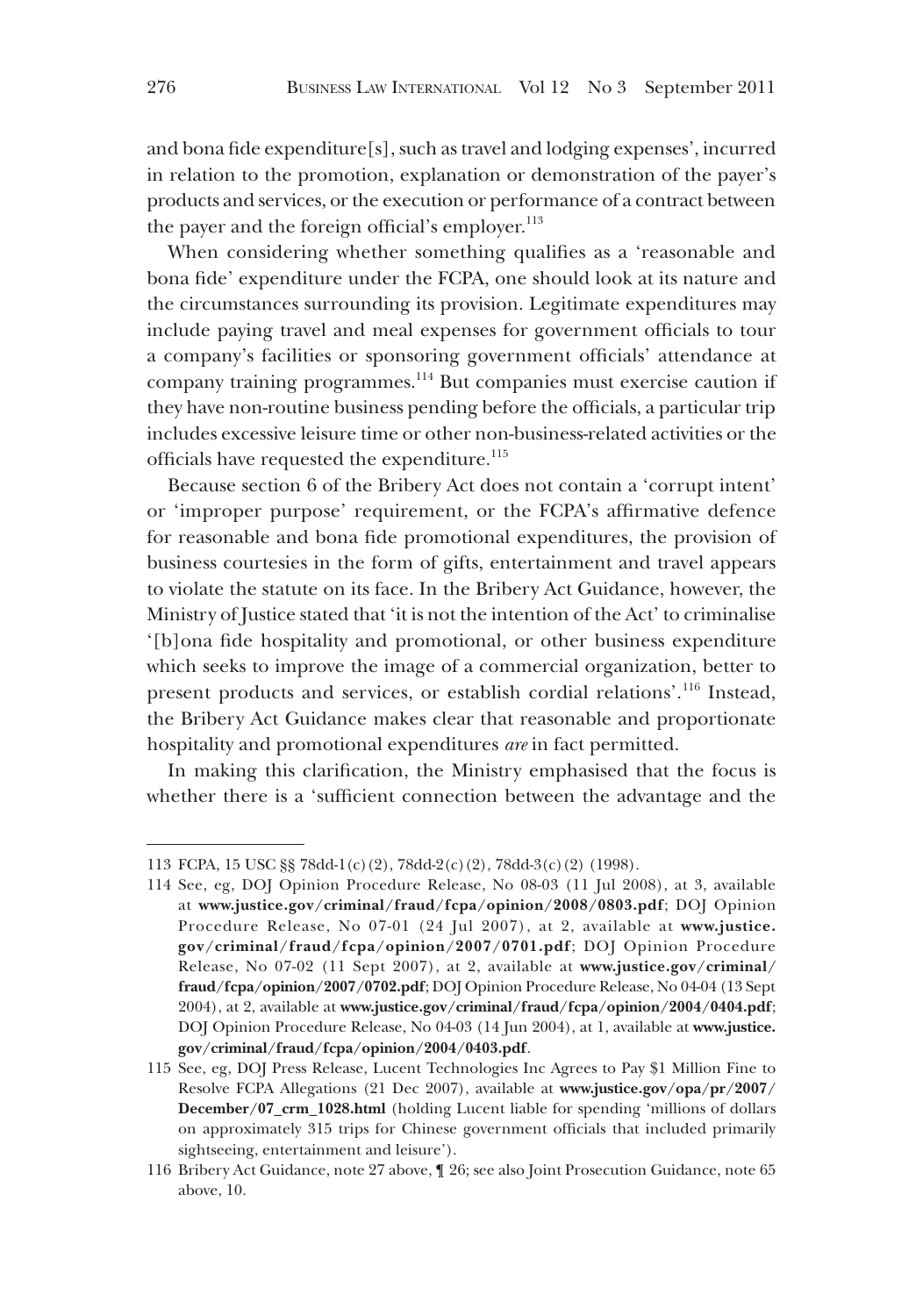and bona fide expenditure[s], such as travel and lodging expenses', incurred in relation to the promotion, explanation or demonstration of the payer's products and services, or the execution or performance of a contract between the payer and the foreign official's employer. $^{113}$ 

When considering whether something qualifies as a 'reasonable and bona fide' expenditure under the FCPA, one should look at its nature and the circumstances surrounding its provision. Legitimate expenditures may include paying travel and meal expenses for government officials to tour a company's facilities or sponsoring government officials' attendance at company training programmes.114 But companies must exercise caution if they have non-routine business pending before the officials, a particular trip includes excessive leisure time or other non-business-related activities or the officials have requested the expenditure.<sup>115</sup>

Because section 6 of the Bribery Act does not contain a 'corrupt intent' or 'improper purpose' requirement, or the FCPA's affirmative defence for reasonable and bona fide promotional expenditures, the provision of business courtesies in the form of gifts, entertainment and travel appears to violate the statute on its face. In the Bribery Act Guidance, however, the Ministry of Justice stated that 'it is not the intention of the Act' to criminalise '[b]ona fide hospitality and promotional, or other business expenditure which seeks to improve the image of a commercial organization, better to present products and services, or establish cordial relations'.116 Instead, the Bribery Act Guidance makes clear that reasonable and proportionate hospitality and promotional expenditures *are* in fact permitted.

In making this clarification, the Ministry emphasised that the focus is whether there is a 'sufficient connection between the advantage and the

<sup>113</sup> FCPA, 15 USC §§ 78dd-1(c)(2), 78dd-2(c)(2), 78dd-3(c)(2) (1998).

<sup>114</sup> See, eg, DOJ Opinion Procedure Release, No 08-03 (11 Jul 2008), at 3, available at **www.justice.gov/criminal/fraud/fcpa/opinion/2008/0803.pdf**; DOJ Opinion Procedure Release, No 07-01 (24 Jul 2007), at 2, available at **www.justice. gov/criminal/fraud/fcpa/opinion/2007/0701.pdf**; DOJ Opinion Procedure Release, No 07-02 (11 Sept 2007), at 2, available at **www.justice.gov/criminal/ fraud/fcpa/opinion/2007/0702.pdf**; DOJ Opinion Procedure Release, No 04-04 (13 Sept 2004), at 2, available at **www.justice.gov/criminal/fraud/fcpa/opinion/2004/0404.pdf**; DOJ Opinion Procedure Release, No 04-03 (14 Jun 2004), at 1, available at **www.justice. gov/criminal/fraud/fcpa/opinion/2004/0403.pdf**.

<sup>115</sup> See, eg, DOJ Press Release, Lucent Technologies Inc Agrees to Pay \$1 Million Fine to Resolve FCPA Allegations (21 Dec 2007), available at **www.justice.gov/opa/pr/2007/ December/07\_crm\_1028.html** (holding Lucent liable for spending 'millions of dollars on approximately 315 trips for Chinese government officials that included primarily sightseeing, entertainment and leisure').

<sup>116</sup> Bribery Act Guidance, note 27 above, ¶ 26; see also Joint Prosecution Guidance, note 65 above, 10.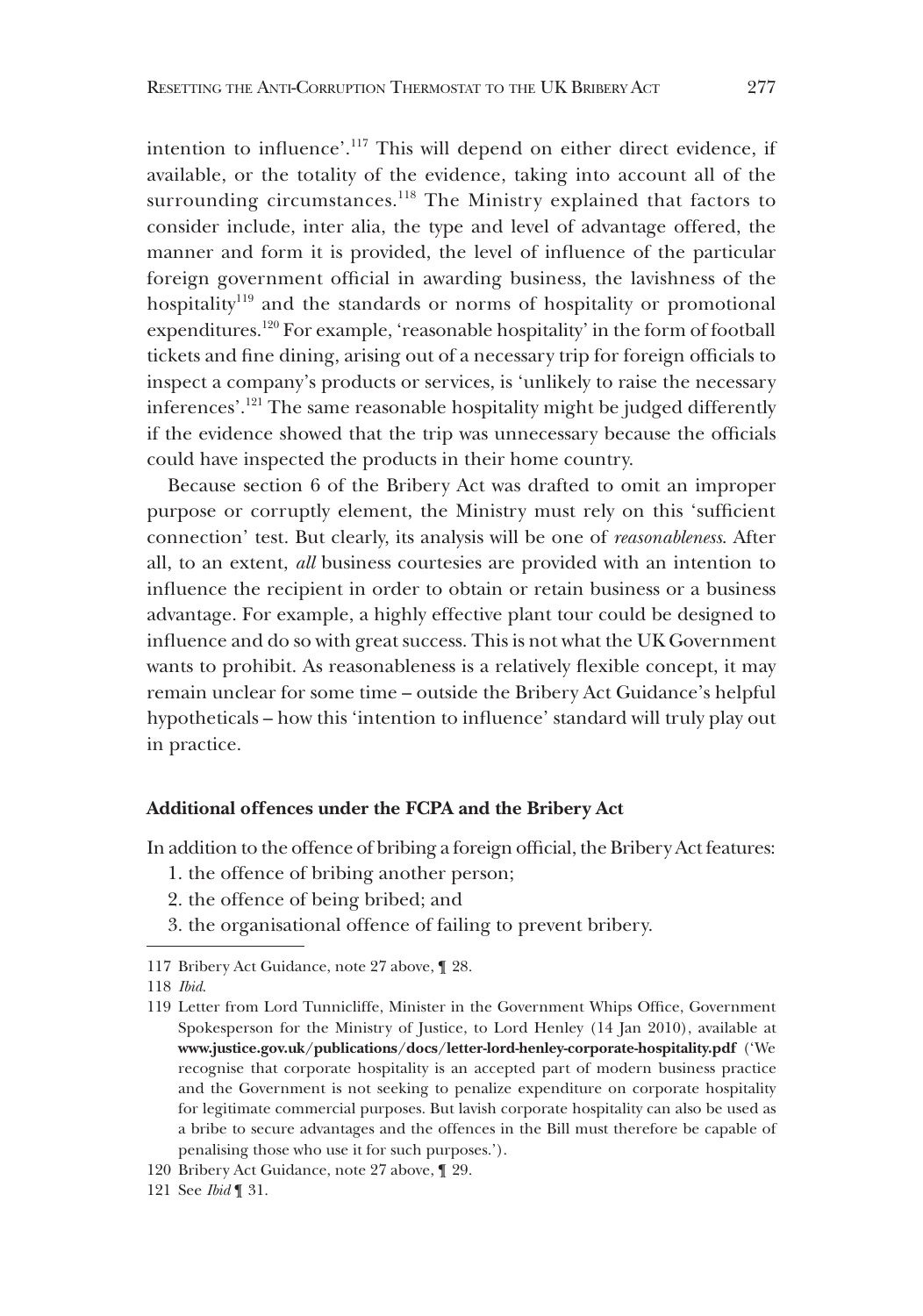intention to influence'.117 This will depend on either direct evidence, if available, or the totality of the evidence, taking into account all of the surrounding circumstances.<sup>118</sup> The Ministry explained that factors to consider include, inter alia, the type and level of advantage offered, the manner and form it is provided, the level of influence of the particular foreign government official in awarding business, the lavishness of the hospitality<sup>119</sup> and the standards or norms of hospitality or promotional expenditures.120 For example, 'reasonable hospitality' in the form of football tickets and fine dining, arising out of a necessary trip for foreign officials to inspect a company's products or services, is 'unlikely to raise the necessary inferences'.121 The same reasonable hospitality might be judged differently if the evidence showed that the trip was unnecessary because the officials could have inspected the products in their home country.

Because section 6 of the Bribery Act was drafted to omit an improper purpose or corruptly element, the Ministry must rely on this 'sufficient connection' test. But clearly, its analysis will be one of *reasonableness*. After all, to an extent, *all* business courtesies are provided with an intention to influence the recipient in order to obtain or retain business or a business advantage. For example, a highly effective plant tour could be designed to influence and do so with great success. This is not what the UK Government wants to prohibit. As reasonableness is a relatively flexible concept, it may remain unclear for some time – outside the Bribery Act Guidance's helpful hypotheticals – how this 'intention to influence' standard will truly play out in practice.

## **Additional offences under the FCPA and the Bribery Act**

In addition to the offence of bribing a foreign official, the Bribery Act features:

- 1. the offence of bribing another person;
- 2. the offence of being bribed; and
- 3. the organisational offence of failing to prevent bribery.

<sup>117</sup> Bribery Act Guidance, note 27 above, ¶ 28.

<sup>118</sup> *Ibid*.

<sup>119</sup> Letter from Lord Tunnicliffe, Minister in the Government Whips Office, Government Spokesperson for the Ministry of Justice, to Lord Henley (14 Jan 2010), available at **www.justice.gov.uk/publications/docs/letter-lord-henley-corporate-hospitality.pdf** ('We recognise that corporate hospitality is an accepted part of modern business practice and the Government is not seeking to penalize expenditure on corporate hospitality for legitimate commercial purposes. But lavish corporate hospitality can also be used as a bribe to secure advantages and the offences in the Bill must therefore be capable of penalising those who use it for such purposes.').

<sup>120</sup> Bribery Act Guidance, note 27 above, ¶ 29.

<sup>121</sup> See *Ibid* ¶ 31.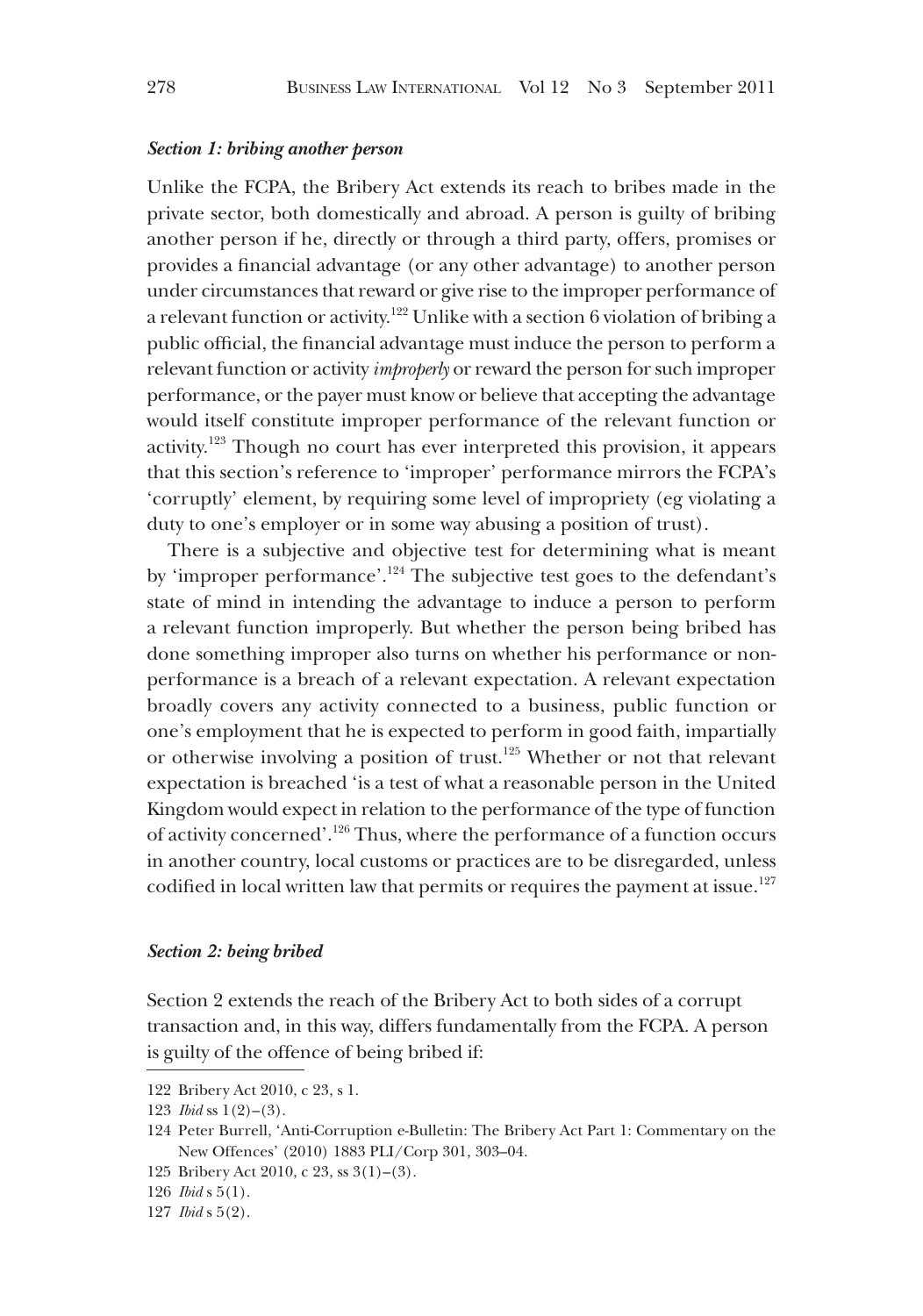#### *Section 1: bribing another person*

Unlike the FCPA, the Bribery Act extends its reach to bribes made in the private sector, both domestically and abroad. A person is guilty of bribing another person if he, directly or through a third party, offers, promises or provides a financial advantage (or any other advantage) to another person under circumstances that reward or give rise to the improper performance of a relevant function or activity.122 Unlike with a section 6 violation of bribing a public official, the financial advantage must induce the person to perform a relevant function or activity *improperly* or reward the person for such improper performance, or the payer must know or believe that accepting the advantage would itself constitute improper performance of the relevant function or activity.123 Though no court has ever interpreted this provision, it appears that this section's reference to 'improper' performance mirrors the FCPA's 'corruptly' element, by requiring some level of impropriety (eg violating a duty to one's employer or in some way abusing a position of trust).

There is a subjective and objective test for determining what is meant by 'improper performance'.<sup>124</sup> The subjective test goes to the defendant's state of mind in intending the advantage to induce a person to perform a relevant function improperly. But whether the person being bribed has done something improper also turns on whether his performance or nonperformance is a breach of a relevant expectation. A relevant expectation broadly covers any activity connected to a business, public function or one's employment that he is expected to perform in good faith, impartially or otherwise involving a position of trust.<sup>125</sup> Whether or not that relevant expectation is breached 'is a test of what a reasonable person in the United Kingdom would expect in relation to the performance of the type of function of activity concerned'.126 Thus, where the performance of a function occurs in another country, local customs or practices are to be disregarded, unless codified in local written law that permits or requires the payment at issue.<sup>127</sup>

#### *Section 2: being bribed*

Section 2 extends the reach of the Bribery Act to both sides of a corrupt transaction and, in this way, differs fundamentally from the FCPA. A person is guilty of the offence of being bribed if:

125 Bribery Act 2010, c 23, ss 3(1)–(3).

<sup>122</sup> Bribery Act 2010, c 23, s 1.

<sup>123</sup> *Ibid* ss 1(2)–(3).

<sup>124</sup> Peter Burrell, 'Anti-Corruption e-Bulletin: The Bribery Act Part 1: Commentary on the New Offences' (2010) 1883 PLI/Corp 301, 303–04.

<sup>126</sup> *Ibid* s 5(1).

<sup>127</sup> *Ibid* s 5(2).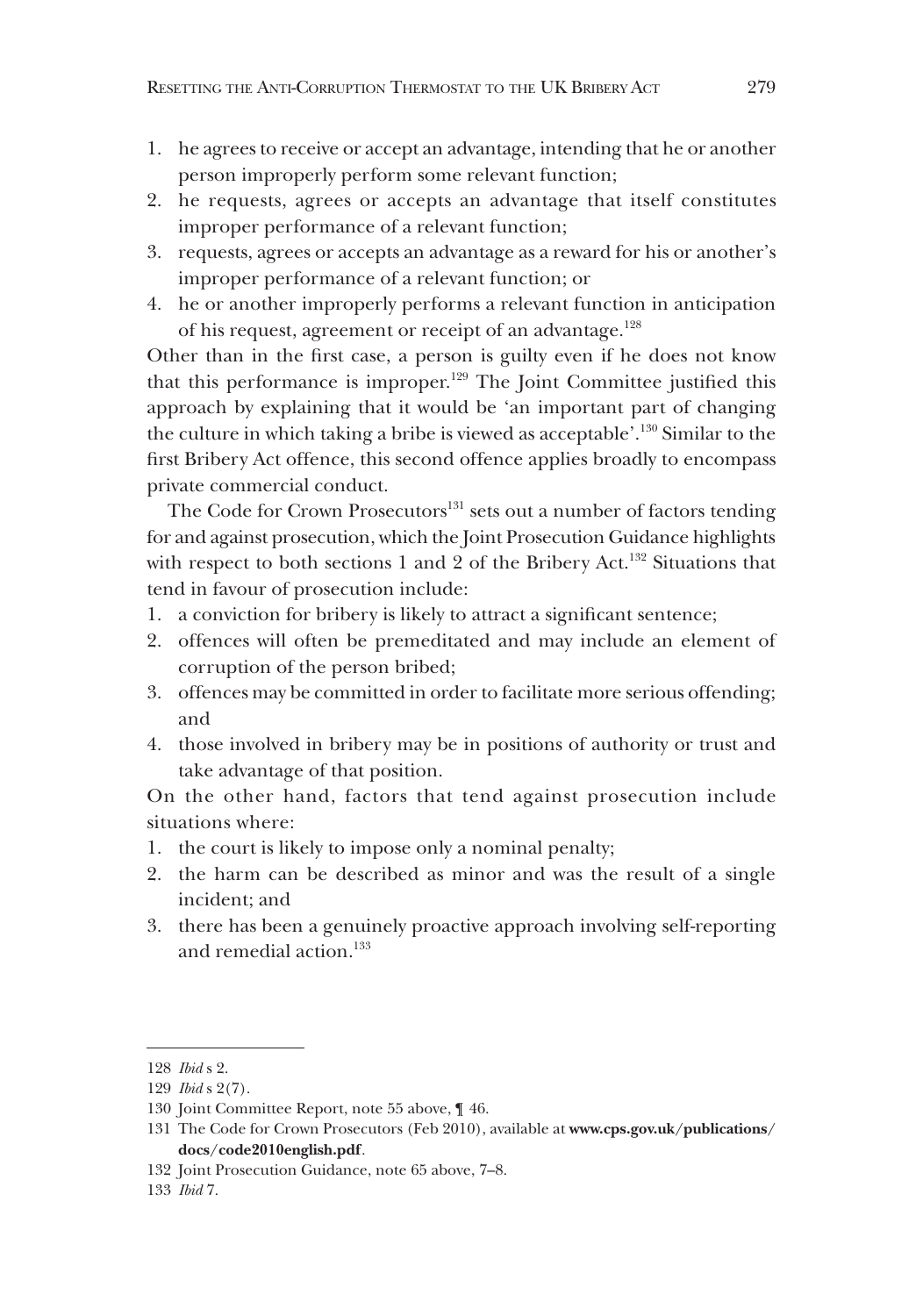- 1. he agrees to receive or accept an advantage, intending that he or another person improperly perform some relevant function;
- 2. he requests, agrees or accepts an advantage that itself constitutes improper performance of a relevant function;
- 3. requests, agrees or accepts an advantage as a reward for his or another's improper performance of a relevant function; or
- 4. he or another improperly performs a relevant function in anticipation of his request, agreement or receipt of an advantage.<sup>128</sup>

Other than in the first case, a person is guilty even if he does not know that this performance is improper.<sup>129</sup> The Joint Committee justified this approach by explaining that it would be 'an important part of changing the culture in which taking a bribe is viewed as acceptable'.130 Similar to the first Bribery Act offence, this second offence applies broadly to encompass private commercial conduct.

The Code for Crown Prosecutors<sup>131</sup> sets out a number of factors tending for and against prosecution, which the Joint Prosecution Guidance highlights with respect to both sections 1 and 2 of the Bribery Act.<sup>132</sup> Situations that tend in favour of prosecution include:

- 1. a conviction for bribery is likely to attract a significant sentence;
- 2. offences will often be premeditated and may include an element of corruption of the person bribed;
- 3. offences may be committed in order to facilitate more serious offending; and
- 4. those involved in bribery may be in positions of authority or trust and take advantage of that position.

On the other hand, factors that tend against prosecution include situations where:

- 1. the court is likely to impose only a nominal penalty;
- 2. the harm can be described as minor and was the result of a single incident; and
- 3. there has been a genuinely proactive approach involving self-reporting and remedial action.<sup>133</sup>

<sup>128</sup> *Ibid* s 2.

<sup>129</sup> *Ibid* s 2(7).

<sup>130</sup> Joint Committee Report, note 55 above, ¶ 46.

<sup>131</sup> The Code for Crown Prosecutors (Feb 2010), available at **www.cps.gov.uk/publications/ docs/code2010english.pdf**.

<sup>132</sup> Joint Prosecution Guidance, note 65 above, 7–8.

<sup>133</sup> *Ibid* 7.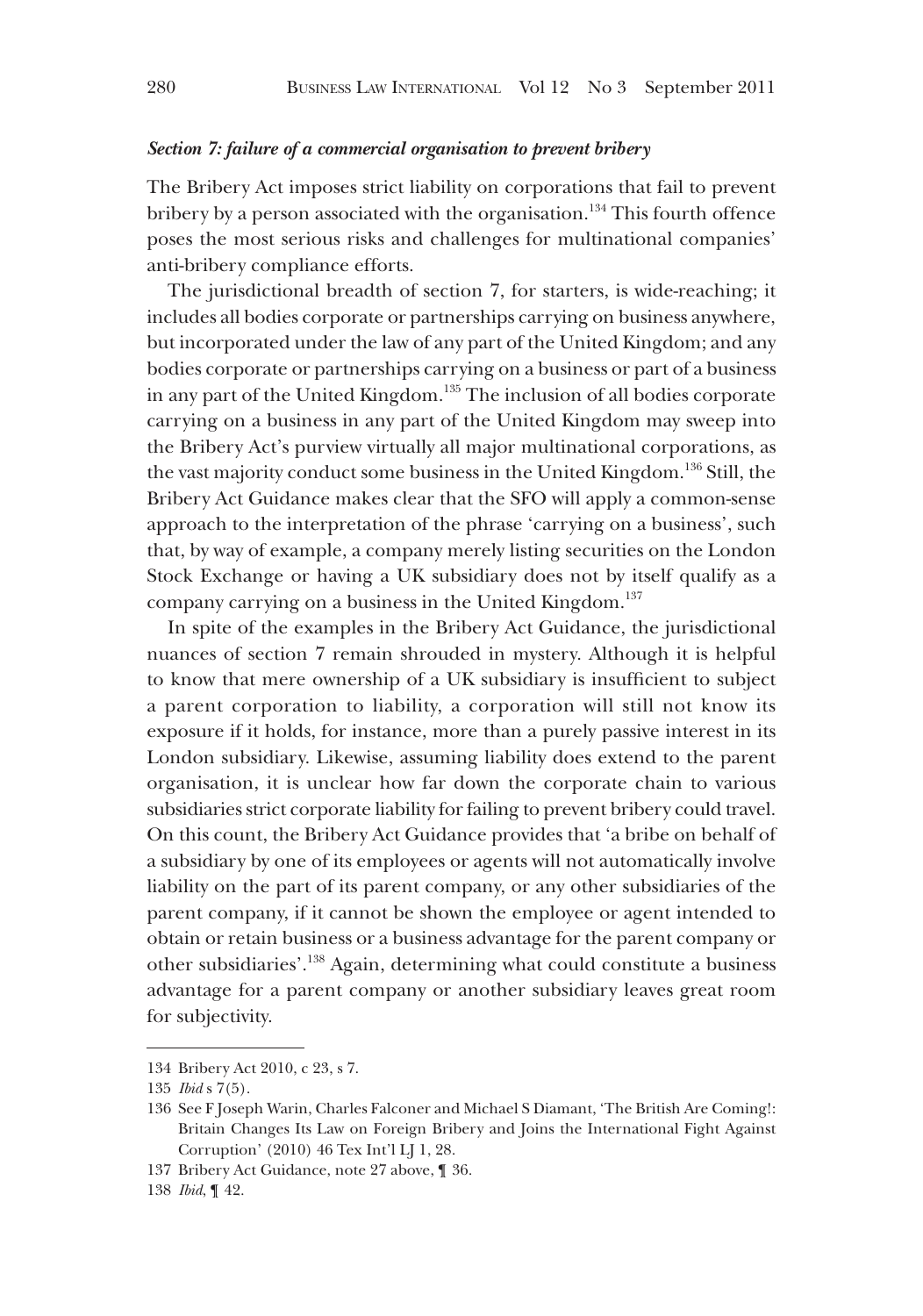## *Section 7: failure of a commercial organisation to prevent bribery*

The Bribery Act imposes strict liability on corporations that fail to prevent bribery by a person associated with the organisation.<sup>134</sup> This fourth offence poses the most serious risks and challenges for multinational companies' anti-bribery compliance efforts.

The jurisdictional breadth of section 7, for starters, is wide-reaching; it includes all bodies corporate or partnerships carrying on business anywhere, but incorporated under the law of any part of the United Kingdom; and any bodies corporate or partnerships carrying on a business or part of a business in any part of the United Kingdom.135 The inclusion of all bodies corporate carrying on a business in any part of the United Kingdom may sweep into the Bribery Act's purview virtually all major multinational corporations, as the vast majority conduct some business in the United Kingdom.<sup>136</sup> Still, the Bribery Act Guidance makes clear that the SFO will apply a common-sense approach to the interpretation of the phrase 'carrying on a business', such that, by way of example, a company merely listing securities on the London Stock Exchange or having a UK subsidiary does not by itself qualify as a company carrying on a business in the United Kingdom.<sup>137</sup>

In spite of the examples in the Bribery Act Guidance, the jurisdictional nuances of section 7 remain shrouded in mystery. Although it is helpful to know that mere ownership of a UK subsidiary is insufficient to subject a parent corporation to liability, a corporation will still not know its exposure if it holds, for instance, more than a purely passive interest in its London subsidiary. Likewise, assuming liability does extend to the parent organisation, it is unclear how far down the corporate chain to various subsidiaries strict corporate liability for failing to prevent bribery could travel. On this count, the Bribery Act Guidance provides that 'a bribe on behalf of a subsidiary by one of its employees or agents will not automatically involve liability on the part of its parent company, or any other subsidiaries of the parent company, if it cannot be shown the employee or agent intended to obtain or retain business or a business advantage for the parent company or other subsidiaries'.138 Again, determining what could constitute a business advantage for a parent company or another subsidiary leaves great room for subjectivity.

<sup>134</sup> Bribery Act 2010, c 23, s 7.

<sup>135</sup> *Ibid* s 7(5).

<sup>136</sup> See F Joseph Warin, Charles Falconer and Michael S Diamant, 'The British Are Coming!: Britain Changes Its Law on Foreign Bribery and Joins the International Fight Against Corruption' (2010) 46 Tex Int'l LJ 1, 28.

<sup>137</sup> Bribery Act Guidance, note 27 above, ¶ 36.

<sup>138</sup> *Ibid*, ¶ 42.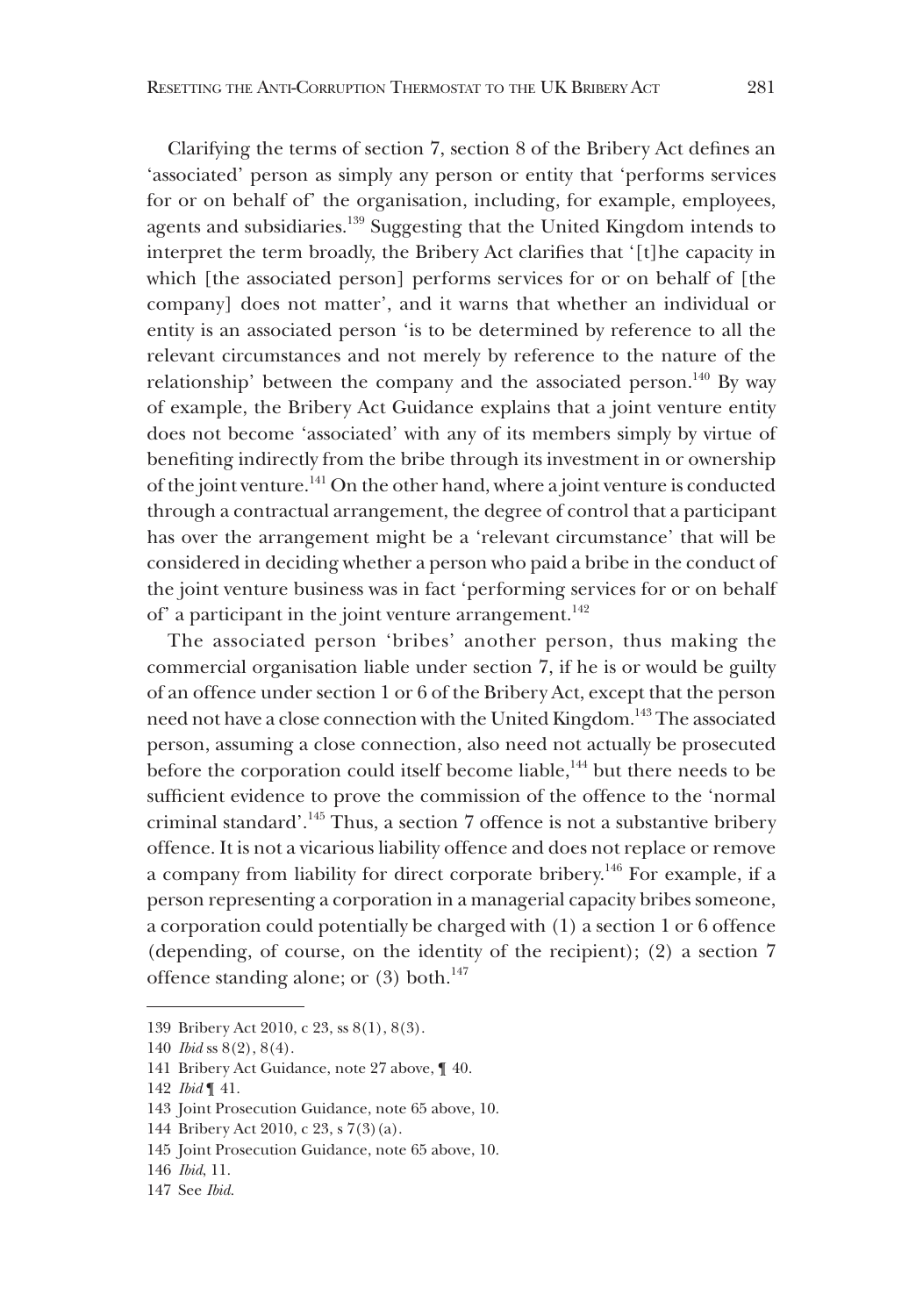Clarifying the terms of section 7, section 8 of the Bribery Act defines an 'associated' person as simply any person or entity that 'performs services for or on behalf of' the organisation, including, for example, employees, agents and subsidiaries.<sup>139</sup> Suggesting that the United Kingdom intends to interpret the term broadly, the Bribery Act clarifies that '[t]he capacity in which [the associated person] performs services for or on behalf of [the company] does not matter', and it warns that whether an individual or entity is an associated person 'is to be determined by reference to all the relevant circumstances and not merely by reference to the nature of the relationship' between the company and the associated person.<sup>140</sup> By way of example, the Bribery Act Guidance explains that a joint venture entity does not become 'associated' with any of its members simply by virtue of benefiting indirectly from the bribe through its investment in or ownership of the joint venture.<sup>141</sup> On the other hand, where a joint venture is conducted through a contractual arrangement, the degree of control that a participant has over the arrangement might be a 'relevant circumstance' that will be considered in deciding whether a person who paid a bribe in the conduct of the joint venture business was in fact 'performing services for or on behalf of' a participant in the joint venture arrangement.<sup>142</sup>

The associated person 'bribes' another person, thus making the commercial organisation liable under section 7, if he is or would be guilty of an offence under section 1 or 6 of the Bribery Act, except that the person need not have a close connection with the United Kingdom.<sup>143</sup> The associated person, assuming a close connection, also need not actually be prosecuted before the corporation could itself become liable,<sup>144</sup> but there needs to be sufficient evidence to prove the commission of the offence to the 'normal criminal standard'.145 Thus, a section 7 offence is not a substantive bribery offence. It is not a vicarious liability offence and does not replace or remove a company from liability for direct corporate bribery.146 For example, if a person representing a corporation in a managerial capacity bribes someone, a corporation could potentially be charged with (1) a section 1 or 6 offence (depending, of course, on the identity of the recipient); (2) a section 7 offence standing alone; or  $(3)$  both.<sup>147</sup>

<sup>139</sup> Bribery Act 2010, c 23, ss 8(1), 8(3).

<sup>140</sup> *Ibid* ss 8(2), 8(4).

<sup>141</sup> Bribery Act Guidance, note 27 above, ¶ 40.

<sup>142</sup> *Ibid* ¶ 41.

<sup>143</sup> Joint Prosecution Guidance, note 65 above, 10.

<sup>144</sup> Bribery Act 2010, c 23, s 7(3)(a).

<sup>145</sup> Joint Prosecution Guidance, note 65 above, 10.

<sup>146</sup> *Ibid*, 11.

<sup>147</sup> See *Ibid*.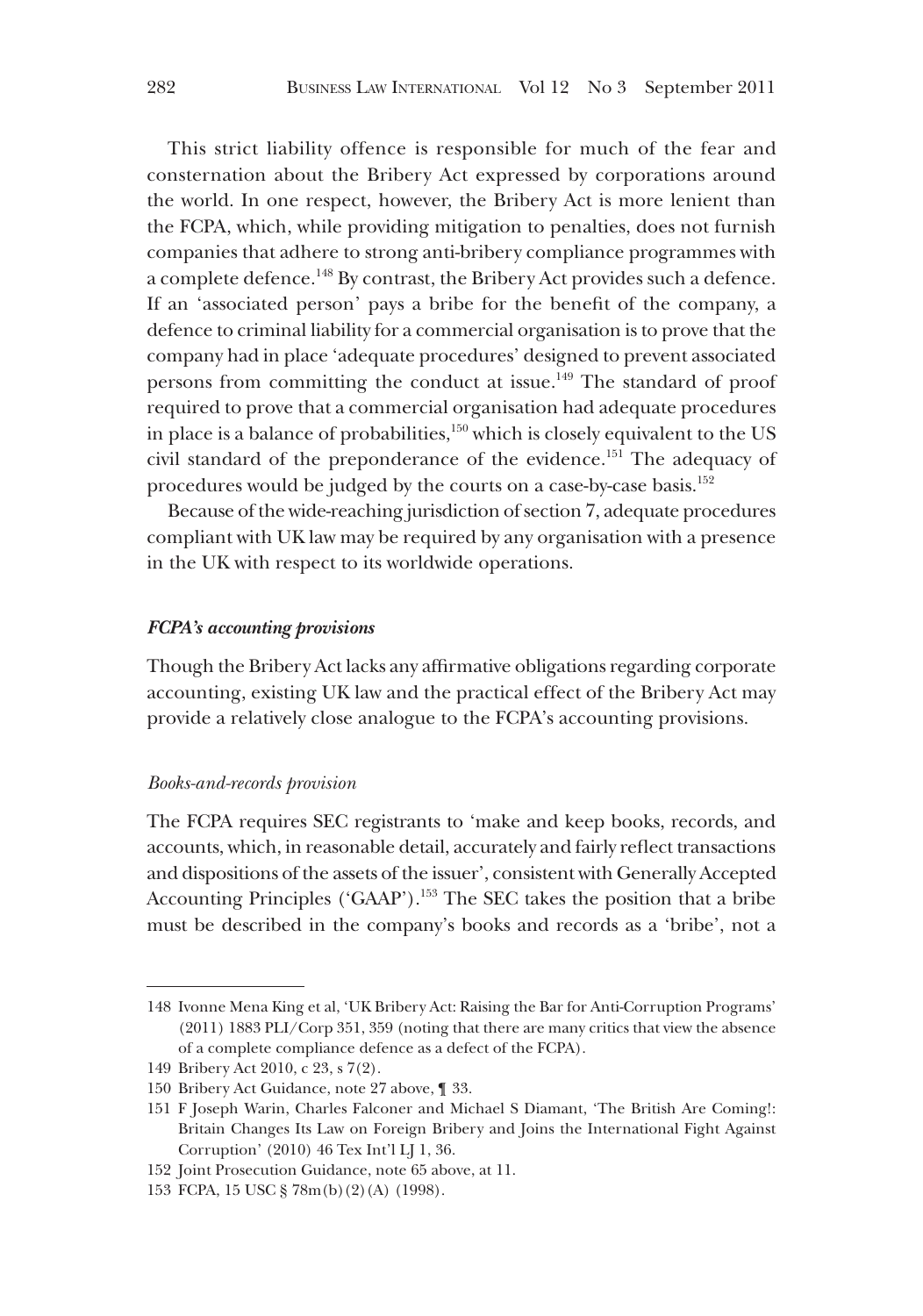This strict liability offence is responsible for much of the fear and consternation about the Bribery Act expressed by corporations around the world. In one respect, however, the Bribery Act is more lenient than the FCPA, which, while providing mitigation to penalties, does not furnish companies that adhere to strong anti-bribery compliance programmes with a complete defence.<sup>148</sup> By contrast, the Bribery Act provides such a defence. If an 'associated person' pays a bribe for the benefit of the company, a defence to criminal liability for a commercial organisation is to prove that the company had in place 'adequate procedures' designed to prevent associated persons from committing the conduct at issue.<sup>149</sup> The standard of proof required to prove that a commercial organisation had adequate procedures in place is a balance of probabilities, $150$  which is closely equivalent to the US civil standard of the preponderance of the evidence.<sup>151</sup> The adequacy of procedures would be judged by the courts on a case-by-case basis.<sup>152</sup>

Because of the wide-reaching jurisdiction of section 7, adequate procedures compliant with UK law may be required by any organisation with a presence in the UK with respect to its worldwide operations.

### *FCPA's accounting provisions*

Though the Bribery Act lacks any affirmative obligations regarding corporate accounting, existing UK law and the practical effect of the Bribery Act may provide a relatively close analogue to the FCPA's accounting provisions.

#### *Books-and-records provision*

The FCPA requires SEC registrants to 'make and keep books, records, and accounts, which, in reasonable detail, accurately and fairly reflect transactions and dispositions of the assets of the issuer', consistent with Generally Accepted Accounting Principles ('GAAP').<sup>153</sup> The SEC takes the position that a bribe must be described in the company's books and records as a 'bribe', not a

<sup>148</sup> Ivonne Mena King et al, 'UK Bribery Act: Raising the Bar for Anti-Corruption Programs' (2011) 1883 PLI/Corp 351, 359 (noting that there are many critics that view the absence of a complete compliance defence as a defect of the FCPA).

<sup>149</sup> Bribery Act 2010, c 23, s 7(2).

<sup>150</sup> Bribery Act Guidance, note 27 above, ¶ 33.

<sup>151</sup> F Joseph Warin, Charles Falconer and Michael S Diamant, 'The British Are Coming!: Britain Changes Its Law on Foreign Bribery and Joins the International Fight Against Corruption' (2010) 46 Tex Int'l LJ 1, 36.

<sup>152</sup> Joint Prosecution Guidance, note 65 above, at 11.

<sup>153</sup> FCPA, 15 USC § 78m(b)(2)(A) (1998).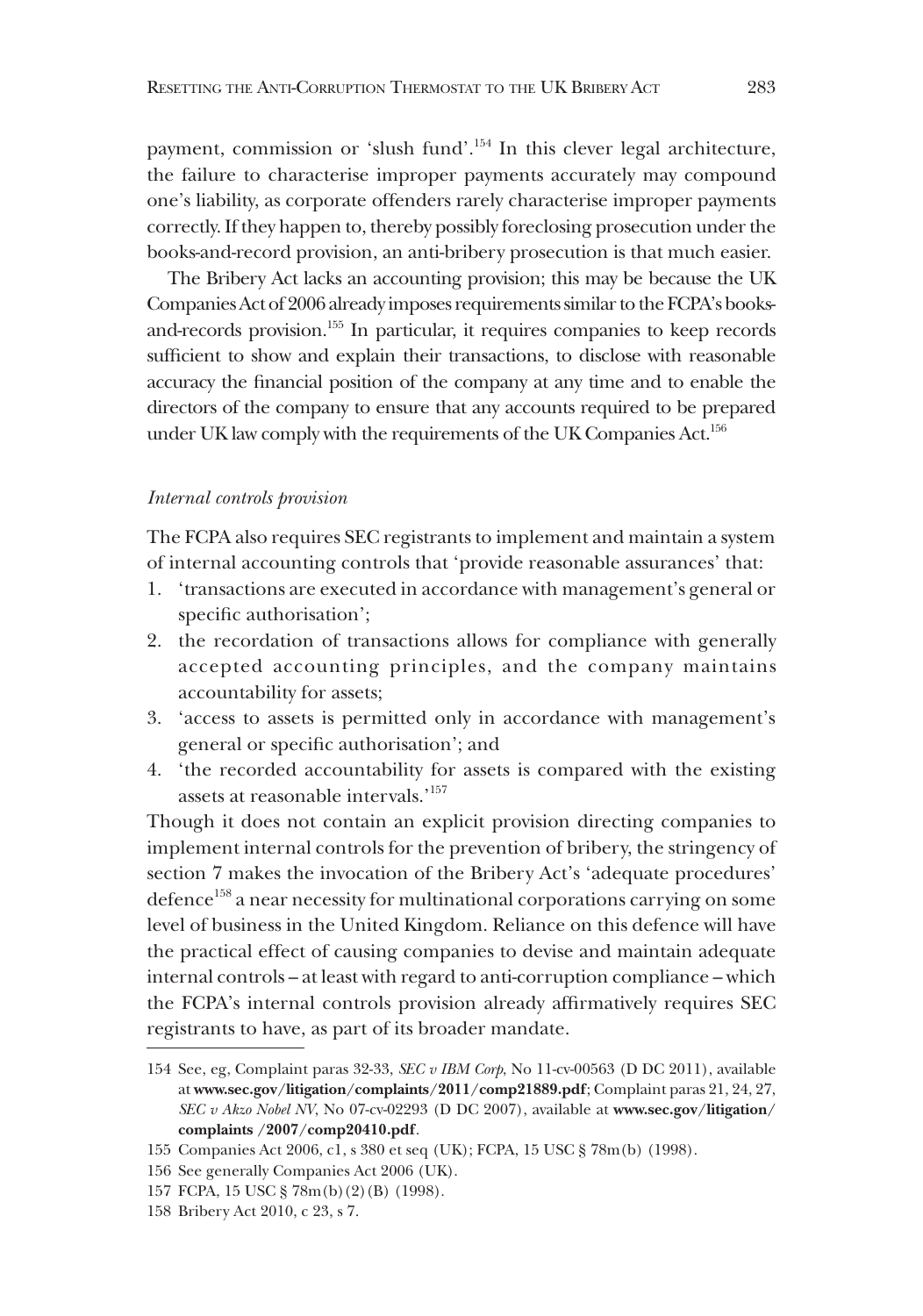payment, commission or 'slush fund'.154 In this clever legal architecture, the failure to characterise improper payments accurately may compound one's liability, as corporate offenders rarely characterise improper payments correctly. If they happen to, thereby possibly foreclosing prosecution under the books-and-record provision, an anti-bribery prosecution is that much easier.

The Bribery Act lacks an accounting provision; this may be because the UK Companies Act of 2006 already imposes requirements similar to the FCPA's booksand-records provision.155 In particular, it requires companies to keep records sufficient to show and explain their transactions, to disclose with reasonable accuracy the financial position of the company at any time and to enable the directors of the company to ensure that any accounts required to be prepared under UK law comply with the requirements of the UK Companies Act.<sup>156</sup>

#### *Internal controls provision*

The FCPA also requires SEC registrants to implement and maintain a system of internal accounting controls that 'provide reasonable assurances' that:

- 1. 'transactions are executed in accordance with management's general or specific authorisation';
- 2. the recordation of transactions allows for compliance with generally accepted accounting principles, and the company maintains accountability for assets;
- 3. 'access to assets is permitted only in accordance with management's general or specific authorisation'; and
- 4. 'the recorded accountability for assets is compared with the existing assets at reasonable intervals.'157

Though it does not contain an explicit provision directing companies to implement internal controls for the prevention of bribery, the stringency of section 7 makes the invocation of the Bribery Act's 'adequate procedures' defence<sup>158</sup> a near necessity for multinational corporations carrying on some level of business in the United Kingdom. Reliance on this defence will have the practical effect of causing companies to devise and maintain adequate internal controls – at least with regard to anti-corruption compliance – which the FCPA's internal controls provision already affirmatively requires SEC registrants to have, as part of its broader mandate.

<sup>154</sup> See, eg, Complaint paras 32-33, *SEC v IBM Corp*, No 11-cv-00563 (D DC 2011), available at **www.sec.gov/litigation/complaints/2011/comp21889.pdf**; Complaint paras 21, 24, 27, *SEC v Akzo Nobel NV*, No 07-cv-02293 (D DC 2007), available at **www.sec.gov/litigation/ complaints /2007/comp20410.pdf**.

<sup>155</sup> Companies Act 2006, c1, s 380 et seq (UK); FCPA, 15 USC § 78m(b) (1998).

<sup>156</sup> See generally Companies Act 2006 (UK).

<sup>157</sup> FCPA, 15 USC § 78m(b)(2)(B) (1998).

<sup>158</sup> Bribery Act 2010, c 23, s 7.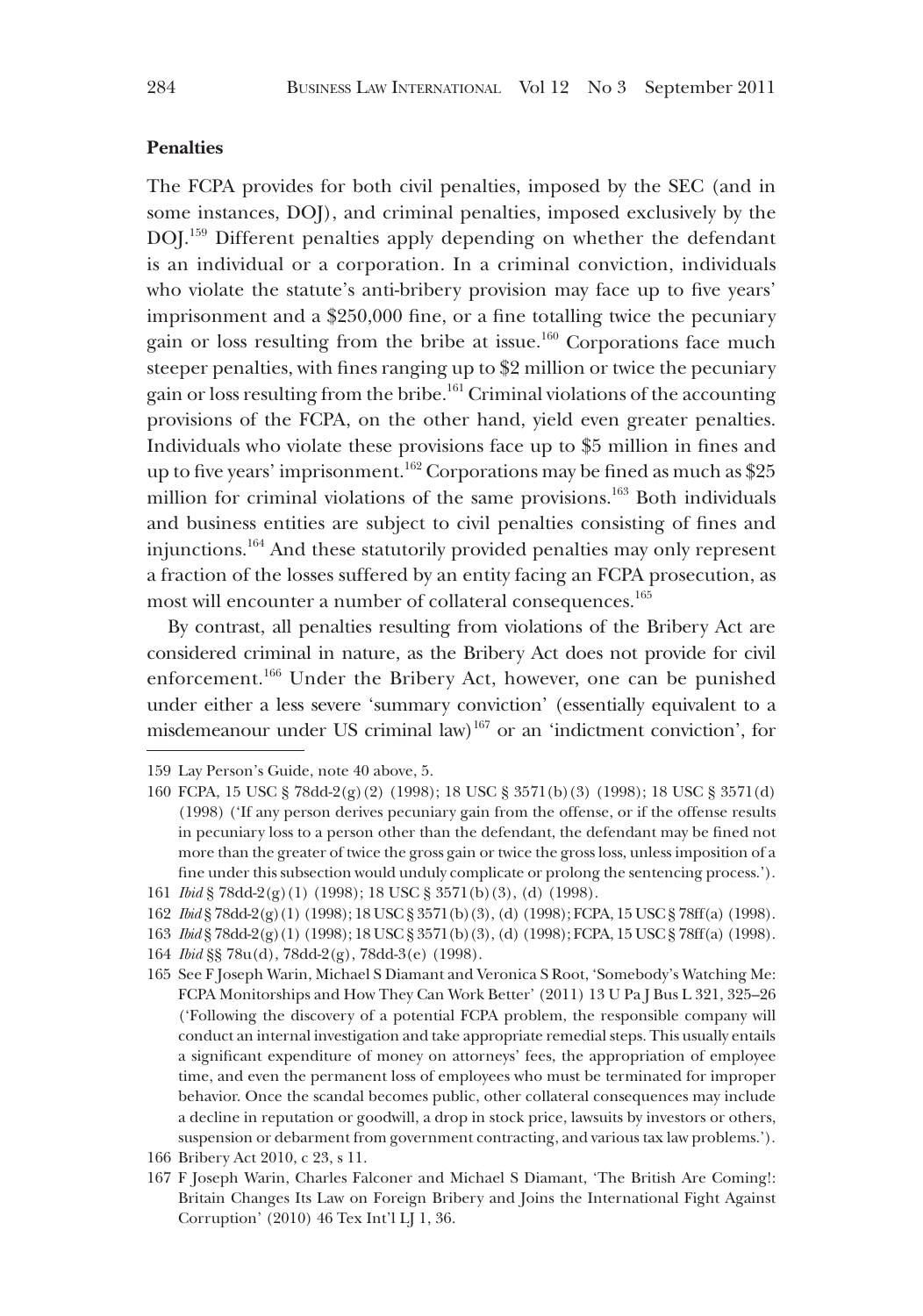# **Penalties**

The FCPA provides for both civil penalties, imposed by the SEC (and in some instances, DOJ), and criminal penalties, imposed exclusively by the DOJ.159 Different penalties apply depending on whether the defendant is an individual or a corporation. In a criminal conviction, individuals who violate the statute's anti-bribery provision may face up to five years' imprisonment and a \$250,000 fine, or a fine totalling twice the pecuniary gain or loss resulting from the bribe at issue.<sup>160</sup> Corporations face much steeper penalties, with fines ranging up to \$2 million or twice the pecuniary gain or loss resulting from the bribe.<sup>161</sup> Criminal violations of the accounting provisions of the FCPA, on the other hand, yield even greater penalties. Individuals who violate these provisions face up to \$5 million in fines and up to five years' imprisonment.<sup>162</sup> Corporations may be fined as much as \$25 million for criminal violations of the same provisions.<sup>163</sup> Both individuals and business entities are subject to civil penalties consisting of fines and injunctions.164 And these statutorily provided penalties may only represent a fraction of the losses suffered by an entity facing an FCPA prosecution, as most will encounter a number of collateral consequences.<sup>165</sup>

By contrast, all penalties resulting from violations of the Bribery Act are considered criminal in nature, as the Bribery Act does not provide for civil enforcement.166 Under the Bribery Act, however, one can be punished under either a less severe 'summary conviction' (essentially equivalent to a misdemeanour under US criminal law)<sup>167</sup> or an 'indictment conviction', for

<sup>159</sup> Lay Person's Guide, note 40 above, 5.

<sup>160</sup> FCPA, 15 USC § 78dd-2(g)(2) (1998); 18 USC § 3571(b)(3) (1998); 18 USC § 3571(d) (1998) ('If any person derives pecuniary gain from the offense, or if the offense results in pecuniary loss to a person other than the defendant, the defendant may be fined not more than the greater of twice the gross gain or twice the gross loss, unless imposition of a fine under this subsection would unduly complicate or prolong the sentencing process.'). 161 *Ibid* § 78dd-2(g)(1) (1998); 18 USC § 3571(b)(3), (d) (1998).

<sup>162</sup> *Ibid* § 78dd-2(g)(1) (1998); 18 USC § 3571(b)(3), (d) (1998); FCPA, 15 USC § 78ff(a) (1998).

<sup>163</sup> *Ibid* § 78dd-2(g)(1) (1998); 18 USC § 3571(b)(3), (d) (1998); FCPA, 15 USC § 78ff(a) (1998).

<sup>164</sup> *Ibid* §§ 78u(d), 78dd-2(g), 78dd-3(e) (1998).

<sup>165</sup> See F Joseph Warin, Michael S Diamant and Veronica S Root, 'Somebody's Watching Me: FCPA Monitorships and How They Can Work Better' (2011) 13 U Pa J Bus L 321, 325–26 ('Following the discovery of a potential FCPA problem, the responsible company will conduct an internal investigation and take appropriate remedial steps. This usually entails a significant expenditure of money on attorneys' fees, the appropriation of employee time, and even the permanent loss of employees who must be terminated for improper behavior. Once the scandal becomes public, other collateral consequences may include a decline in reputation or goodwill, a drop in stock price, lawsuits by investors or others, suspension or debarment from government contracting, and various tax law problems.').

<sup>166</sup> Bribery Act 2010, c 23, s 11.

<sup>167</sup> F Joseph Warin, Charles Falconer and Michael S Diamant, 'The British Are Coming!: Britain Changes Its Law on Foreign Bribery and Joins the International Fight Against Corruption' (2010) 46 Tex Int'l LJ 1, 36.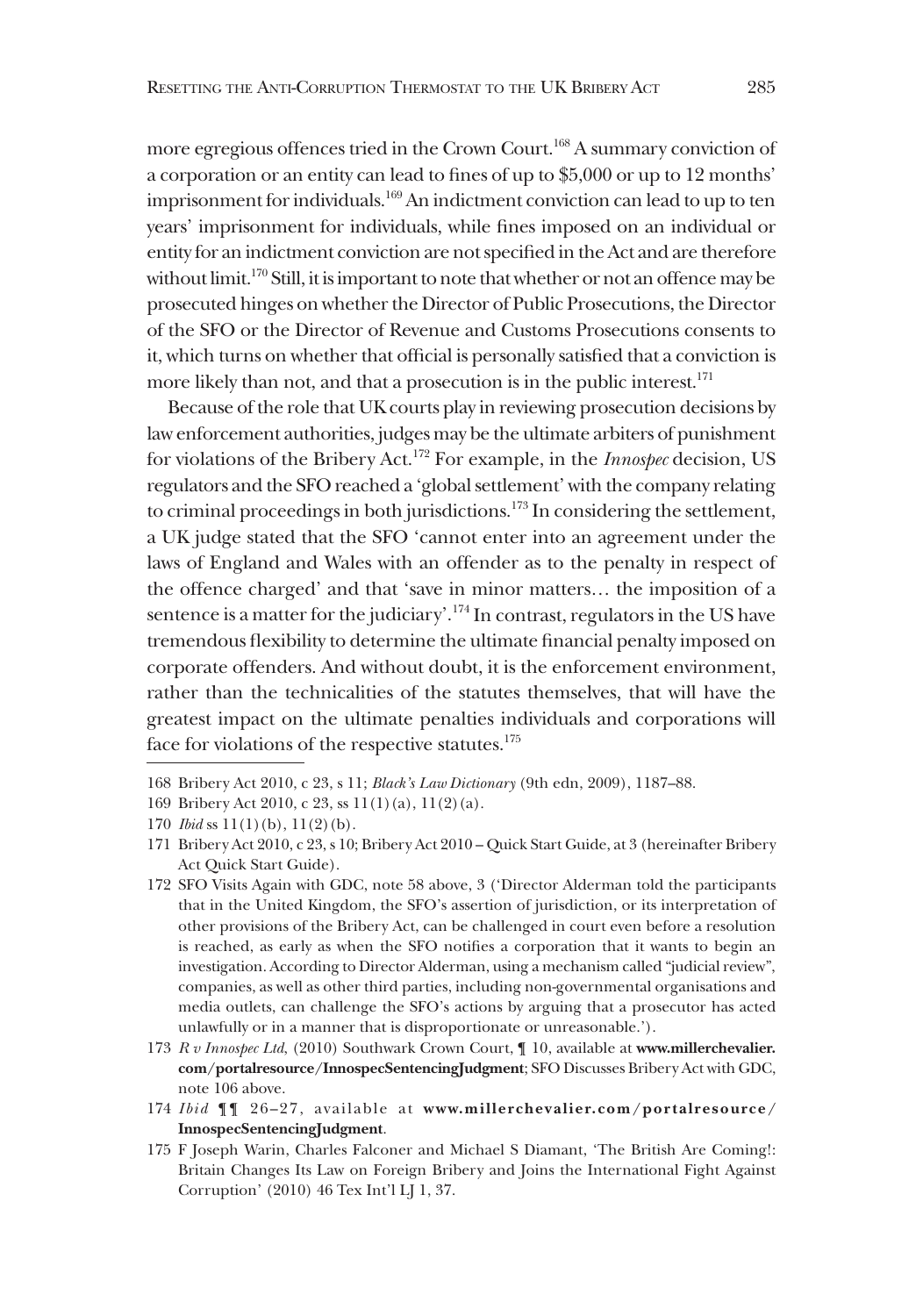more egregious offences tried in the Crown Court.<sup>168</sup> A summary conviction of a corporation or an entity can lead to fines of up to \$5,000 or up to 12 months' imprisonment for individuals.<sup>169</sup> An indictment conviction can lead to up to ten years' imprisonment for individuals, while fines imposed on an individual or entity for an indictment conviction are not specified in the Act and are therefore without limit.170 Still, it is important to note that whether or not an offence may be prosecuted hinges on whether the Director of Public Prosecutions, the Director of the SFO or the Director of Revenue and Customs Prosecutions consents to it, which turns on whether that official is personally satisfied that a conviction is more likely than not, and that a prosecution is in the public interest.<sup>171</sup>

Because of the role that UK courts play in reviewing prosecution decisions by law enforcement authorities, judges may be the ultimate arbiters of punishment for violations of the Bribery Act.172 For example, in the *Innospec* decision, US regulators and the SFO reached a 'global settlement' with the company relating to criminal proceedings in both jurisdictions.<sup>173</sup> In considering the settlement, a UK judge stated that the SFO 'cannot enter into an agreement under the laws of England and Wales with an offender as to the penalty in respect of the offence charged' and that 'save in minor matters… the imposition of a sentence is a matter for the judiciary'.174 In contrast, regulators in the US have tremendous flexibility to determine the ultimate financial penalty imposed on corporate offenders. And without doubt, it is the enforcement environment, rather than the technicalities of the statutes themselves, that will have the greatest impact on the ultimate penalties individuals and corporations will face for violations of the respective statutes.<sup>175</sup>

- 172 SFO Visits Again with GDC, note 58 above, 3 ('Director Alderman told the participants that in the United Kingdom, the SFO's assertion of jurisdiction, or its interpretation of other provisions of the Bribery Act, can be challenged in court even before a resolution is reached, as early as when the SFO notifies a corporation that it wants to begin an investigation. According to Director Alderman, using a mechanism called "judicial review", companies, as well as other third parties, including non-governmental organisations and media outlets, can challenge the SFO's actions by arguing that a prosecutor has acted unlawfully or in a manner that is disproportionate or unreasonable.').
- 173 *R v Innospec Ltd*, (2010) Southwark Crown Court, ¶ 10, available at **www.millerchevalier. com/portalresource/InnospecSentencingJudgment**; SFO Discusses Bribery Act with GDC, note 106 above.
- 174 *Ibid* ¶¶ 26–27, available at **www.millerchevalier.com/portalresource/ InnospecSentencingJudgment**.
- 175 F Joseph Warin, Charles Falconer and Michael S Diamant, 'The British Are Coming!: Britain Changes Its Law on Foreign Bribery and Joins the International Fight Against Corruption' (2010) 46 Tex Int'l LJ 1, 37.

<sup>168</sup> Bribery Act 2010, c 23, s 11; *Black's Law Dictionary* (9th edn, 2009), 1187–88.

<sup>169</sup> Bribery Act 2010, c 23, ss 11(1)(a), 11(2)(a).

<sup>170</sup> *Ibid* ss 11(1)(b), 11(2)(b).

<sup>171</sup> Bribery Act 2010, c 23, s 10; Bribery Act 2010 – Quick Start Guide, at 3 (hereinafter Bribery Act Quick Start Guide).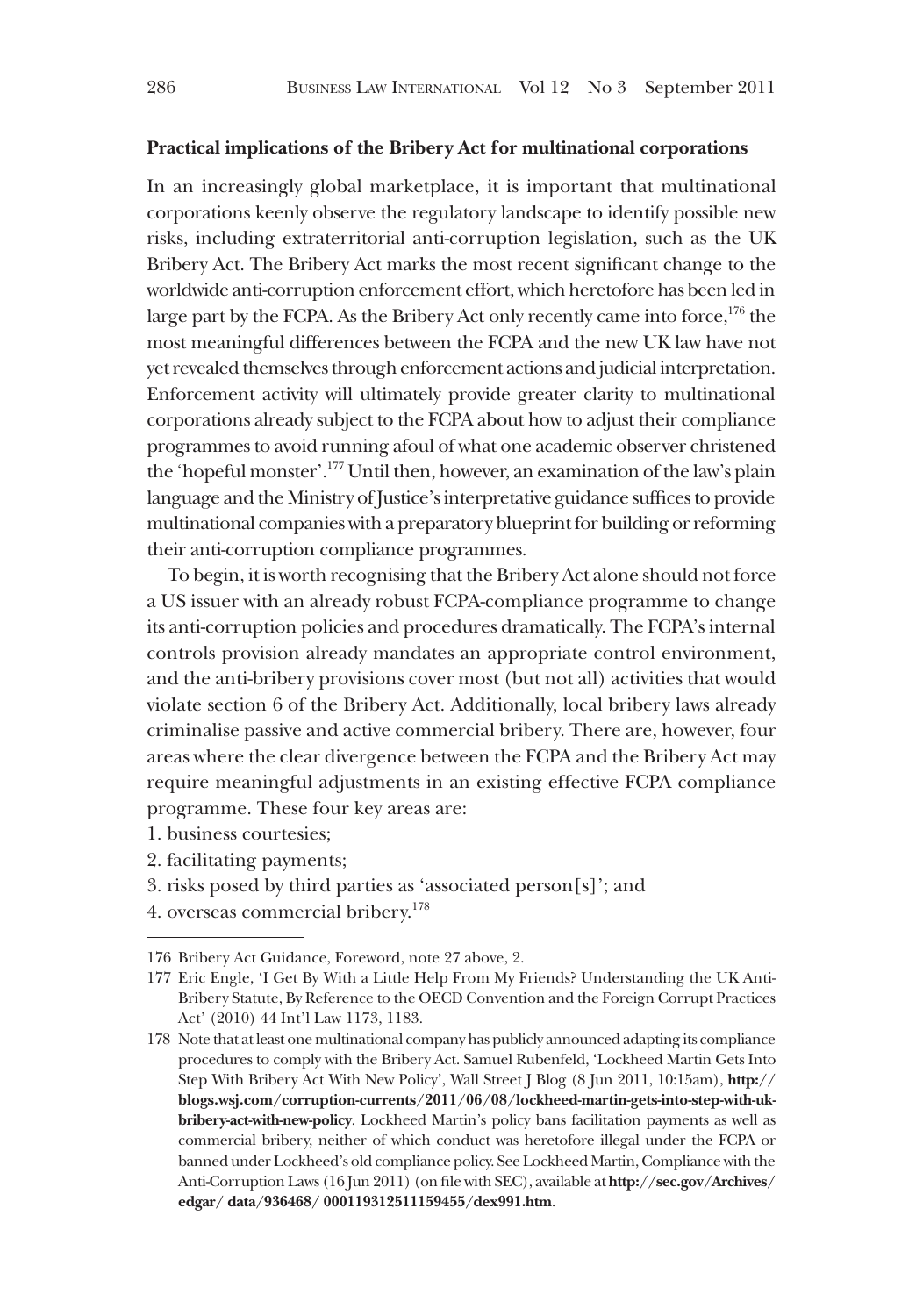#### **Practical implications of the Bribery Act for multinational corporations**

In an increasingly global marketplace, it is important that multinational corporations keenly observe the regulatory landscape to identify possible new risks, including extraterritorial anti-corruption legislation, such as the UK Bribery Act. The Bribery Act marks the most recent significant change to the worldwide anti-corruption enforcement effort, which heretofore has been led in large part by the FCPA. As the Bribery Act only recently came into force,  $176$  the most meaningful differences between the FCPA and the new UK law have not yet revealed themselves through enforcement actions and judicial interpretation. Enforcement activity will ultimately provide greater clarity to multinational corporations already subject to the FCPA about how to adjust their compliance programmes to avoid running afoul of what one academic observer christened the 'hopeful monster'.177 Until then, however, an examination of the law's plain language and the Ministry of Justice's interpretative guidance suffices to provide multinational companies with a preparatory blueprint for building or reforming their anti-corruption compliance programmes.

To begin, it is worth recognising that the Bribery Act alone should not force a US issuer with an already robust FCPA-compliance programme to change its anti-corruption policies and procedures dramatically. The FCPA's internal controls provision already mandates an appropriate control environment, and the anti-bribery provisions cover most (but not all) activities that would violate section 6 of the Bribery Act. Additionally, local bribery laws already criminalise passive and active commercial bribery. There are, however, four areas where the clear divergence between the FCPA and the Bribery Act may require meaningful adjustments in an existing effective FCPA compliance programme. These four key areas are:

- 1. business courtesies;
- 2. facilitating payments;
- 3. risks posed by third parties as 'associated person[s]'; and
- 4. overseas commercial bribery.<sup>178</sup>

<sup>176</sup> Bribery Act Guidance, Foreword, note 27 above, 2.

<sup>177</sup> Eric Engle, 'I Get By With a Little Help From My Friends? Understanding the UK Anti-Bribery Statute, By Reference to the OECD Convention and the Foreign Corrupt Practices Act' (2010) 44 Int'l Law 1173, 1183.

<sup>178</sup> Note that at least one multinational company has publicly announced adapting its compliance procedures to comply with the Bribery Act. Samuel Rubenfeld, 'Lockheed Martin Gets Into Step With Bribery Act With New Policy', Wall Street J Blog (8 Jun 2011, 10:15am), **http:// blogs.wsj.com/corruption-currents/2011/06/08/lockheed-martin-gets-into-step-with-ukbribery-act-with-new-policy**. Lockheed Martin's policy bans facilitation payments as well as commercial bribery, neither of which conduct was heretofore illegal under the FCPA or banned under Lockheed's old compliance policy. See Lockheed Martin, Compliance with the Anti-Corruption Laws (16 Jun 2011) (on file with SEC), available at **http://sec.gov/Archives/ edgar/ data/936468/ 000119312511159455/dex991.htm**.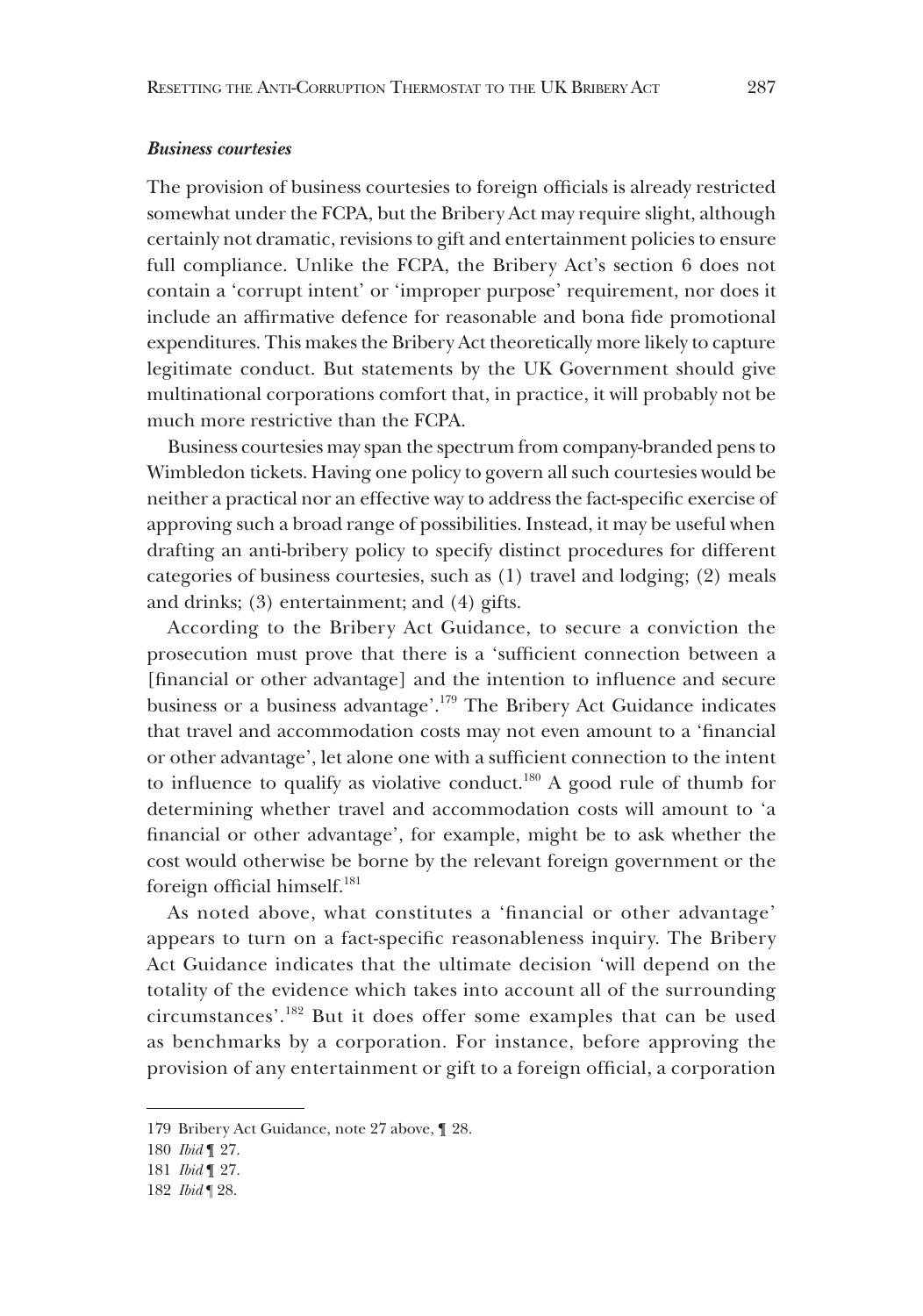#### *Business courtesies*

The provision of business courtesies to foreign officials is already restricted somewhat under the FCPA, but the Bribery Act may require slight, although certainly not dramatic, revisions to gift and entertainment policies to ensure full compliance. Unlike the FCPA, the Bribery Act's section 6 does not contain a 'corrupt intent' or 'improper purpose' requirement, nor does it include an affirmative defence for reasonable and bona fide promotional expenditures. This makes the Bribery Act theoretically more likely to capture legitimate conduct. But statements by the UK Government should give multinational corporations comfort that, in practice, it will probably not be much more restrictive than the FCPA.

Business courtesies may span the spectrum from company-branded pens to Wimbledon tickets. Having one policy to govern all such courtesies would be neither a practical nor an effective way to address the fact-specific exercise of approving such a broad range of possibilities. Instead, it may be useful when drafting an anti-bribery policy to specify distinct procedures for different categories of business courtesies, such as (1) travel and lodging; (2) meals and drinks; (3) entertainment; and (4) gifts.

According to the Bribery Act Guidance, to secure a conviction the prosecution must prove that there is a 'sufficient connection between a [financial or other advantage] and the intention to influence and secure business or a business advantage'.179 The Bribery Act Guidance indicates that travel and accommodation costs may not even amount to a 'financial or other advantage', let alone one with a sufficient connection to the intent to influence to qualify as violative conduct.<sup>180</sup> A good rule of thumb for determining whether travel and accommodation costs will amount to 'a financial or other advantage', for example, might be to ask whether the cost would otherwise be borne by the relevant foreign government or the foreign official himself.<sup>181</sup>

As noted above, what constitutes a 'financial or other advantage' appears to turn on a fact-specific reasonableness inquiry. The Bribery Act Guidance indicates that the ultimate decision 'will depend on the totality of the evidence which takes into account all of the surrounding circumstances'.182 But it does offer some examples that can be used as benchmarks by a corporation. For instance, before approving the provision of any entertainment or gift to a foreign official, a corporation

<sup>179</sup> Bribery Act Guidance, note 27 above, ¶ 28.

<sup>180</sup> *Ibid* ¶ 27.

<sup>181</sup> *Ibid* ¶ 27.

<sup>182</sup> *Ibid* ¶ 28.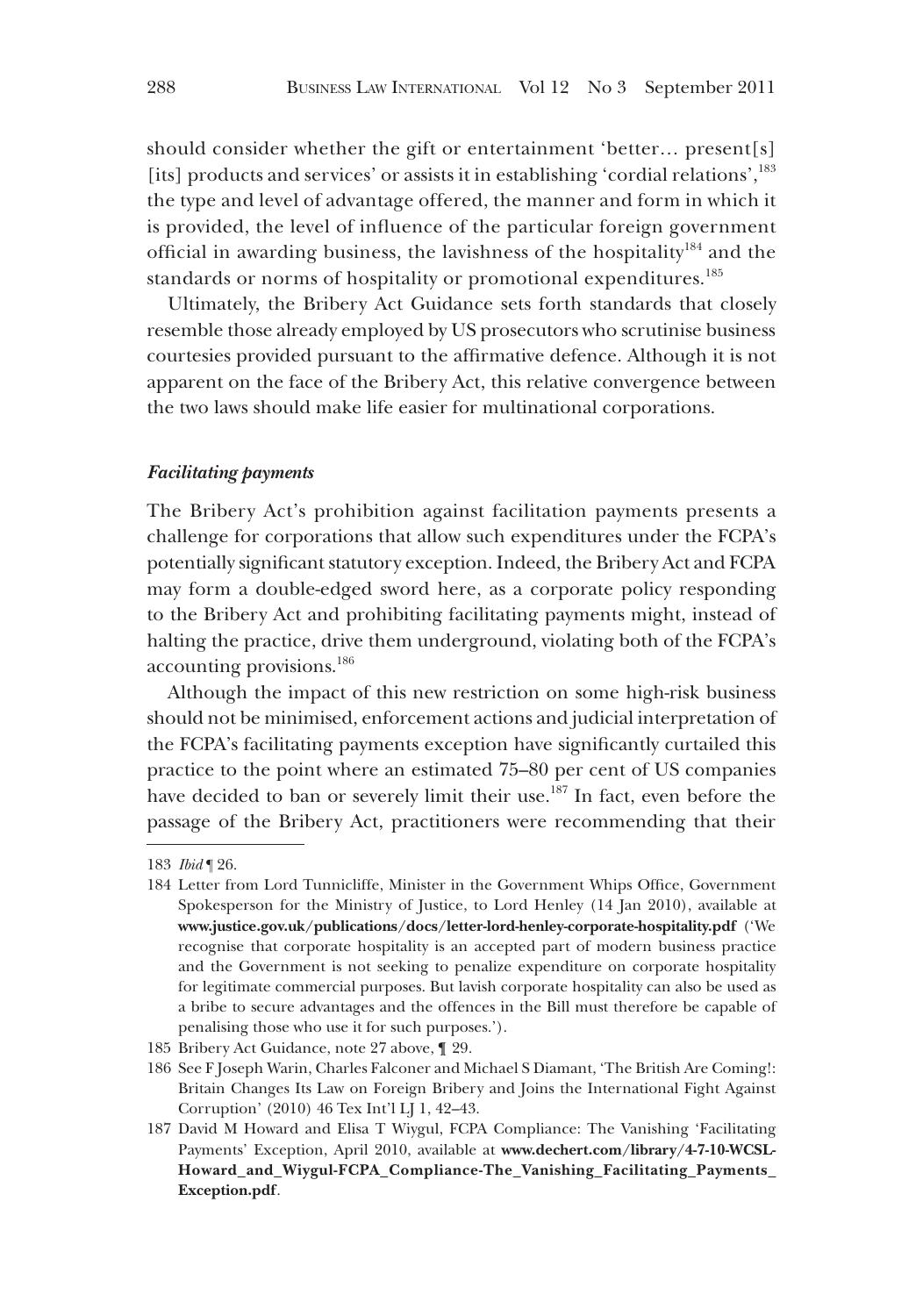should consider whether the gift or entertainment 'better… present[s] [its] products and services' or assists it in establishing 'cordial relations', $^{183}$ the type and level of advantage offered, the manner and form in which it is provided, the level of influence of the particular foreign government official in awarding business, the lavishness of the hospitality<sup>184</sup> and the standards or norms of hospitality or promotional expenditures.<sup>185</sup>

Ultimately, the Bribery Act Guidance sets forth standards that closely resemble those already employed by US prosecutors who scrutinise business courtesies provided pursuant to the affirmative defence. Although it is not apparent on the face of the Bribery Act, this relative convergence between the two laws should make life easier for multinational corporations.

#### *Facilitating payments*

The Bribery Act's prohibition against facilitation payments presents a challenge for corporations that allow such expenditures under the FCPA's potentially significant statutory exception. Indeed, the Bribery Act and FCPA may form a double-edged sword here, as a corporate policy responding to the Bribery Act and prohibiting facilitating payments might, instead of halting the practice, drive them underground, violating both of the FCPA's accounting provisions.<sup>186</sup>

Although the impact of this new restriction on some high-risk business should not be minimised, enforcement actions and judicial interpretation of the FCPA's facilitating payments exception have significantly curtailed this practice to the point where an estimated 75–80 per cent of US companies have decided to ban or severely limit their use.<sup>187</sup> In fact, even before the passage of the Bribery Act, practitioners were recommending that their

<sup>183</sup> *Ibid* ¶ 26.

<sup>184</sup> Letter from Lord Tunnicliffe, Minister in the Government Whips Office, Government Spokesperson for the Ministry of Justice, to Lord Henley (14 Jan 2010), available at **www.justice.gov.uk/publications/docs/letter-lord-henley-corporate-hospitality.pdf** ('We recognise that corporate hospitality is an accepted part of modern business practice and the Government is not seeking to penalize expenditure on corporate hospitality for legitimate commercial purposes. But lavish corporate hospitality can also be used as a bribe to secure advantages and the offences in the Bill must therefore be capable of penalising those who use it for such purposes.').

<sup>185</sup> Bribery Act Guidance, note 27 above, ¶ 29.

<sup>186</sup> See F Joseph Warin, Charles Falconer and Michael S Diamant, 'The British Are Coming!: Britain Changes Its Law on Foreign Bribery and Joins the International Fight Against Corruption' (2010) 46 Tex Int'l LJ 1, 42–43.

<sup>187</sup> David M Howard and Elisa T Wiygul, FCPA Compliance: The Vanishing 'Facilitating Payments' Exception, April 2010, available at **www.dechert.com/library/4-7-10-WCSL-Howard\_and\_Wiygul-FCPA\_Compliance-The\_Vanishing\_Facilitating\_Payments\_ Exception.pdf**.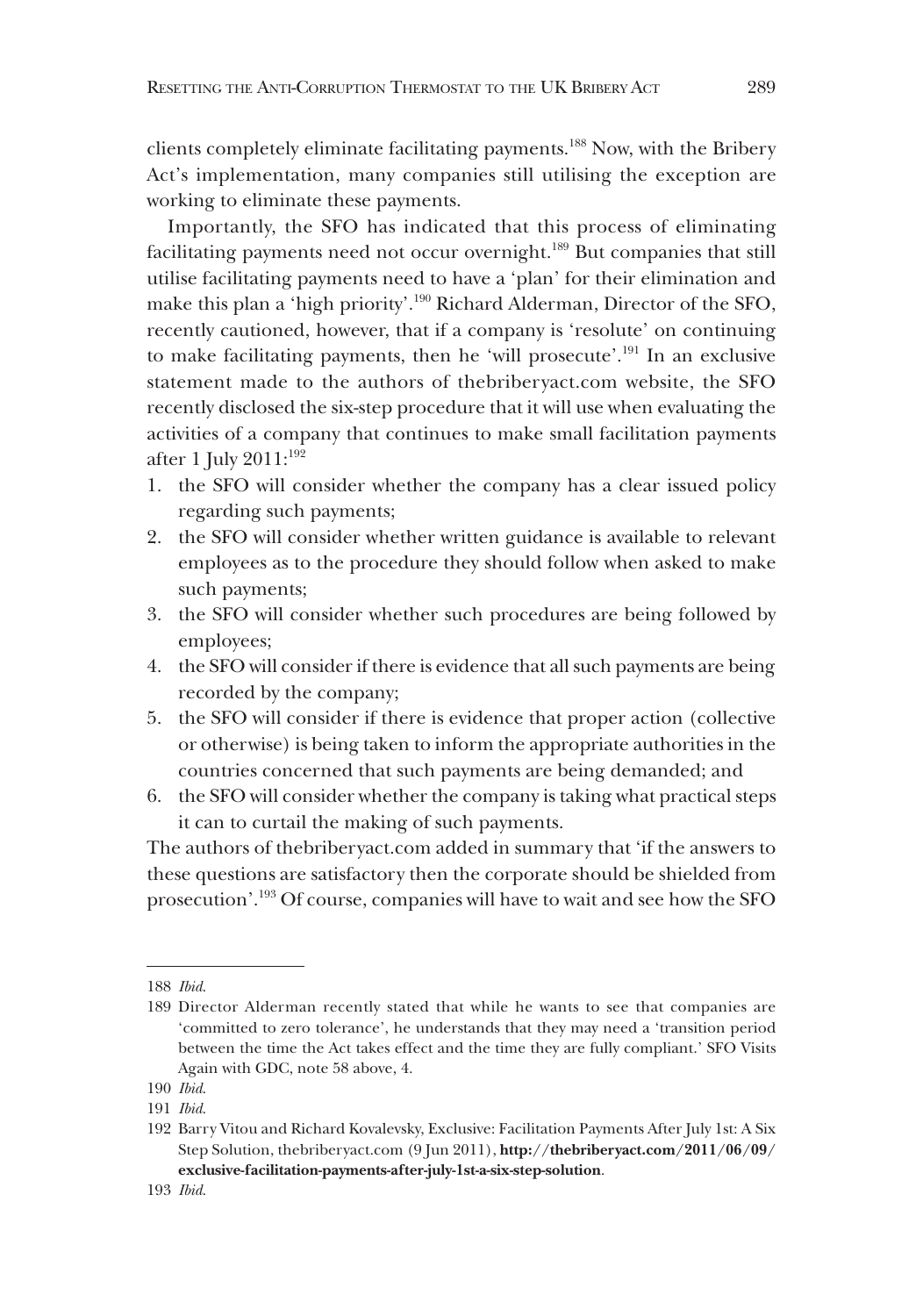clients completely eliminate facilitating payments.188 Now, with the Bribery Act's implementation, many companies still utilising the exception are working to eliminate these payments.

Importantly, the SFO has indicated that this process of eliminating facilitating payments need not occur overnight.<sup>189</sup> But companies that still utilise facilitating payments need to have a 'plan' for their elimination and make this plan a 'high priority'.190 Richard Alderman, Director of the SFO, recently cautioned, however, that if a company is 'resolute' on continuing to make facilitating payments, then he 'will prosecute'.191 In an exclusive statement made to the authors of thebriberyact.com website, the SFO recently disclosed the six-step procedure that it will use when evaluating the activities of a company that continues to make small facilitation payments after 1 July  $2011$ :<sup>192</sup>

- 1. the SFO will consider whether the company has a clear issued policy regarding such payments;
- 2. the SFO will consider whether written guidance is available to relevant employees as to the procedure they should follow when asked to make such payments;
- 3. the SFO will consider whether such procedures are being followed by employees;
- 4. the SFO will consider if there is evidence that all such payments are being recorded by the company;
- 5. the SFO will consider if there is evidence that proper action (collective or otherwise) is being taken to inform the appropriate authorities in the countries concerned that such payments are being demanded; and
- 6. the SFO will consider whether the company is taking what practical steps it can to curtail the making of such payments.

The authors of thebriberyact.com added in summary that 'if the answers to these questions are satisfactory then the corporate should be shielded from prosecution'.193 Of course, companies will have to wait and see how the SFO

<sup>188</sup> *Ibid*.

<sup>189</sup> Director Alderman recently stated that while he wants to see that companies are 'committed to zero tolerance', he understands that they may need a 'transition period between the time the Act takes effect and the time they are fully compliant.' SFO Visits Again with GDC, note 58 above, 4.

<sup>190</sup> *Ibid*.

<sup>191</sup> *Ibid*.

<sup>192</sup> Barry Vitou and Richard Kovalevsky, Exclusive: Facilitation Payments After July 1st: A Six Step Solution, thebriberyact.com (9 Jun 2011), **http://thebriberyact.com/2011/06/09/ exclusive-facilitation-payments-after-july-1st-a-six-step-solution**.

<sup>193</sup> *Ibid*.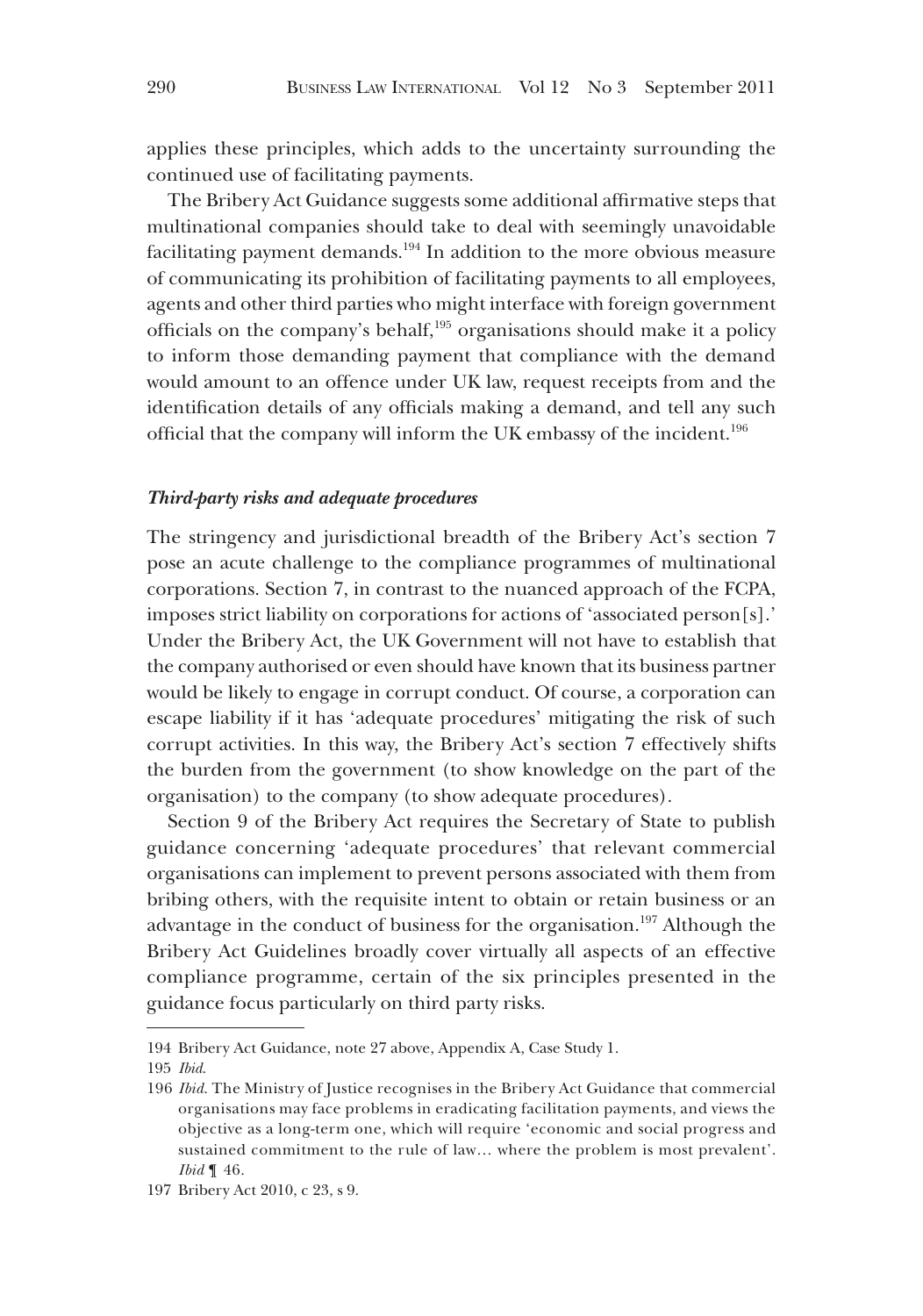applies these principles, which adds to the uncertainty surrounding the continued use of facilitating payments.

The Bribery Act Guidance suggests some additional affirmative steps that multinational companies should take to deal with seemingly unavoidable facilitating payment demands.194 In addition to the more obvious measure of communicating its prohibition of facilitating payments to all employees, agents and other third parties who might interface with foreign government officials on the company's behalf,195 organisations should make it a policy to inform those demanding payment that compliance with the demand would amount to an offence under UK law, request receipts from and the identification details of any officials making a demand, and tell any such official that the company will inform the UK embassy of the incident.196

# *Third-party risks and adequate procedures*

The stringency and jurisdictional breadth of the Bribery Act's section 7 pose an acute challenge to the compliance programmes of multinational corporations. Section 7, in contrast to the nuanced approach of the FCPA, imposes strict liability on corporations for actions of 'associated person[s].' Under the Bribery Act, the UK Government will not have to establish that the company authorised or even should have known that its business partner would be likely to engage in corrupt conduct. Of course, a corporation can escape liability if it has 'adequate procedures' mitigating the risk of such corrupt activities. In this way, the Bribery Act's section 7 effectively shifts the burden from the government (to show knowledge on the part of the organisation) to the company (to show adequate procedures).

Section 9 of the Bribery Act requires the Secretary of State to publish guidance concerning 'adequate procedures' that relevant commercial organisations can implement to prevent persons associated with them from bribing others, with the requisite intent to obtain or retain business or an advantage in the conduct of business for the organisation.<sup>197</sup> Although the Bribery Act Guidelines broadly cover virtually all aspects of an effective compliance programme, certain of the six principles presented in the guidance focus particularly on third party risks.

<sup>194</sup> Bribery Act Guidance, note 27 above, Appendix A, Case Study 1.

<sup>195</sup> *Ibid*.

<sup>196</sup> *Ibid*. The Ministry of Justice recognises in the Bribery Act Guidance that commercial organisations may face problems in eradicating facilitation payments, and views the objective as a long-term one, which will require 'economic and social progress and sustained commitment to the rule of law… where the problem is most prevalent'. *Ibid* ¶ 46.

<sup>197</sup> Bribery Act 2010, c 23, s 9.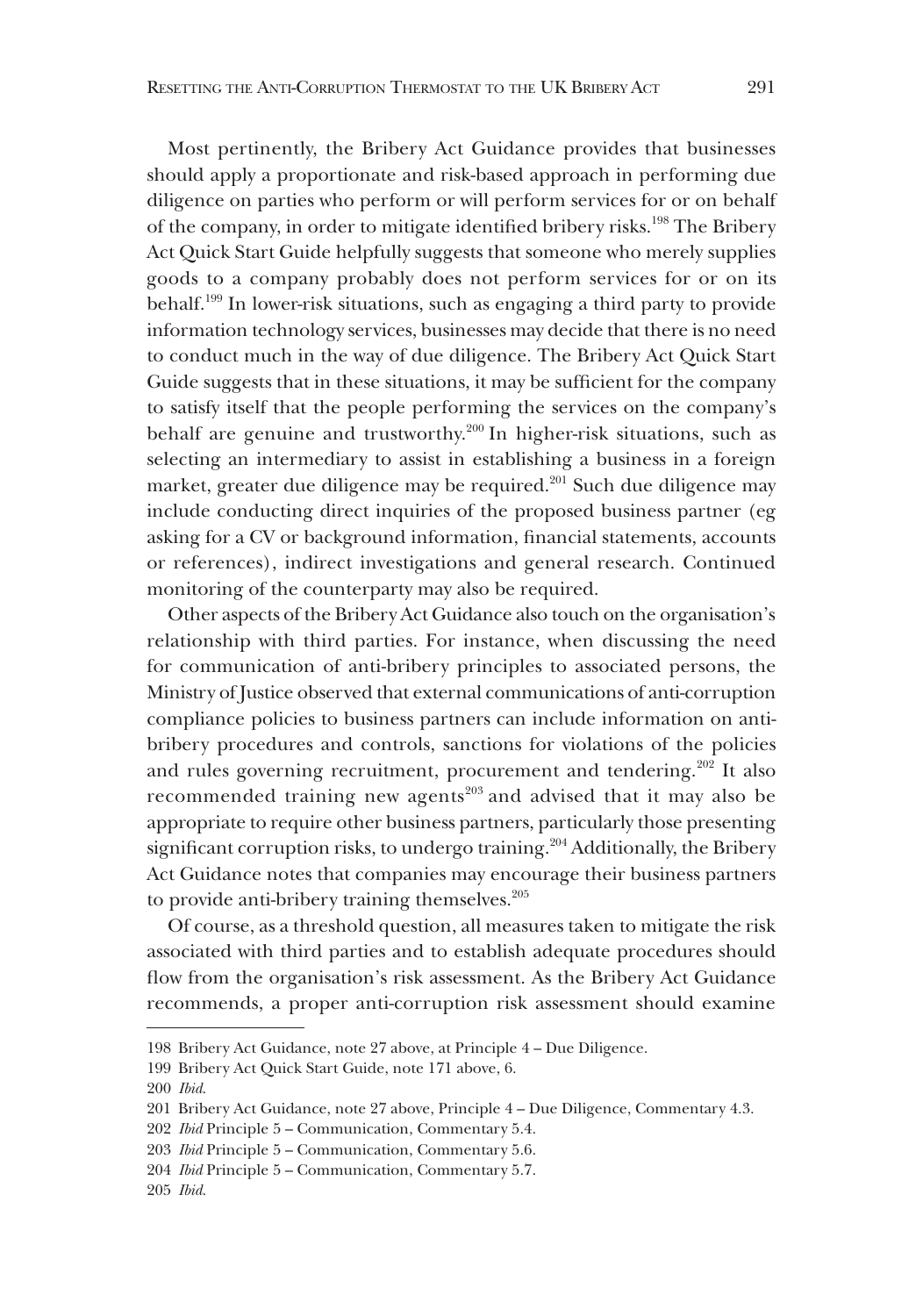Most pertinently, the Bribery Act Guidance provides that businesses should apply a proportionate and risk-based approach in performing due diligence on parties who perform or will perform services for or on behalf of the company, in order to mitigate identified bribery risks.<sup>198</sup> The Bribery Act Quick Start Guide helpfully suggests that someone who merely supplies goods to a company probably does not perform services for or on its behalf.199 In lower-risk situations, such as engaging a third party to provide information technology services, businesses may decide that there is no need to conduct much in the way of due diligence. The Bribery Act Quick Start Guide suggests that in these situations, it may be sufficient for the company to satisfy itself that the people performing the services on the company's behalf are genuine and trustworthy.<sup>200</sup> In higher-risk situations, such as selecting an intermediary to assist in establishing a business in a foreign market, greater due diligence may be required.<sup>201</sup> Such due diligence may include conducting direct inquiries of the proposed business partner (eg asking for a CV or background information, financial statements, accounts or references), indirect investigations and general research. Continued monitoring of the counterparty may also be required.

Other aspects of the Bribery Act Guidance also touch on the organisation's relationship with third parties. For instance, when discussing the need for communication of anti-bribery principles to associated persons, the Ministry of Justice observed that external communications of anti-corruption compliance policies to business partners can include information on antibribery procedures and controls, sanctions for violations of the policies and rules governing recruitment, procurement and tendering.<sup>202</sup> It also recommended training new agents<sup>203</sup> and advised that it may also be appropriate to require other business partners, particularly those presenting significant corruption risks, to undergo training.<sup>204</sup> Additionally, the Bribery Act Guidance notes that companies may encourage their business partners to provide anti-bribery training themselves. $205$ 

Of course, as a threshold question, all measures taken to mitigate the risk associated with third parties and to establish adequate procedures should flow from the organisation's risk assessment. As the Bribery Act Guidance recommends, a proper anti-corruption risk assessment should examine

<sup>198</sup> Bribery Act Guidance, note 27 above, at Principle 4 – Due Diligence.

<sup>199</sup> Bribery Act Quick Start Guide, note 171 above, 6.

<sup>200</sup> *Ibid*.

<sup>201</sup> Bribery Act Guidance, note 27 above, Principle 4 – Due Diligence, Commentary 4.3.

<sup>202</sup> *Ibid* Principle 5 – Communication, Commentary 5.4.

<sup>203</sup> *Ibid* Principle 5 – Communication, Commentary 5.6.

<sup>204</sup> *Ibid* Principle 5 – Communication, Commentary 5.7.

<sup>205</sup> *Ibid*.